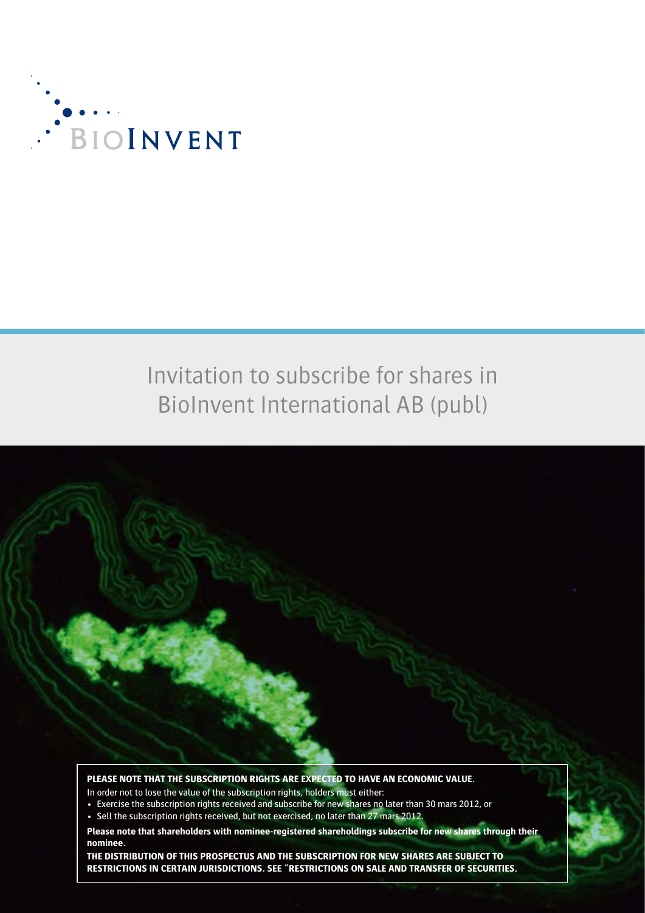

# Invitation to subscribe for shares in BioInvent International AB (publ)



**PLEASE NOTE THAT THE SUBSCRIPTION RIGHTS ARE EXPECTED TO HAVE AN ECONOMIC VALUE.**

In order not to lose the value of the subscription rights, holders must either:

- Exercise the subscription rights received and subscribe for new shares no later than 30 mars 2012, or
- Sell the subscription rights received, but not exercised, no later than 27 mars 2012.

**Please note that shareholders with nominee-registered shareholdings subscribe for new shares through their nominee.**

**THE DISTRIBUTION OF THIS PROSPECTUS AND THE SUBSCRIPTION FOR NEW SHARES ARE SUBJECT TO RESTRICTIONS IN CERTAIN JURISDICTIONS. SEE "RESTRICTIONS ON SALE AND TRANSFER OF SECURITIES.**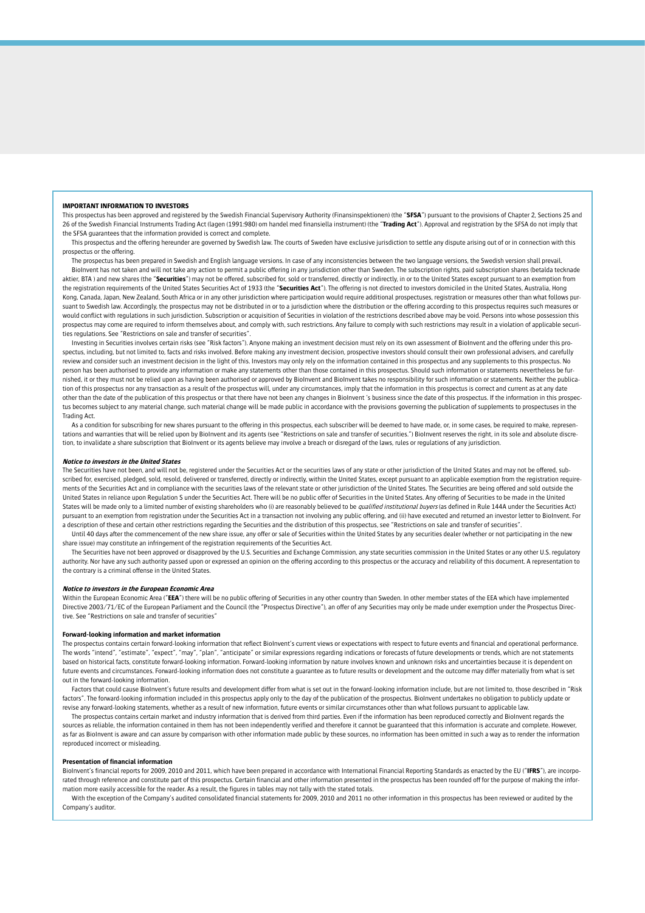#### **IMPORTANT INFORMATION TO INVESTORS**

This prospectus has been approved and registered by the Swedish Financial Supervisory Authority (Finansinspektionen) (the "**SFSA**") pursuant to the provisions of Chapter 2, Sections 25 and 26 of the Swedish Financial Instruments Trading Act (lagen (1991:980) om handel med finansiella instrument) (the "**Trading Act**"). Approval and registration by the SFSA do not imply that the SFSA guarantees that the information provided is correct and complete.

This prospectus and the offering hereunder are governed by Swedish law. The courts of Sweden have exclusive jurisdiction to settle any dispute arising out of or in connection with this prospectus or the offering.

The prospectus has been prepared in Swedish and English language versions. In case of any inconsistencies between the two language versions, the Swedish version shall prevail. BioInvent has not taken and will not take any action to permit a public offering in any jurisdiction other than Sweden. The subscription rights, paid subscription shares (betalda tecknade aktier, BTA ) and new shares (the "Securities") may not be offered, subscribed for, sold or transferred, directly or indirectly, in or to the United States except pursuant to an exemption from the registration requirements of the United States Securities Act of 1933 (the "**Securities Act**"). The offering is not directed to investors domiciled in the United States, Australia, Hong Kong, Canada, Japan, New Zealand, South Africa or in any other jurisdiction where participation would require additional prospectuses, registration or measures other than what follows pursuant to Swedish law. Accordingly, the prospectus may not be distributed in or to a jurisdiction where the distribution or the offering according to this prospectus requires such measures or would conflict with regulations in such jurisdiction. Subscription or acquisition of Securities in violation of the restrictions described above may be void. Persons into whose possession this prospectus may come are required to inform themselves about, and comply with, such restrictions. Any failure to comply with such restrictions may result in a violation of applicable securities regulations. See "Restrictions on sale and transfer of securities".

Investing in Securities involves certain risks (see "Risk factors"). Anyone making an investment decision must rely on its own assessment of BioInvent and the offering under this prospectus, including, but not limited to, facts and risks involved. Before making any investment decision, prospective investors should consult their own professional advisers, and carefully review and consider such an investment decision in the light of this. Investors may only rely on the information contained in this prospectus and any supplements to this prospectus. No person has been authorised to provide any information or make any statements other than those contained in this prospectus. Should such information or statements nevertheless be furnished, it or they must not be relied upon as having been authorised or approved by BioInvent and BioInvent takes no responsibility for such information or statements. Neither the publication of this prospectus nor any transaction as a result of the prospectus will, under any circumstances, imply that the information in this prospectus is correct and current as at any date other than the date of the publication of this prospectus or that there have not been any changes in BioInvent 's business since the date of this prospectus. If the information in this prospectus becomes subject to any material change, such material change will be made public in accordance with the provisions governing the publication of supplements to prospectuses in the Trading Act.

As a condition for subscribing for new shares pursuant to the offering in this prospectus, each subscriber will be deemed to have made, or, in some cases, be required to make, representations and warranties that will be relied upon by BioInvent and its agents (see "Restrictions on sale and transfer of securities.") BioInvent reserves the right, in its sole and absolute discretion, to invalidate a share subscription that BioInvent or its agents believe may involve a breach or disregard of the laws, rules or regulations of any jurisdiction.

#### **Notice to investors in the United States**

The Securities have not been, and will not be, registered under the Securities Act or the securities laws of any state or other jurisdiction of the United States and may not be offered, subscribed for, exercised, pledged, sold, resold, delivered or transferred, directly or indirectly, within the United States, except pursuant to an applicable exemption from the registration requirements of the Securities Act and in compliance with the securities laws of the relevant state or other jurisdiction of the United States. The Securities are being offered and sold outside the United States in reliance upon Regulation S under the Securities Act. There will be no public offer of Securities in the United States. Any offering of Securities to be made in the United States will be made only to a limited number of existing shareholders who (i) are reasonably believed to be qualified institutional buyers (as defined in Rule 144A under the Securities Act) pursuant to an exemption from registration under the Securities Act in a transaction not involving any public offering, and (ii) have executed and returned an investor letter to BioInvent. For a description of these and certain other restrictions regarding the Securities and the distribution of this prospectus, see "Restrictions on sale and transfer of securities".

Until 40 days after the commencement of the new share issue, any offer or sale of Securities within the United States by any securities dealer (whether or not participating in the new share issue) may constitute an infringement of the registration requirements of the Securities Act.

The Securities have not been approved or disapproved by the U.S. Securities and Exchange Commission, any state securities commission in the United States or any other U.S. regulatory authority. Nor have any such authority passed upon or expressed an opinion on the offering according to this prospectus or the accuracy and reliability of this document. A representation to the contrary is a criminal offense in the United States.

#### **Notice to investors in the European Economic Area**

Within the European Economic Area ("EEA") there will be no public offering of Securities in any other country than Sweden. In other member states of the EEA which have implemented Directive 2003/71/EC of the European Parliament and the Council (the "Prospectus Directive"), an offer of any Securities may only be made under exemption under the Prospectus Directive. See "Restrictions on sale and transfer of securities"

#### **Forward-looking information and market information**

The prospectus contains certain forward-looking information that reflect BioInvent's current views or expectations with respect to future events and financial and operational performance. The words "intend", "estimate", "expect", "may", "plan", "anticipate" or similar expressions regarding indications or forecasts of future developments or trends, which are not statements based on historical facts, constitute forward-looking information. Forward-looking information by nature involves known and unknown risks and uncertainties because it is dependent on future events and circumstances. Forward-looking information does not constitute a quarantee as to future results or development and the outcome may differ materially from what is set out in the forward-looking information.

Factors that could cause BioInvent's future results and development differ from what is set out in the forward-looking information include, but are not limited to, those described in "Risk factors". The forward-looking information included in this prospectus apply only to the day of the publication of the prospectus. BioInvent undertakes no obligation to publicly update or revise any forward-looking statements, whether as a result of new information, future events or similar circumstances other than what follows pursuant to applicable law.

The prospectus contains certain market and industry information that is derived from third parties. Even if the information has been reproduced correctly and BioInvent regards the sources as reliable, the information contained in them has not been independently verified and therefore it cannot be quaranteed that this information is accurate and complete. However, as far as BioInvent is aware and can assure by comparison with other information made public by these sources, no information has been omitted in such a way as to render the information reproduced incorrect or misleading.

#### **Presentation of financial information**

BioInvent's financial reports for 2009, 2010 and 2011, which have been prepared in accordance with International Financial Reporting Standards as enacted by the EU ("**IFRS**"), are incorporated through reference and constitute part of this prospectus. Certain financial and other information presented in the prospectus has been rounded off for the purpose of making the information more easily accessible for the reader. As a result, the figures in tables may not tally with the stated totals.

With the exception of the Company's audited consolidated financial statements for 2009, 2010 and 2011 no other information in this prospectus has been reviewed or audited by the Company's auditor.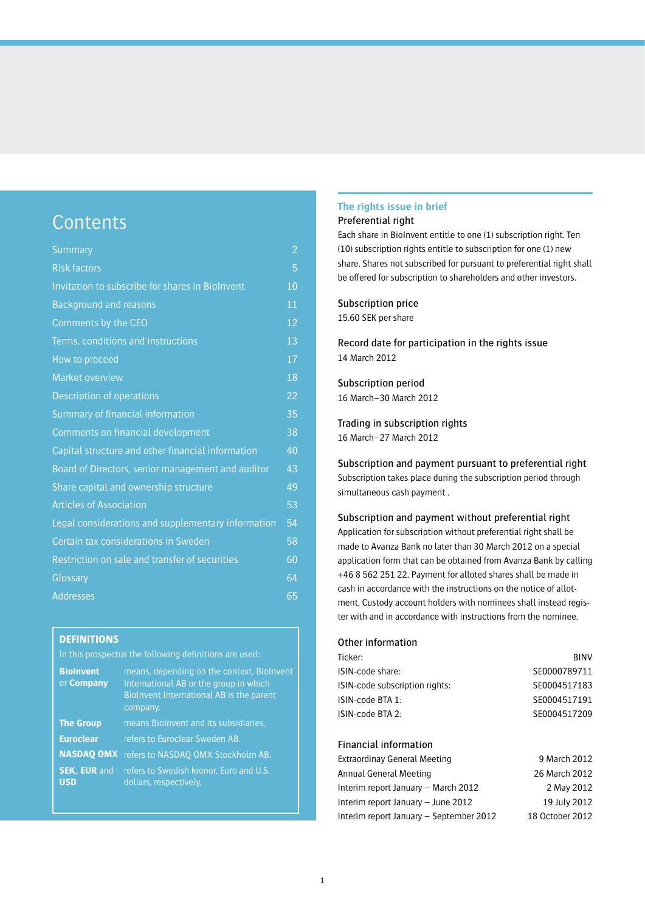## **Contents**

| <b>Summary</b>                                     | 2               |
|----------------------------------------------------|-----------------|
| <b>Risk factors</b>                                | 5               |
| Invitation to subscribe for shares in Biolnvent    | 10              |
| <b>Background and reasons</b>                      | 11              |
| Comments by the CEO                                | 12              |
| Terms, conditions and instructions                 | 13              |
| How to proceed                                     | $1\overline{7}$ |
| <b>Market overview</b>                             | 18              |
| Description of operations                          | 22              |
| Summary of financial information                   | 35              |
| Comments on financial development                  | 38              |
| Capital structure and other financial information  | 40              |
| Board of Directors, senior management and auditor  | 43              |
| Share capital and ownership structure              | 49              |
| <b>Articles of Association</b>                     | 53              |
| Legal considerations and supplementary information | 54              |
| Certain tax considerations in Sweden               | 58              |
| Restriction on sale and transfer of securities     | 60              |
| Glossary                                           | 64              |
| <b>Addresses</b>                                   | 65              |
|                                                    |                 |

## **DEFINITIONS**

In this prospectus the following definitions are used:

| <b>BioInvent</b><br>or <b>Company</b> | means, depending on the context, Biolnvent<br>International AB or the group in which<br>Biolnvent International AB is the parent<br>company. |
|---------------------------------------|----------------------------------------------------------------------------------------------------------------------------------------------|
| <b>The Group</b>                      | means Biolnvent and its subsidiaries.                                                                                                        |
| <b>Euroclear</b>                      | refers to Euroclear Sweden AB.                                                                                                               |
|                                       | <b>NASDAO OMX</b> refers to NASDAQ OMX Stockholm AB.                                                                                         |
| <b>SEK, EUR and</b><br><b>USD</b>     | refers to Swedish kronor. Euro and U.S.<br>dollars, respectively.                                                                            |

## **The rights issue in brief**

## Preferential right

Each share in BioInvent entitle to one (1) subscription right. Ten (10) subscription rights entitle to subscription for one (1) new share. Shares not subscribed for pursuant to preferential right shall be offered for subscription to shareholders and other investors.

## Subscription price

15.60 SEK per share

Record date for participation in the rights issue 14 March 2012

Subscription period 16 March–30 March 2012

Trading in subscription rights 16 March–27 March 2012

Subscription and payment pursuant to preferential right Subscription takes place during the subscription period through simultaneous cash payment .

Subscription and payment without preferential right Application for subscription without preferential right shall be made to Avanza Bank no later than 30 March 2012 on a special application form that can be obtained from Avanza Bank by calling +46 8 562 251 22. Payment for alloted shares shall be made in cash in accordance with the instructions on the notice of allotment. Custody account holders with nominees shall instead register with and in accordance with instructions from the nominee.

## Other information

| Ticker:                        | <b>BINV</b>       |
|--------------------------------|-------------------|
| ISIN-code share:               | SE0000789711      |
| ISIN-code subscription rights: | SE0004517183      |
| ISIN-code BTA 1:               | SE0004517191      |
| ISIN-code BTA 2:               | SE0004517209      |
| <b>Financial information</b>   |                   |
| Extraordinay General Meeting   | 9 March 2012      |
| Annual Conoral Mooting         | $26$ Moreh $2012$ |

| Annual General Meeting                  | 26 March 2012   |
|-----------------------------------------|-----------------|
| Interim report January – March 2012     | 2 May 2012      |
| Interim report January – June 2012      | 19 July 2012    |
| Interim report January - September 2012 | 18 October 2012 |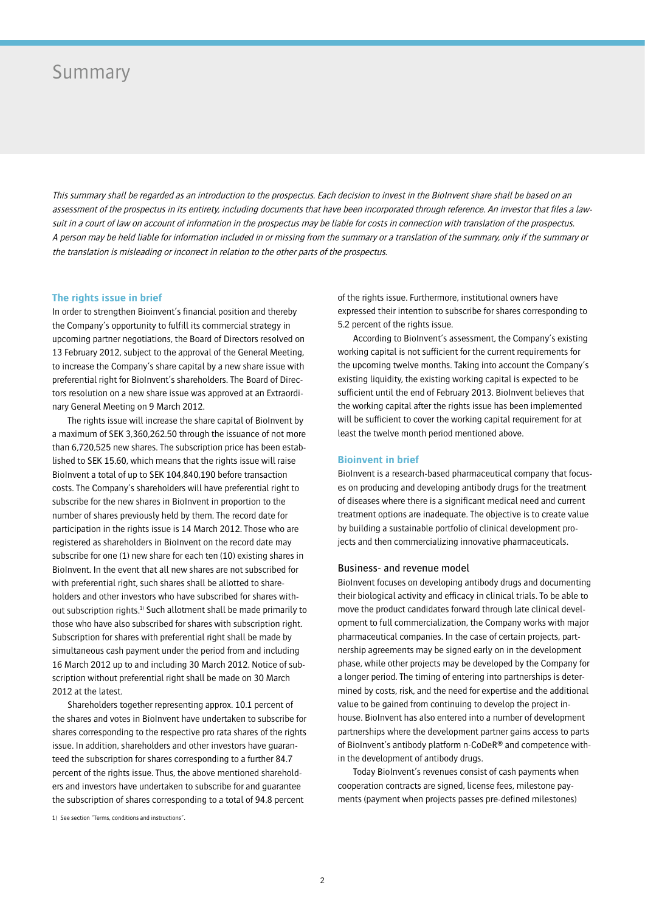## Summary

This summary shall be regarded as an introduction to the prospectus. Each decision to invest in the BioInvent share shall be based on an assessment of the prospectus in its entirety, including documents that have been incorporated through reference. An investor that files a lawsuit in a court of law on account of information in the prospectus may be liable for costs in connection with translation of the prospectus. A person may be held liable for information included in or missing from the summary or a translation of the summary, only if the summary or the translation is misleading or incorrect in relation to the other parts of the prospectus.

### **The rights issue in brief**

In order to strengthen Bioinvent's financial position and thereby the Company's opportunity to fulfill its commercial strategy in upcoming partner negotiations, the Board of Directors resolved on 13 February 2012, subject to the approval of the General Meeting, to increase the Company's share capital by a new share issue with preferential right for BioInvent's shareholders. The Board of Directors resolution on a new share issue was approved at an Extraordinary General Meeting on 9 March 2012.

The rights issue will increase the share capital of BioInvent by a maximum of SEK 3,360,262.50 through the issuance of not more than 6,720,525 new shares. The subscription price has been established to SEK 15.60, which means that the rights issue will raise BioInvent a total of up to SEK 104,840,190 before transaction costs. The Company's shareholders will have preferential right to subscribe for the new shares in BioInvent in proportion to the number of shares previously held by them. The record date for participation in the rights issue is 14 March 2012. Those who are registered as shareholders in BioInvent on the record date may subscribe for one (1) new share for each ten (10) existing shares in BioInvent. In the event that all new shares are not subscribed for with preferential right, such shares shall be allotted to shareholders and other investors who have subscribed for shares without subscription rights.<sup>1)</sup> Such allotment shall be made primarily to those who have also subscribed for shares with subscription right. Subscription for shares with preferential right shall be made by simultaneous cash payment under the period from and including 16 March 2012 up to and including 30 March 2012. Notice of subscription without preferential right shall be made on 30 March 2012 at the latest.

Shareholders together representing approx. 10.1 percent of the shares and votes in BioInvent have undertaken to subscribe for shares corresponding to the respective pro rata shares of the rights issue. In addition, shareholders and other investors have guaranteed the subscription for shares corresponding to a further 84.7 percent of the rights issue. Thus, the above mentioned shareholders and investors have undertaken to subscribe for and guarantee the subscription of shares corresponding to a total of 94.8 percent

1) See section "Terms, conditions and instructions".

of the rights issue. Furthermore, institutional owners have expressed their intention to subscribe for shares corresponding to 5.2 percent of the rights issue.

According to BioInvent's assessment, the Company's existing working capital is not sufficient for the current requirements for the upcoming twelve months. Taking into account the Company's existing liquidity, the existing working capital is expected to be sufficient until the end of February 2013. BioInvent believes that the working capital after the rights issue has been implemented will be sufficient to cover the working capital requirement for at least the twelve month period mentioned above.

### **Bioinvent in brief**

BioInvent is a research-based pharmaceutical company that focuses on producing and developing antibody drugs for the treatment of diseases where there is a significant medical need and current treatment options are inadequate. The objective is to create value by building a sustainable portfolio of clinical development projects and then commercializing innovative pharmaceuticals.

#### Business- and revenue model

BioInvent focuses on developing antibody drugs and documenting their biological activity and efficacy in clinical trials. To be able to move the product candidates forward through late clinical development to full commercialization, the Company works with major pharmaceutical companies. In the case of certain projects, partnership agreements may be signed early on in the development phase, while other projects may be developed by the Company for a longer period. The timing of entering into partnerships is determined by costs, risk, and the need for expertise and the additional value to be gained from continuing to develop the project inhouse. BioInvent has also entered into a number of development partnerships where the development partner gains access to parts of BioInvent's antibody platform n-CoDeR® and competence within the development of antibody drugs.

Today BioInvent's revenues consist of cash payments when cooperation contracts are signed, license fees, milestone payments (payment when projects passes pre-defined milestones)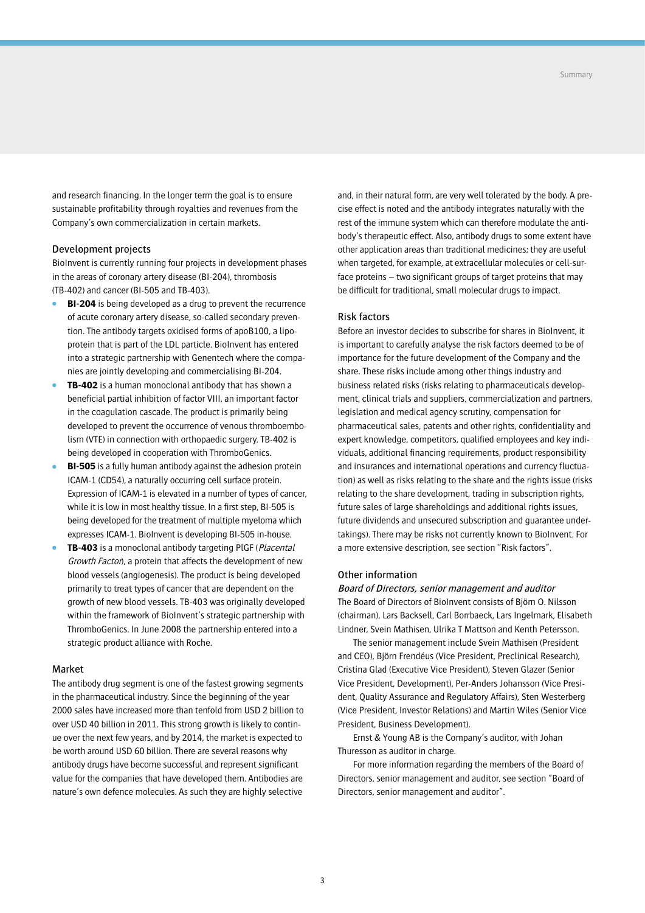and research financing. In the longer term the goal is to ensure sustainable profitability through royalties and revenues from the Company's own commercialization in certain markets.

## Development projects

BioInvent is currently running four projects in development phases in the areas of coronary artery disease (BI-204), thrombosis (TB-402) and cancer (BI-505 and TB-403).

- **BI-204** is being developed as a drug to prevent the recurrence of acute coronary artery disease, so-called secondary prevention. The antibody targets oxidised forms of apoB100, a lipoprotein that is part of the LDL particle. BioInvent has entered into a strategic partnership with Genentech where the companies are jointly developing and commercialising BI-204.
- **TB-402** is a human monoclonal antibody that has shown a beneficial partial inhibition of factor VIII, an important factor in the coagulation cascade. The product is primarily being developed to prevent the occurrence of venous thromboembolism (VTE) in connection with orthopaedic surgery. TB-402 is being developed in cooperation with ThromboGenics.
- **BI-505** is a fully human antibody against the adhesion protein ICAM-1 (CD54), a naturally occurring cell surface protein. Expression of ICAM-1 is elevated in a number of types of cancer, while it is low in most healthy tissue. In a first step, BI-505 is being developed for the treatment of multiple myeloma which expresses ICAM-1. BioInvent is developing BI-505 in-house.
- **TB-403** is a monoclonal antibody targeting PIGF (*Placental* Growth Facton, a protein that affects the development of new blood vessels (angiogenesis). The product is being developed primarily to treat types of cancer that are dependent on the growth of new blood vessels. TB-403 was originally developed within the framework of BioInvent's strategic partnership with ThromboGenics. In June 2008 the partnership entered into a strategic product alliance with Roche.

## Market

The antibody drug segment is one of the fastest growing segments in the pharmaceutical industry. Since the beginning of the year 2000 sales have increased more than tenfold from USD 2 billion to over USD 40 billion in 2011. This strong growth is likely to continue over the next few years, and by 2014, the market is expected to be worth around USD 60 billion. There are several reasons why antibody drugs have become successful and represent significant value for the companies that have developed them. Antibodies are nature's own defence molecules. As such they are highly selective

and, in their natural form, are very well tolerated by the body. A precise effect is noted and the antibody integrates naturally with the rest of the immune system which can therefore modulate the antibody's therapeutic effect. Also, antibody drugs to some extent have other application areas than traditional medicines; they are useful when targeted, for example, at extracellular molecules or cell-surface proteins – two significant groups of target proteins that may be difficult for traditional, small molecular drugs to impact.

### Risk factors

Before an investor decides to subscribe for shares in BioInvent, it is important to carefully analyse the risk factors deemed to be of importance for the future development of the Company and the share. These risks include among other things industry and business related risks (risks relating to pharmaceuticals development, clinical trials and suppliers, commercialization and partners, legislation and medical agency scrutiny, compensation for pharmaceutical sales, patents and other rights, confidentiality and expert knowledge, competitors, qualified employees and key individuals, additional financing requirements, product responsibility and insurances and international operations and currency fluctuation) as well as risks relating to the share and the rights issue (risks relating to the share development, trading in subscription rights, future sales of large shareholdings and additional rights issues, future dividends and unsecured subscription and guarantee undertakings). There may be risks not currently known to BioInvent. For a more extensive description, see section "Risk factors".

### Other information

## Board of Directors, senior management and auditor

The Board of Directors of BioInvent consists of Björn O. Nilsson (chairman), Lars Backsell, Carl Borrbaeck, Lars Ingelmark, Elisabeth Lindner, Svein Mathisen, Ulrika T Mattson and Kenth Petersson.

The senior management include Svein Mathisen (President and CEO), Björn Frendéus (Vice President, Preclinical Research), Cristina Glad (Executive Vice President), Steven Glazer (Senior Vice President, Development), Per-Anders Johansson (Vice President, Quality Assurance and Regulatory Affairs), Sten Westerberg (Vice President, Investor Relations) and Martin Wiles (Senior Vice President, Business Development).

Ernst & Young AB is the Company's auditor, with Johan Thuresson as auditor in charge.

For more information regarding the members of the Board of Directors, senior management and auditor, see section "Board of Directors, senior management and auditor".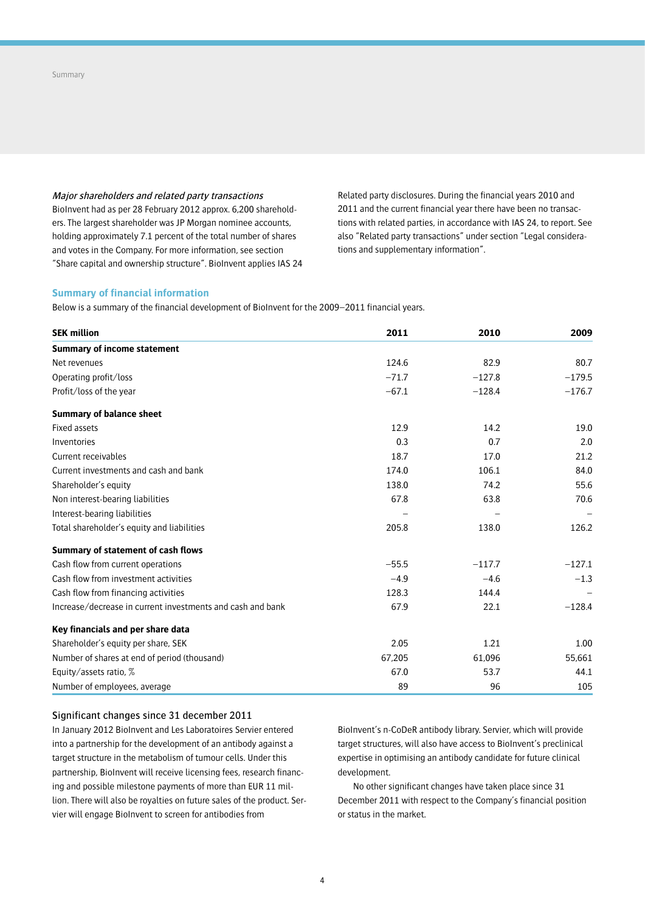Major shareholders and related party transactions

BioInvent had as per 28 February 2012 approx. 6,200 shareholders. The largest shareholder was JP Morgan nominee accounts, holding approximately 7.1 percent of the total number of shares and votes in the Company. For more information, see section "Share capital and ownership structure". BioInvent applies IAS 24 Related party disclosures. During the financial years 2010 and 2011 and the current financial year there have been no transactions with related parties, in accordance with IAS 24, to report. See also "Related party transactions" under section "Legal considerations and supplementary information".

## **Summary of financial information**

Below is a summary of the financial development of BioInvent for the 2009-2011 financial years.

| <b>SEK million</b>                                         | 2011    | 2010     | 2009     |
|------------------------------------------------------------|---------|----------|----------|
| <b>Summary of income statement</b>                         |         |          |          |
| Net revenues                                               | 124.6   | 82.9     | 80.7     |
| Operating profit/loss                                      | $-71.7$ | $-127.8$ | $-179.5$ |
| Profit/loss of the year                                    | $-67.1$ | $-128.4$ | $-176.7$ |
| <b>Summary of balance sheet</b>                            |         |          |          |
| Fixed assets                                               | 12.9    | 14.2     | 19.0     |
| Inventories                                                | 0.3     | 0.7      | 2.0      |
| Current receivables                                        | 18.7    | 17.0     | 21.2     |
| Current investments and cash and bank                      | 174.0   | 106.1    | 84.0     |
| Shareholder's equity                                       | 138.0   | 74.2     | 55.6     |
| Non interest-bearing liabilities                           | 67.8    | 63.8     | 70.6     |
| Interest-bearing liabilities                               |         |          |          |
| Total shareholder's equity and liabilities                 | 205.8   | 138.0    | 126.2    |
| Summary of statement of cash flows                         |         |          |          |
| Cash flow from current operations                          | $-55.5$ | $-117.7$ | $-127.1$ |
| Cash flow from investment activities                       | $-4.9$  | $-4.6$   | $-1.3$   |
| Cash flow from financing activities                        | 128.3   | 144.4    |          |
| Increase/decrease in current investments and cash and bank | 67.9    | 22.1     | $-128.4$ |
| Key financials and per share data                          |         |          |          |
| Shareholder's equity per share, SEK                        | 2.05    | 1.21     | 1.00     |
| Number of shares at end of period (thousand)               | 67,205  | 61,096   | 55,661   |
| Equity/assets ratio, %                                     | 67.0    | 53.7     | 44.1     |
| Number of employees, average                               | 89      | 96       | 105      |

## Significant changes since 31 december 2011

In January 2012 BioInvent and Les Laboratoires Servier entered into a partnership for the development of an antibody against a target structure in the metabolism of tumour cells. Under this partnership, BioInvent will receive licensing fees, research financing and possible milestone payments of more than EUR 11 million. There will also be royalties on future sales of the product. Servier will engage BioInvent to screen for antibodies from

BioInvent's n-CoDeR antibody library. Servier, which will provide target structures, will also have access to BioInvent's preclinical expertise in optimising an antibody candidate for future clinical development.

No other significant changes have taken place since 31 December 2011 with respect to the Company's financial position or status in the market.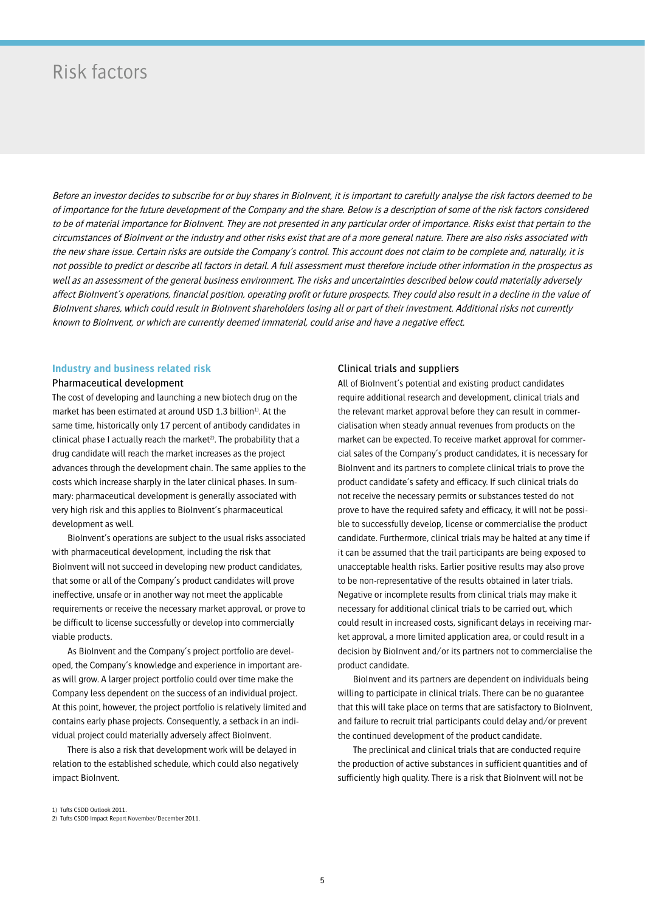## Risk factors

Before an investor decides to subscribe for or buy shares in BioInvent, it is important to carefully analyse the risk factors deemed to be of importance for the future development of the Company and the share. Below is a description of some of the risk factors considered to be of material importance for BioInvent. They are not presented in any particular order of importance. Risks exist that pertain to the circumstances of BioInvent or the industry and other risks exist that are of a more general nature. There are also risks associated with the new share issue. Certain risks are outside the Company's control. This account does not claim to be complete and, naturally, it is not possible to predict or describe all factors in detail. A full assessment must therefore include other information in the prospectus as well as an assessment of the general business environment. The risks and uncertainties described below could materially adversely affect BioInvent's operations, financial position, operating profit or future prospects. They could also result in a decline in the value of BioInvent shares, which could result in BioInvent shareholders losing all or part of their investment. Additional risks not currently known to BioInvent, or which are currently deemed immaterial, could arise and have a negative effect.

### **Industry and business related risk**

#### Pharmaceutical development

The cost of developing and launching a new biotech drug on the market has been estimated at around USD  $1.3$  billion<sup>1)</sup>. At the same time, historically only 17 percent of antibody candidates in clinical phase I actually reach the market<sup>2)</sup>. The probability that a drug candidate will reach the market increases as the project advances through the development chain. The same applies to the costs which increase sharply in the later clinical phases. In summary: pharmaceutical development is generally associated with very high risk and this applies to BioInvent's pharmaceutical development as well.

BioInvent's operations are subject to the usual risks associated with pharmaceutical development, including the risk that BioInvent will not succeed in developing new product candidates, that some or all of the Company's product candidates will prove ineffective, unsafe or in another way not meet the applicable requirements or receive the necessary market approval, or prove to be difficult to license successfully or develop into commercially viable products.

As BioInvent and the Company's project portfolio are developed, the Company's knowledge and experience in important areas will grow. A larger project portfolio could over time make the Company less dependent on the success of an individual project. At this point, however, the project portfolio is relatively limited and contains early phase projects. Consequently, a setback in an individual project could materially adversely affect BioInvent.

There is also a risk that development work will be delayed in relation to the established schedule, which could also negatively impact BioInvent.

### Clinical trials and suppliers

All of BioInvent's potential and existing product candidates require additional research and development, clinical trials and the relevant market approval before they can result in commercialisation when steady annual revenues from products on the market can be expected. To receive market approval for commercial sales of the Company's product candidates, it is necessary for BioInvent and its partners to complete clinical trials to prove the product candidate's safety and efficacy. If such clinical trials do not receive the necessary permits or substances tested do not prove to have the required safety and efficacy, it will not be possible to successfully develop, license or commercialise the product candidate. Furthermore, clinical trials may be halted at any time if it can be assumed that the trail participants are being exposed to unacceptable health risks. Earlier positive results may also prove to be non-representative of the results obtained in later trials. Negative or incomplete results from clinical trials may make it necessary for additional clinical trials to be carried out, which could result in increased costs, significant delays in receiving market approval, a more limited application area, or could result in a decision by BioInvent and/or its partners not to commercialise the product candidate.

BioInvent and its partners are dependent on individuals being willing to participate in clinical trials. There can be no guarantee that this will take place on terms that are satisfactory to BioInvent, and failure to recruit trial participants could delay and/or prevent the continued development of the product candidate.

The preclinical and clinical trials that are conducted require the production of active substances in sufficient quantities and of sufficiently high quality. There is a risk that BioInvent will not be

<sup>2)</sup> Tufts CSDD Impact Report November/December 2011.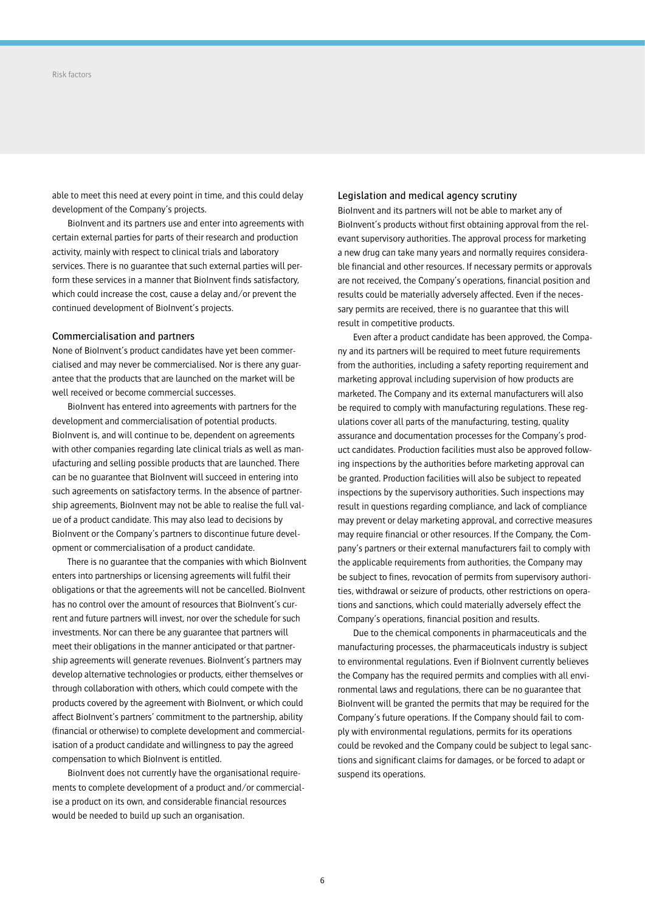able to meet this need at every point in time, and this could delay development of the Company's projects.

BioInvent and its partners use and enter into agreements with certain external parties for parts of their research and production activity, mainly with respect to clinical trials and laboratory services. There is no guarantee that such external parties will perform these services in a manner that BioInvent finds satisfactory, which could increase the cost, cause a delay and/or prevent the continued development of BioInvent's projects.

### Commercialisation and partners

None of BioInvent's product candidates have yet been commercialised and may never be commercialised. Nor is there any guarantee that the products that are launched on the market will be well received or become commercial successes.

BioInvent has entered into agreements with partners for the development and commercialisation of potential products. BioInvent is, and will continue to be, dependent on agreements with other companies regarding late clinical trials as well as manufacturing and selling possible products that are launched. There can be no guarantee that BioInvent will succeed in entering into such agreements on satisfactory terms. In the absence of partnership agreements, BioInvent may not be able to realise the full value of a product candidate. This may also lead to decisions by BioInvent or the Company's partners to discontinue future development or commercialisation of a product candidate.

There is no guarantee that the companies with which BioInvent enters into partnerships or licensing agreements will fulfil their obligations or that the agreements will not be cancelled. BioInvent has no control over the amount of resources that BioInvent's current and future partners will invest, nor over the schedule for such investments. Nor can there be any guarantee that partners will meet their obligations in the manner anticipated or that partnership agreements will generate revenues. BioInvent's partners may develop alternative technologies or products, either themselves or through collaboration with others, which could compete with the products covered by the agreement with BioInvent, or which could affect BioInvent's partners' commitment to the partnership, ability (financial or otherwise) to complete development and commercialisation of a product candidate and willingness to pay the agreed compensation to which BioInvent is entitled.

BioInvent does not currently have the organisational requirements to complete development of a product and/or commercialise a product on its own, and considerable financial resources would be needed to build up such an organisation.

## Legislation and medical agency scrutiny

BioInvent and its partners will not be able to market any of BioInvent's products without first obtaining approval from the relevant supervisory authorities. The approval process for marketing a new drug can take many years and normally requires considerable financial and other resources. If necessary permits or approvals are not received, the Company's operations, financial position and results could be materially adversely affected. Even if the necessary permits are received, there is no guarantee that this will result in competitive products.

Even after a product candidate has been approved, the Company and its partners will be required to meet future requirements from the authorities, including a safety reporting requirement and marketing approval including supervision of how products are marketed. The Company and its external manufacturers will also be required to comply with manufacturing regulations. These regulations cover all parts of the manufacturing, testing, quality assurance and documentation processes for the Company's product candidates. Production facilities must also be approved following inspections by the authorities before marketing approval can be granted. Production facilities will also be subject to repeated inspections by the supervisory authorities. Such inspections may result in questions regarding compliance, and lack of compliance may prevent or delay marketing approval, and corrective measures may require financial or other resources. If the Company, the Company's partners or their external manufacturers fail to comply with the applicable requirements from authorities, the Company may be subject to fines, revocation of permits from supervisory authorities, withdrawal or seizure of products, other restrictions on operations and sanctions, which could materially adversely effect the Company's operations, financial position and results.

Due to the chemical components in pharmaceuticals and the manufacturing processes, the pharmaceuticals industry is subject to environmental regulations. Even if BioInvent currently believes the Company has the required permits and complies with all environmental laws and regulations, there can be no guarantee that BioInvent will be granted the permits that may be required for the Company's future operations. If the Company should fail to comply with environmental regulations, permits for its operations could be revoked and the Company could be subject to legal sanctions and significant claims for damages, or be forced to adapt or suspend its operations.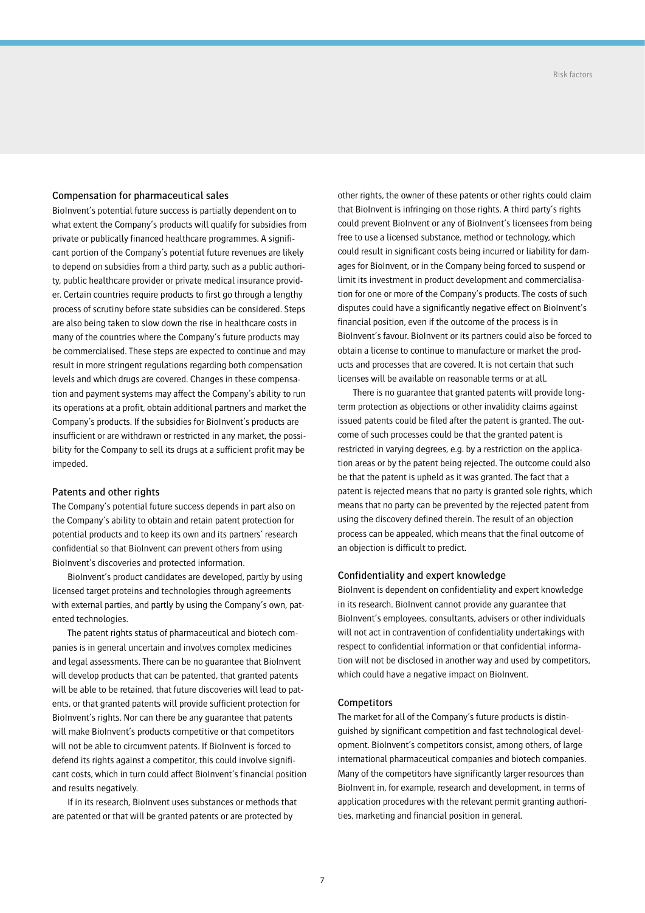## Compensation for pharmaceutical sales

BioInvent's potential future success is partially dependent on to what extent the Company's products will qualify for subsidies from private or publically financed healthcare programmes. A significant portion of the Company's potential future revenues are likely to depend on subsidies from a third party, such as a public authority, public healthcare provider or private medical insurance provider. Certain countries require products to first go through a lengthy process of scrutiny before state subsidies can be considered. Steps are also being taken to slow down the rise in healthcare costs in many of the countries where the Company's future products may be commercialised. These steps are expected to continue and may result in more stringent regulations regarding both compensation levels and which drugs are covered. Changes in these compensation and payment systems may affect the Company's ability to run its operations at a profit, obtain additional partners and market the Company's products. If the subsidies for BioInvent's products are insufficient or are withdrawn or restricted in any market, the possibility for the Company to sell its drugs at a sufficient profit may be impeded.

### Patents and other rights

The Company's potential future success depends in part also on the Company's ability to obtain and retain patent protection for potential products and to keep its own and its partners' research confidential so that BioInvent can prevent others from using BioInvent's discoveries and protected information.

BioInvent's product candidates are developed, partly by using licensed target proteins and technologies through agreements with external parties, and partly by using the Company's own, patented technologies.

The patent rights status of pharmaceutical and biotech companies is in general uncertain and involves complex medicines and legal assessments. There can be no guarantee that BioInvent will develop products that can be patented, that granted patents will be able to be retained, that future discoveries will lead to patents, or that granted patents will provide sufficient protection for BioInvent's rights. Nor can there be any guarantee that patents will make BioInvent's products competitive or that competitors will not be able to circumvent patents. If BioInvent is forced to defend its rights against a competitor, this could involve significant costs, which in turn could affect BioInvent's financial position and results negatively.

If in its research, BioInvent uses substances or methods that are patented or that will be granted patents or are protected by

other rights, the owner of these patents or other rights could claim that BioInvent is infringing on those rights. A third party's rights could prevent BioInvent or any of BioInvent's licensees from being free to use a licensed substance, method or technology, which could result in significant costs being incurred or liability for damages for BioInvent, or in the Company being forced to suspend or limit its investment in product development and commercialisation for one or more of the Company's products. The costs of such disputes could have a significantly negative effect on BioInvent's financial position, even if the outcome of the process is in BioInvent's favour. BioInvent or its partners could also be forced to obtain a license to continue to manufacture or market the products and processes that are covered. It is not certain that such licenses will be available on reasonable terms or at all.

There is no guarantee that granted patents will provide longterm protection as objections or other invalidity claims against issued patents could be filed after the patent is granted. The outcome of such processes could be that the granted patent is restricted in varying degrees, e.g. by a restriction on the application areas or by the patent being rejected. The outcome could also be that the patent is upheld as it was granted. The fact that a patent is rejected means that no party is granted sole rights, which means that no party can be prevented by the rejected patent from using the discovery defined therein. The result of an objection process can be appealed, which means that the final outcome of an objection is difficult to predict.

### Confidentiality and expert knowledge

BioInvent is dependent on confidentiality and expert knowledge in its research. BioInvent cannot provide any guarantee that BioInvent's employees, consultants, advisers or other individuals will not act in contravention of confidentiality undertakings with respect to confidential information or that confidential information will not be disclosed in another way and used by competitors, which could have a negative impact on BioInvent.

#### Competitors

The market for all of the Company's future products is distinguished by significant competition and fast technological development. BioInvent's competitors consist, among others, of large international pharmaceutical companies and biotech companies. Many of the competitors have significantly larger resources than BioInvent in, for example, research and development, in terms of application procedures with the relevant permit granting authorities, marketing and financial position in general.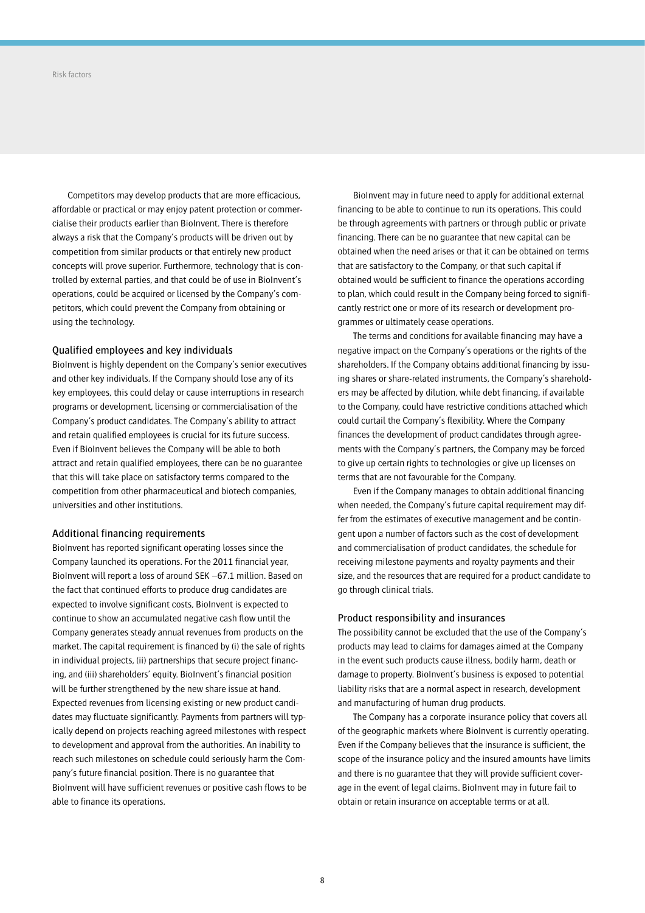Competitors may develop products that are more efficacious, affordable or practical or may enjoy patent protection or commercialise their products earlier than BioInvent. There is therefore always a risk that the Company's products will be driven out by competition from similar products or that entirely new product concepts will prove superior. Furthermore, technology that is controlled by external parties, and that could be of use in BioInvent's operations, could be acquired or licensed by the Company's competitors, which could prevent the Company from obtaining or using the technology.

## Qualified employees and key individuals

BioInvent is highly dependent on the Company's senior executives and other key individuals. If the Company should lose any of its key employees, this could delay or cause interruptions in research programs or development, licensing or commercialisation of the Company's product candidates. The Company's ability to attract and retain qualified employees is crucial for its future success. Even if BioInvent believes the Company will be able to both attract and retain qualified employees, there can be no guarantee that this will take place on satisfactory terms compared to the competition from other pharmaceutical and biotech companies, universities and other institutions.

### Additional financing requirements

BioInvent has reported significant operating losses since the Company launched its operations. For the 2011 financial year, BioInvent will report a loss of around SEK –67.1 million. Based on the fact that continued efforts to produce drug candidates are expected to involve significant costs, BioInvent is expected to continue to show an accumulated negative cash flow until the Company generates steady annual revenues from products on the market. The capital requirement is financed by (i) the sale of rights in individual projects, (ii) partnerships that secure project financing, and (iii) shareholders' equity. BioInvent's financial position will be further strengthened by the new share issue at hand. Expected revenues from licensing existing or new product candidates may fluctuate significantly. Payments from partners will typically depend on projects reaching agreed milestones with respect to development and approval from the authorities. An inability to reach such milestones on schedule could seriously harm the Company's future financial position. There is no guarantee that BioInvent will have sufficient revenues or positive cash flows to be able to finance its operations.

BioInvent may in future need to apply for additional external financing to be able to continue to run its operations. This could be through agreements with partners or through public or private financing. There can be no guarantee that new capital can be obtained when the need arises or that it can be obtained on terms that are satisfactory to the Company, or that such capital if obtained would be sufficient to finance the operations according to plan, which could result in the Company being forced to significantly restrict one or more of its research or development programmes or ultimately cease operations.

The terms and conditions for available financing may have a negative impact on the Company's operations or the rights of the shareholders. If the Company obtains additional financing by issuing shares or share-related instruments, the Company's shareholders may be affected by dilution, while debt financing, if available to the Company, could have restrictive conditions attached which could curtail the Company's flexibility. Where the Company finances the development of product candidates through agreements with the Company's partners, the Company may be forced to give up certain rights to technologies or give up licenses on terms that are not favourable for the Company.

Even if the Company manages to obtain additional financing when needed, the Company's future capital requirement may differ from the estimates of executive management and be contingent upon a number of factors such as the cost of development and commercialisation of product candidates, the schedule for receiving milestone payments and royalty payments and their size, and the resources that are required for a product candidate to go through clinical trials.

### Product responsibility and insurances

The possibility cannot be excluded that the use of the Company's products may lead to claims for damages aimed at the Company in the event such products cause illness, bodily harm, death or damage to property. BioInvent's business is exposed to potential liability risks that are a normal aspect in research, development and manufacturing of human drug products.

The Company has a corporate insurance policy that covers all of the geographic markets where BioInvent is currently operating. Even if the Company believes that the insurance is sufficient, the scope of the insurance policy and the insured amounts have limits and there is no guarantee that they will provide sufficient coverage in the event of legal claims. BioInvent may in future fail to obtain or retain insurance on acceptable terms or at all.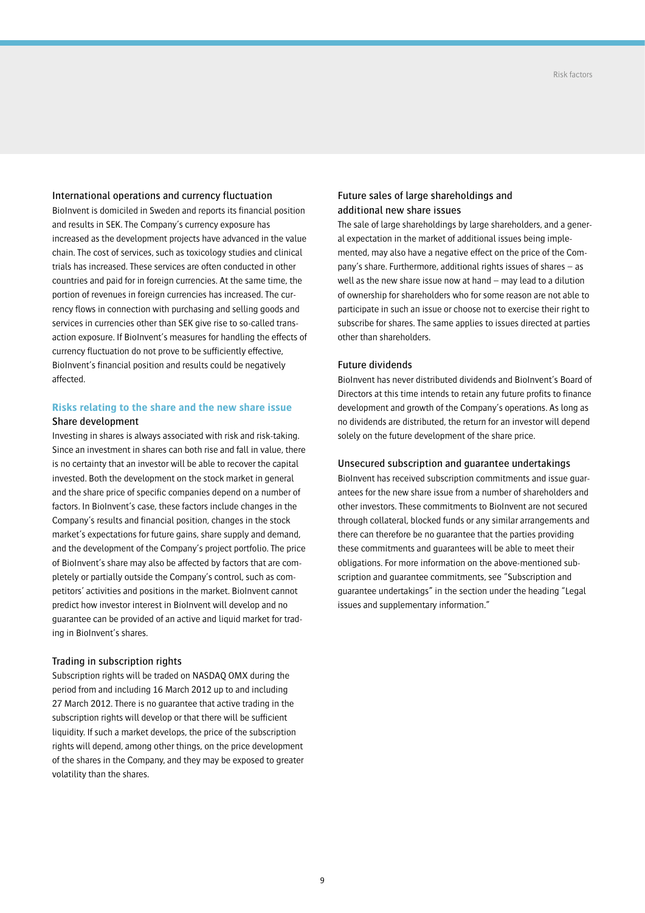## International operations and currency fluctuation

BioInvent is domiciled in Sweden and reports its financial position and results in SEK. The Company's currency exposure has increased as the development projects have advanced in the value chain. The cost of services, such as toxicology studies and clinical trials has increased. These services are often conducted in other countries and paid for in foreign currencies. At the same time, the portion of revenues in foreign currencies has increased. The currency flows in connection with purchasing and selling goods and services in currencies other than SEK give rise to so-called transaction exposure. If BioInvent's measures for handling the effects of currency fluctuation do not prove to be sufficiently effective, BioInvent's financial position and results could be negatively affected.

## **Risks relating to the share and the new share issue** Share development

Investing in shares is always associated with risk and risk-taking. Since an investment in shares can both rise and fall in value, there is no certainty that an investor will be able to recover the capital invested. Both the development on the stock market in general and the share price of specific companies depend on a number of factors. In BioInvent's case, these factors include changes in the Company's results and financial position, changes in the stock market's expectations for future gains, share supply and demand, and the development of the Company's project portfolio. The price of BioInvent's share may also be affected by factors that are completely or partially outside the Company's control, such as competitors' activities and positions in the market. BioInvent cannot predict how investor interest in BioInvent will develop and no guarantee can be provided of an active and liquid market for trading in BioInvent's shares.

### Trading in subscription rights

Subscription rights will be traded on NASDAQ OMX during the period from and including 16 March 2012 up to and including 27 March 2012. There is no guarantee that active trading in the subscription rights will develop or that there will be sufficient liquidity. If such a market develops, the price of the subscription rights will depend, among other things, on the price development of the shares in the Company, and they may be exposed to greater volatility than the shares.

## Future sales of large shareholdings and additional new share issues

The sale of large shareholdings by large shareholders, and a general expectation in the market of additional issues being implemented, may also have a negative effect on the price of the Company's share. Furthermore, additional rights issues of shares – as well as the new share issue now at hand – may lead to a dilution of ownership for shareholders who for some reason are not able to participate in such an issue or choose not to exercise their right to subscribe for shares. The same applies to issues directed at parties other than shareholders.

## Future dividends

BioInvent has never distributed dividends and BioInvent's Board of Directors at this time intends to retain any future profits to finance development and growth of the Company's operations. As long as no dividends are distributed, the return for an investor will depend solely on the future development of the share price.

### Unsecured subscription and guarantee undertakings

BioInvent has received subscription commitments and issue guarantees for the new share issue from a number of shareholders and other investors. These commitments to BioInvent are not secured through collateral, blocked funds or any similar arrangements and there can therefore be no guarantee that the parties providing these commitments and guarantees will be able to meet their obligations. For more information on the above-mentioned subscription and guarantee commitments, see "Subscription and guarantee undertakings" in the section under the heading "Legal issues and supplementary information."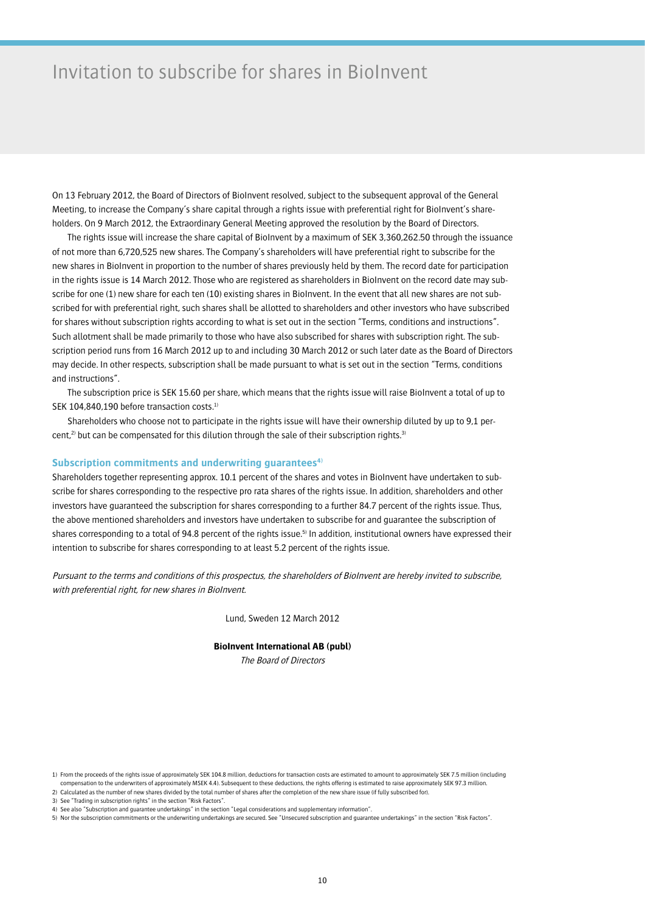## Invitation to subscribe for shares in BioInvent

On 13 February 2012, the Board of Directors of BioInvent resolved, subject to the subsequent approval of the General Meeting, to increase the Company's share capital through a rights issue with preferential right for BioInvent's shareholders. On 9 March 2012, the Extraordinary General Meeting approved the resolution by the Board of Directors.

The rights issue will increase the share capital of BioInvent by a maximum of SEK 3,360,262.50 through the issuance of not more than 6,720,525 new shares. The Company's shareholders will have preferential right to subscribe for the new shares in BioInvent in proportion to the number of shares previously held by them. The record date for participation in the rights issue is 14 March 2012. Those who are registered as shareholders in BioInvent on the record date may subscribe for one (1) new share for each ten (10) existing shares in BioInvent. In the event that all new shares are not subscribed for with preferential right, such shares shall be allotted to shareholders and other investors who have subscribed for shares without subscription rights according to what is set out in the section "Terms, conditions and instructions". Such allotment shall be made primarily to those who have also subscribed for shares with subscription right. The subscription period runs from 16 March 2012 up to and including 30 March 2012 or such later date as the Board of Directors may decide. In other respects, subscription shall be made pursuant to what is set out in the section "Terms, conditions and instructions".

The subscription price is SEK 15.60 per share, which means that the rights issue will raise BioInvent a total of up to SEK 104,840,190 before transaction costs.<sup>1)</sup>

Shareholders who choose not to participate in the rights issue will have their ownership diluted by up to 9,1 percent, $2$ ) but can be compensated for this dilution through the sale of their subscription rights.<sup>31</sup>

### Subscription commitments and underwriting quarantees<sup>4)</sup>

Shareholders together representing approx. 10.1 percent of the shares and votes in BioInvent have undertaken to subscribe for shares corresponding to the respective pro rata shares of the rights issue. In addition, shareholders and other investors have guaranteed the subscription for shares corresponding to a further 84.7 percent of the rights issue. Thus, the above mentioned shareholders and investors have undertaken to subscribe for and guarantee the subscription of shares corresponding to a total of 94.8 percent of the rights issue.<sup>5)</sup> In addition, institutional owners have expressed their intention to subscribe for shares corresponding to at least 5.2 percent of the rights issue.

Pursuant to the terms and conditions of this prospectus, the shareholders of BioInvent are hereby invited to subscribe, with preferential right, for new shares in BioInvent.

Lund, Sweden 12 March 2012

## **BioInvent International AB (publ)**

The Board of Directors

<sup>1)</sup> From the proceeds of the rights issue of approximately SEK 104.8 million, deductions for transaction costs are estimated to amount to approximately SEK 7.5 million (including compensation to the underwriters of approximately MSEK 4.4). Subsequent to these deductions, the rights offering is estimated to raise approximately SEK 97.3 million. 2) Calculated as the number of new shares divided by the total number of shares after the completion of the new share issue (if fully subscribed for).

<sup>3)</sup> See "Trading in subscription rights" in the section "Risk Factors".

<sup>4)</sup> See also "Subscription and guarantee undertakings" in the section "Legal considerations and supplementary information".

<sup>5)</sup> Nor the subscription commitments or the underwriting undertakings are secured. See "Unsecured subscription and guarantee undertakings" in the section "Risk Factors".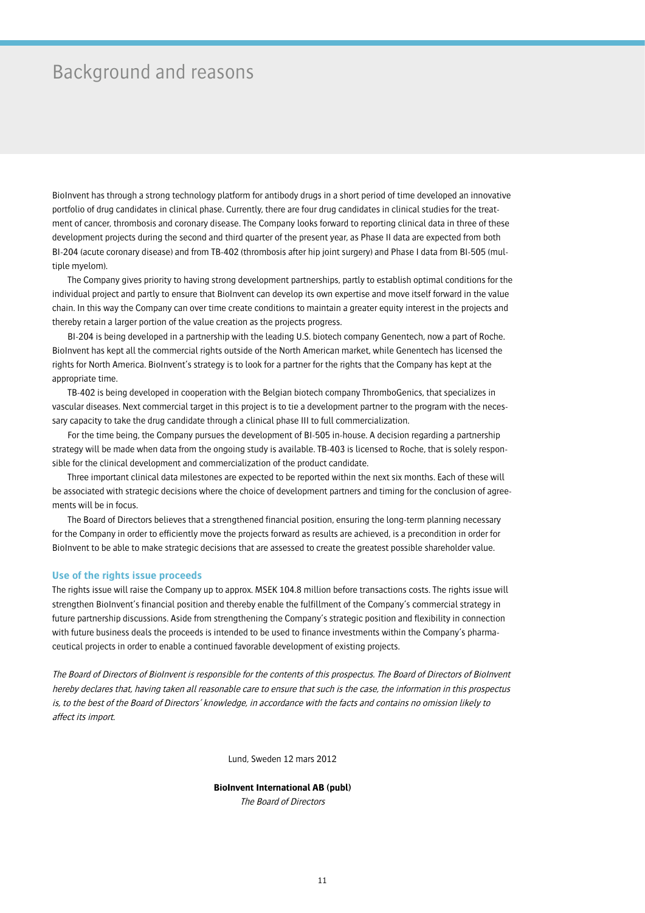## Background and reasons

BioInvent has through a strong technology platform for antibody drugs in a short period of time developed an innovative portfolio of drug candidates in clinical phase. Currently, there are four drug candidates in clinical studies for the treatment of cancer, thrombosis and coronary disease. The Company looks forward to reporting clinical data in three of these development projects during the second and third quarter of the present year, as Phase II data are expected from both BI-204 (acute coronary disease) and from TB-402 (thrombosis after hip joint surgery) and Phase I data from BI-505 (multiple myelom).

The Company gives priority to having strong development partnerships, partly to establish optimal conditions for the individual project and partly to ensure that BioInvent can develop its own expertise and move itself forward in the value chain. In this way the Company can over time create conditions to maintain a greater equity interest in the projects and thereby retain a larger portion of the value creation as the projects progress.

BI-204 is being developed in a partnership with the leading U.S. biotech company Genentech, now a part of Roche. BioInvent has kept all the commercial rights outside of the North American market, while Genentech has licensed the rights for North America. BioInvent's strategy is to look for a partner for the rights that the Company has kept at the appropriate time.

TB-402 is being developed in cooperation with the Belgian biotech company ThromboGenics, that specializes in vascular diseases. Next commercial target in this project is to tie a development partner to the program with the necessary capacity to take the drug candidate through a clinical phase III to full commercialization.

For the time being, the Company pursues the development of BI-505 in-house. A decision regarding a partnership strategy will be made when data from the ongoing study is available. TB-403 is licensed to Roche, that is solely responsible for the clinical development and commercialization of the product candidate.

Three important clinical data milestones are expected to be reported within the next six months. Each of these will be associated with strategic decisions where the choice of development partners and timing for the conclusion of agreements will be in focus.

The Board of Directors believes that a strengthened financial position, ensuring the long-term planning necessary for the Company in order to efficiently move the projects forward as results are achieved, is a precondition in order for BioInvent to be able to make strategic decisions that are assessed to create the greatest possible shareholder value.

### **Use of the rights issue proceeds**

The rights issue will raise the Company up to approx. MSEK 104.8 million before transactions costs. The rights issue will strengthen BioInvent's financial position and thereby enable the fulfillment of the Company's commercial strategy in future partnership discussions. Aside from strengthening the Company's strategic position and flexibility in connection with future business deals the proceeds is intended to be used to finance investments within the Company's pharmaceutical projects in order to enable a continued favorable development of existing projects.

The Board of Directors of BioInvent is responsible for the contents of this prospectus. The Board of Directors of BioInvent hereby declares that, having taken all reasonable care to ensure that such is the case, the information in this prospectus is, to the best of the Board of Directors' knowledge, in accordance with the facts and contains no omission likely to affect its import.

Lund, Sweden 12 mars 2012

## **BioInvent International AB (publ)**

The Board of Directors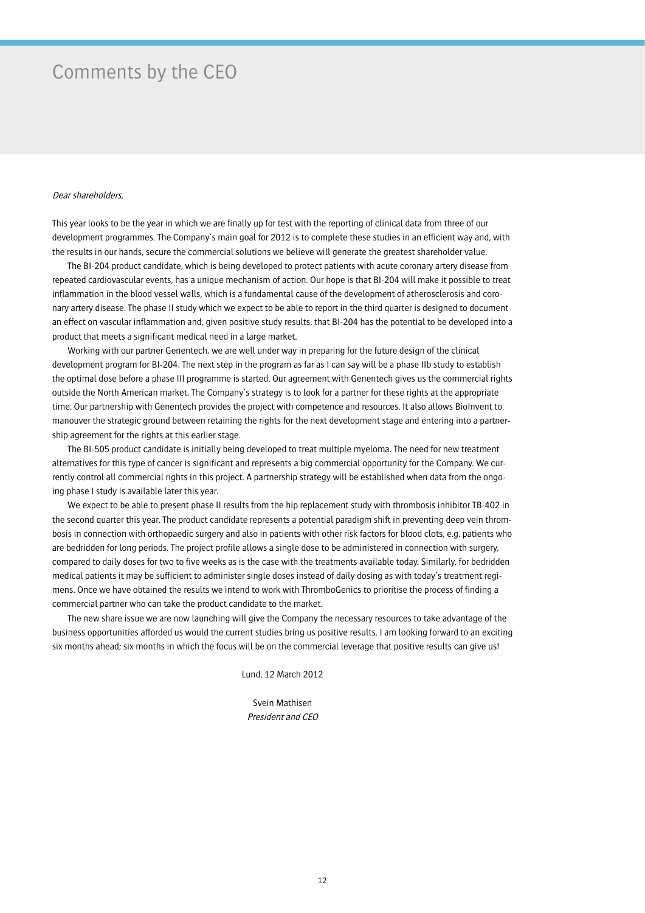## Comments by the CEO

### Dear shareholders,

This year looks to be the year in which we are finally up for test with the reporting of clinical data from three of our development programmes. The Company's main goal for 2012 is to complete these studies in an efficient way and, with the results in our hands, secure the commercial solutions we believe will generate the greatest shareholder value.

The BI-204 product candidate, which is being developed to protect patients with acute coronary artery disease from repeated cardiovascular events, has a unique mechanism of action. Our hope is that BI-204 will make it possible to treat inflammation in the blood vessel walls, which is a fundamental cause of the development of atherosclerosis and coronary artery disease. The phase II study which we expect to be able to report in the third quarter is designed to document an effect on vascular inflammation and, given positive study results, that BI-204 has the potential to be developed into a product that meets a significant medical need in a large market.

Working with our partner Genentech, we are well under way in preparing for the future design of the clinical development program for BI-204. The next step in the program as far as I can say will be a phase IIb study to establish the optimal dose before a phase III programme is started. Our agreement with Genentech gives us the commercial rights outside the North American market. The Company's strategy is to look for a partner for these rights at the appropriate time. Our partnership with Genentech provides the project with competence and resources. It also allows BioInvent to manouver the strategic ground between retaining the rights for the next development stage and entering into a partnership agreement for the rights at this earlier stage.

The BI-505 product candidate is initially being developed to treat multiple myeloma. The need for new treatment alternatives for this type of cancer is significant and represents a big commercial opportunity for the Company. We currently control all commercial rights in this project. A partnership strategy will be established when data from the ongoing phase I study is available later this year.

We expect to be able to present phase II results from the hip replacement study with thrombosis inhibitor TB-402 in the second quarter this year. The product candidate represents a potential paradigm shift in preventing deep vein thrombosis in connection with orthopaedic surgery and also in patients with other risk factors for blood clots, e.g. patients who are bedridden for long periods. The project profile allows a single dose to be administered in connection with surgery, compared to daily doses for two to five weeks as is the case with the treatments available today. Similarly, for bedridden medical patients it may be sufficient to administer single doses instead of daily dosing as with today's treatment regimens. Once we have obtained the results we intend to work with ThromboGenics to prioritise the process of finding a commercial partner who can take the product candidate to the market.

The new share issue we are now launching will give the Company the necessary resources to take advantage of the business opportunities afforded us would the current studies bring us positive results. I am looking forward to an exciting six months ahead; six months in which the focus will be on the commercial leverage that positive results can give us!

Lund, 12 March 2012

Svein Mathisen President and CEO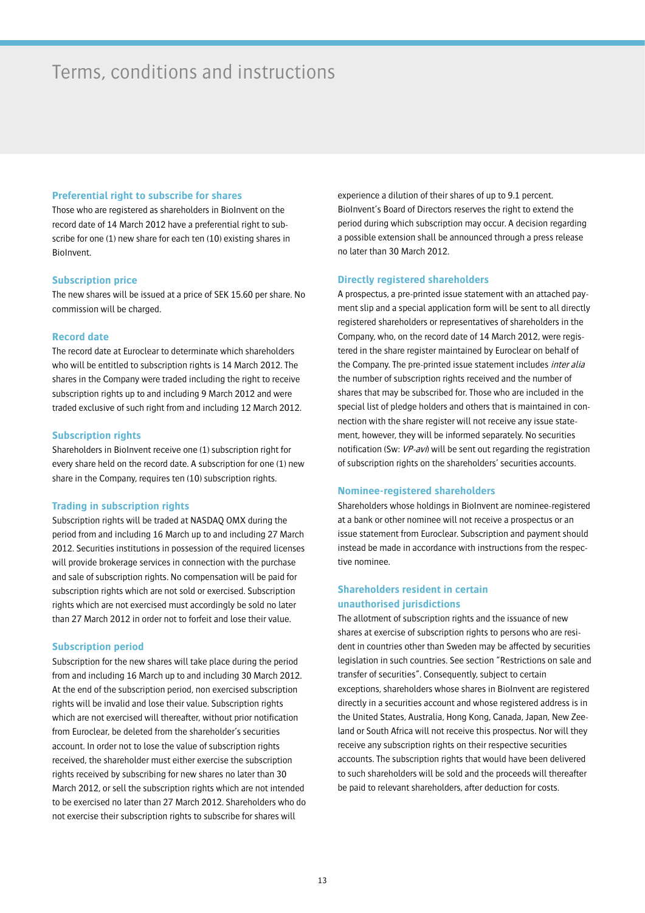## Terms, conditions and instructions

## **Preferential right to subscribe for shares**

Those who are registered as shareholders in BioInvent on the record date of 14 March 2012 have a preferential right to subscribe for one (1) new share for each ten (10) existing shares in BioInvent.

## **Subscription price**

The new shares will be issued at a price of SEK 15.60 per share. No commission will be charged.

## **Record date**

The record date at Euroclear to determinate which shareholders who will be entitled to subscription rights is 14 March 2012. The shares in the Company were traded including the right to receive subscription rights up to and including 9 March 2012 and were traded exclusive of such right from and including 12 March 2012.

## **Subscription rights**

Shareholders in BioInvent receive one (1) subscription right for every share held on the record date. A subscription for one (1) new share in the Company, requires ten (10) subscription rights.

## **Trading in subscription rights**

Subscription rights will be traded at NASDAQ OMX during the period from and including 16 March up to and including 27 March 2012. Securities institutions in possession of the required licenses will provide brokerage services in connection with the purchase and sale of subscription rights. No compensation will be paid for subscription rights which are not sold or exercised. Subscription rights which are not exercised must accordingly be sold no later than 27 March 2012 in order not to forfeit and lose their value.

### **Subscription period**

Subscription for the new shares will take place during the period from and including 16 March up to and including 30 March 2012. At the end of the subscription period, non exercised subscription rights will be invalid and lose their value. Subscription rights which are not exercised will thereafter, without prior notification from Euroclear, be deleted from the shareholder's securities account. In order not to lose the value of subscription rights received, the shareholder must either exercise the subscription rights received by subscribing for new shares no later than 30 March 2012, or sell the subscription rights which are not intended to be exercised no later than 27 March 2012. Shareholders who do not exercise their subscription rights to subscribe for shares will

experience a dilution of their shares of up to 9.1 percent. BioInvent's Board of Directors reserves the right to extend the period during which subscription may occur. A decision regarding a possible extension shall be announced through a press release no later than 30 March 2012.

### **Directly registered shareholders**

A prospectus, a pre-printed issue statement with an attached payment slip and a special application form will be sent to all directly registered shareholders or representatives of shareholders in the Company, who, on the record date of 14 March 2012, were registered in the share register maintained by Euroclear on behalf of the Company. The pre-printed issue statement includes inter alia the number of subscription rights received and the number of shares that may be subscribed for. Those who are included in the special list of pledge holders and others that is maintained in connection with the share register will not receive any issue statement, however, they will be informed separately. No securities notification (Sw: VP-avi) will be sent out regarding the registration of subscription rights on the shareholders' securities accounts.

### **Nominee-registered shareholders**

Shareholders whose holdings in BioInvent are nominee-registered at a bank or other nominee will not receive a prospectus or an issue statement from Euroclear. Subscription and payment should instead be made in accordance with instructions from the respective nominee.

## **Shareholders resident in certain unauthorised jurisdictions**

The allotment of subscription rights and the issuance of new shares at exercise of subscription rights to persons who are resident in countries other than Sweden may be affected by securities legislation in such countries. See section "Restrictions on sale and transfer of securities". Consequently, subject to certain exceptions, shareholders whose shares in BioInvent are registered directly in a securities account and whose registered address is in the United States, Australia, Hong Kong, Canada, Japan, New Zeeland or South Africa will not receive this prospectus. Nor will they receive any subscription rights on their respective securities accounts. The subscription rights that would have been delivered to such shareholders will be sold and the proceeds will thereafter be paid to relevant shareholders, after deduction for costs.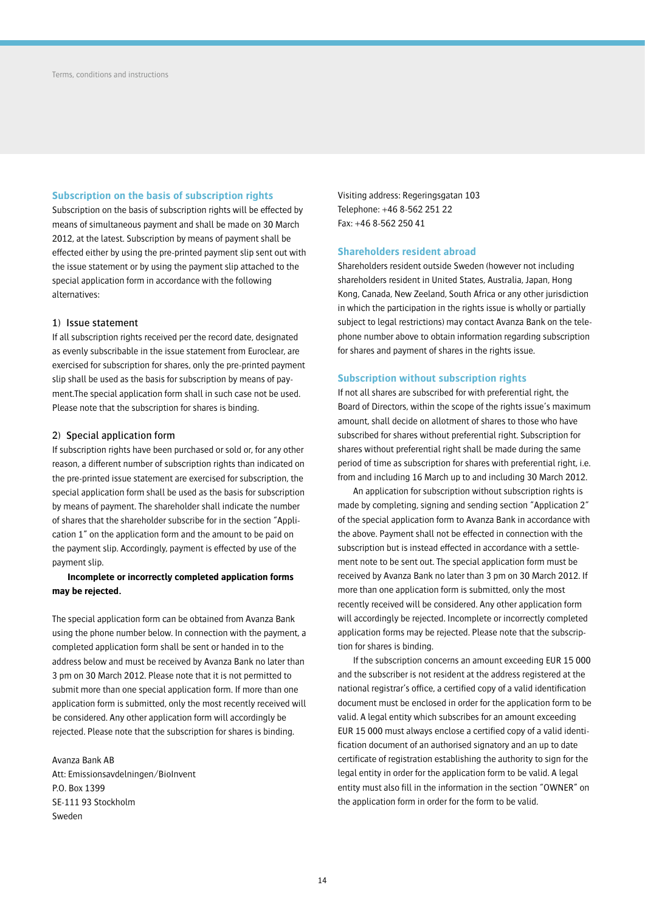## **Subscription on the basis of subscription rights**

Subscription on the basis of subscription rights will be effected by means of simultaneous payment and shall be made on 30 March 2012, at the latest. Subscription by means of payment shall be effected either by using the pre-printed payment slip sent out with the issue statement or by using the payment slip attached to the special application form in accordance with the following alternatives:

### 1) Issue statement

If all subscription rights received per the record date, designated as evenly subscribable in the issue statement from Euroclear, are exercised for subscription for shares, only the pre-printed payment slip shall be used as the basis for subscription by means of payment.The special application form shall in such case not be used. Please note that the subscription for shares is binding.

### 2) Special application form

If subscription rights have been purchased or sold or, for any other reason, a different number of subscription rights than indicated on the pre-printed issue statement are exercised for subscription, the special application form shall be used as the basis for subscription by means of payment. The shareholder shall indicate the number of shares that the shareholder subscribe for in the section "Application 1" on the application form and the amount to be paid on the payment slip. Accordingly, payment is effected by use of the payment slip.

## **Incomplete or incorrectly completed application forms may be rejected.**

The special application form can be obtained from Avanza Bank using the phone number below. In connection with the payment, a completed application form shall be sent or handed in to the address below and must be received by Avanza Bank no later than 3 pm on 30 March 2012. Please note that it is not permitted to submit more than one special application form. If more than one application form is submitted, only the most recently received will be considered. Any other application form will accordingly be rejected. Please note that the subscription for shares is binding.

Avanza Bank AB Att: Emissionsavdelningen/BioInvent P.O. Box 1399 SE-111 93 Stockholm Sweden

Visiting address: Regeringsgatan 103 Telephone: +46 8-562 251 22 Fax: +46 8-562 250 41

#### **Shareholders resident abroad**

Shareholders resident outside Sweden (however not including shareholders resident in United States, Australia, Japan, Hong Kong, Canada, New Zeeland, South Africa or any other jurisdiction in which the participation in the rights issue is wholly or partially subject to legal restrictions) may contact Avanza Bank on the telephone number above to obtain information regarding subscription for shares and payment of shares in the rights issue.

### **Subscription without subscription rights**

If not all shares are subscribed for with preferential right, the Board of Directors, within the scope of the rights issue's maximum amount, shall decide on allotment of shares to those who have subscribed for shares without preferential right. Subscription for shares without preferential right shall be made during the same period of time as subscription for shares with preferential right, i.e. from and including 16 March up to and including 30 March 2012.

An application for subscription without subscription rights is made by completing, signing and sending section "Application 2" of the special application form to Avanza Bank in accordance with the above. Payment shall not be effected in connection with the subscription but is instead effected in accordance with a settlement note to be sent out. The special application form must be received by Avanza Bank no later than 3 pm on 30 March 2012. If more than one application form is submitted, only the most recently received will be considered. Any other application form will accordingly be rejected. Incomplete or incorrectly completed application forms may be rejected. Please note that the subscription for shares is binding.

If the subscription concerns an amount exceeding EUR 15 000 and the subscriber is not resident at the address registered at the national registrar's office, a certified copy of a valid identification document must be enclosed in order for the application form to be valid. A legal entity which subscribes for an amount exceeding EUR 15 000 must always enclose a certified copy of a valid identification document of an authorised signatory and an up to date certificate of registration establishing the authority to sign for the legal entity in order for the application form to be valid. A legal entity must also fill in the information in the section "OWNER" on the application form in order for the form to be valid.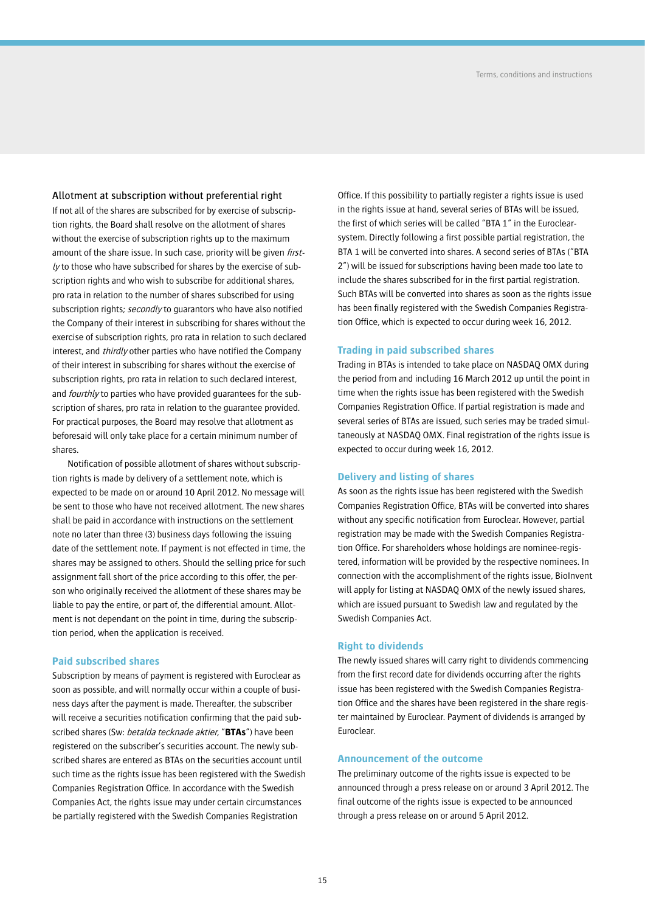Allotment at subscription without preferential right If not all of the shares are subscribed for by exercise of subscription rights, the Board shall resolve on the allotment of shares

without the exercise of subscription rights up to the maximum amount of the share issue. In such case, priority will be given *first* $ly$  to those who have subscribed for shares by the exercise of subscription rights and who wish to subscribe for additional shares, pro rata in relation to the number of shares subscribed for using subscription rights; secondly to guarantors who have also notified the Company of their interest in subscribing for shares without the exercise of subscription rights, pro rata in relation to such declared interest, and *thirdly* other parties who have notified the Company of their interest in subscribing for shares without the exercise of subscription rights, pro rata in relation to such declared interest, and *fourthly* to parties who have provided guarantees for the subscription of shares, pro rata in relation to the guarantee provided. For practical purposes, the Board may resolve that allotment as beforesaid will only take place for a certain minimum number of shares.

Notification of possible allotment of shares without subscription rights is made by delivery of a settlement note, which is expected to be made on or around 10 April 2012. No message will be sent to those who have not received allotment. The new shares shall be paid in accordance with instructions on the settlement note no later than three (3) business days following the issuing date of the settlement note. If payment is not effected in time, the shares may be assigned to others. Should the selling price for such assignment fall short of the price according to this offer, the person who originally received the allotment of these shares may be liable to pay the entire, or part of, the differential amount. Allotment is not dependant on the point in time, during the subscription period, when the application is received.

### **Paid subscribed shares**

Subscription by means of payment is registered with Euroclear as soon as possible, and will normally occur within a couple of business days after the payment is made. Thereafter, the subscriber will receive a securities notification confirming that the paid subscribed shares (Sw: betalda tecknade aktier, "**BTAs**") have been registered on the subscriber's securities account. The newly subscribed shares are entered as BTAs on the securities account until such time as the rights issue has been registered with the Swedish Companies Registration Office. In accordance with the Swedish Companies Act, the rights issue may under certain circumstances be partially registered with the Swedish Companies Registration

Office. If this possibility to partially register a rights issue is used in the rights issue at hand, several series of BTAs will be issued, the first of which series will be called "BTA 1" in the Euroclearsystem. Directly following a first possible partial registration, the BTA 1 will be converted into shares. A second series of BTAs ("BTA 2") will be issued for subscriptions having been made too late to include the shares subscribed for in the first partial registration. Such BTAs will be converted into shares as soon as the rights issue has been finally registered with the Swedish Companies Registration Office, which is expected to occur during week 16, 2012.

## **Trading in paid subscribed shares**

Trading in BTAs is intended to take place on NASDAQ OMX during the period from and including 16 March 2012 up until the point in time when the rights issue has been registered with the Swedish Companies Registration Office. If partial registration is made and several series of BTAs are issued, such series may be traded simultaneously at NASDAQ OMX. Final registration of the rights issue is expected to occur during week 16, 2012.

## **Delivery and listing of shares**

As soon as the rights issue has been registered with the Swedish Companies Registration Office, BTAs will be converted into shares without any specific notification from Euroclear. However, partial registration may be made with the Swedish Companies Registration Office. For shareholders whose holdings are nominee-registered, information will be provided by the respective nominees. In connection with the accomplishment of the rights issue, BioInvent will apply for listing at NASDAQ OMX of the newly issued shares, which are issued pursuant to Swedish law and regulated by the Swedish Companies Act.

## **Right to dividends**

The newly issued shares will carry right to dividends commencing from the first record date for dividends occurring after the rights issue has been registered with the Swedish Companies Registration Office and the shares have been registered in the share register maintained by Euroclear. Payment of dividends is arranged by Euroclear.

### **Announcement of the outcome**

The preliminary outcome of the rights issue is expected to be announced through a press release on or around 3 April 2012. The final outcome of the rights issue is expected to be announced through a press release on or around 5 April 2012.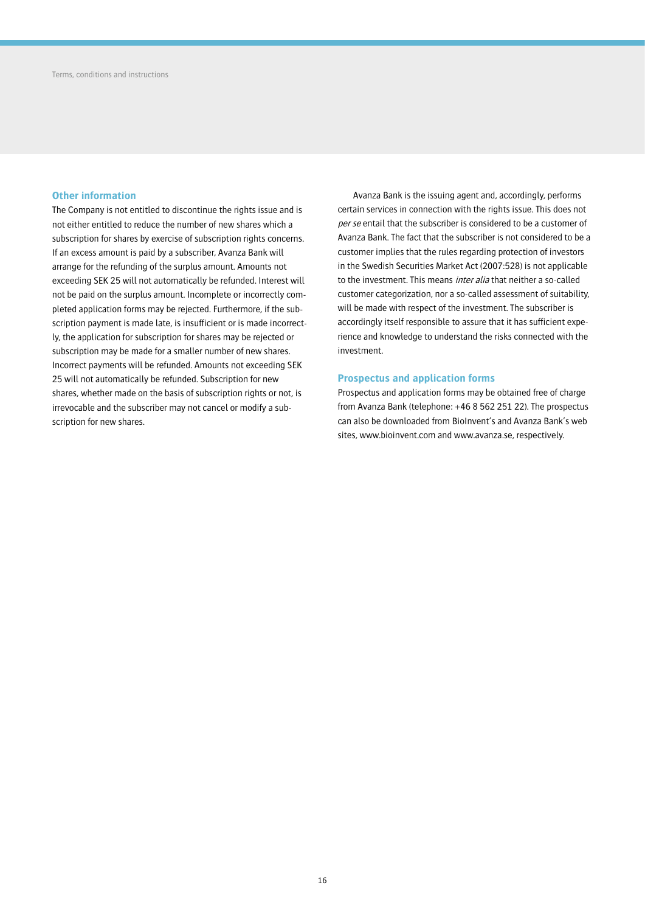## **Other information**

The Company is not entitled to discontinue the rights issue and is not either entitled to reduce the number of new shares which a subscription for shares by exercise of subscription rights concerns. If an excess amount is paid by a subscriber, Avanza Bank will arrange for the refunding of the surplus amount. Amounts not exceeding SEK 25 will not automatically be refunded. Interest will not be paid on the surplus amount. Incomplete or incorrectly completed application forms may be rejected. Furthermore, if the subscription payment is made late, is insufficient or is made incorrectly, the application for subscription for shares may be rejected or subscription may be made for a smaller number of new shares. Incorrect payments will be refunded. Amounts not exceeding SEK 25 will not automatically be refunded. Subscription for new shares, whether made on the basis of subscription rights or not, is irrevocable and the subscriber may not cancel or modify a subscription for new shares.

Avanza Bank is the issuing agent and, accordingly, performs certain services in connection with the rights issue. This does not per se entail that the subscriber is considered to be a customer of Avanza Bank. The fact that the subscriber is not considered to be a customer implies that the rules regarding protection of investors in the Swedish Securities Market Act (2007:528) is not applicable to the investment. This means *inter alia* that neither a so-called customer categorization, nor a so-called assessment of suitability, will be made with respect of the investment. The subscriber is accordingly itself responsible to assure that it has sufficient experience and knowledge to understand the risks connected with the investment.

## **Prospectus and application forms**

Prospectus and application forms may be obtained free of charge from Avanza Bank (telephone: +46 8 562 251 22). The prospectus can also be downloaded from BioInvent's and Avanza Bank's web sites, www.bioinvent.com and www.avanza.se, respectively.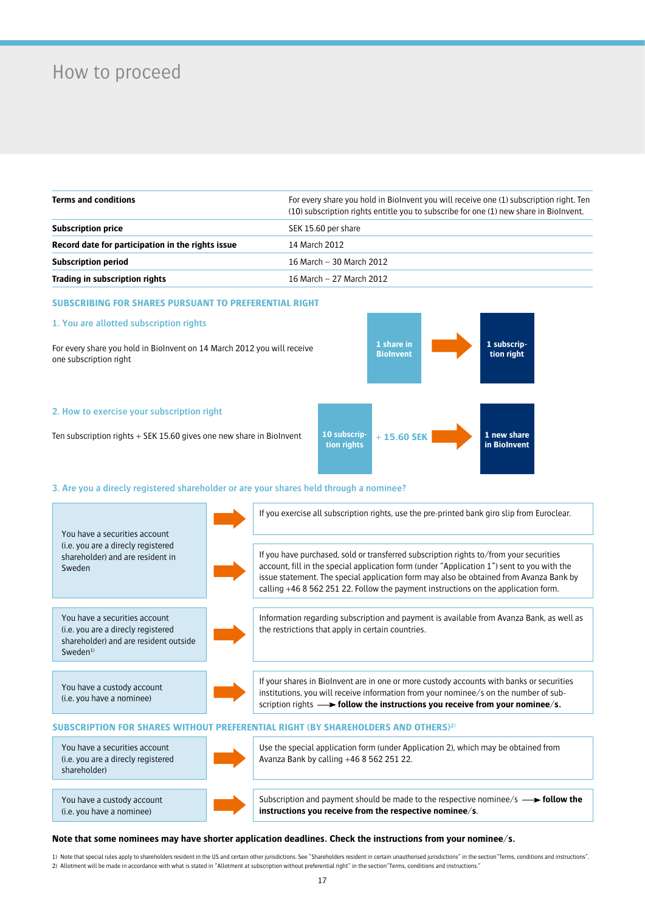# How to proceed

| <b>Terms and conditions</b>                       | For every share you hold in Biolnyent you will receive one (1) subscription right. Ten<br>(10) subscription rights entitle you to subscribe for one (1) new share in Biolnvent. |  |
|---------------------------------------------------|---------------------------------------------------------------------------------------------------------------------------------------------------------------------------------|--|
| <b>Subscription price</b>                         | SEK 15.60 per share                                                                                                                                                             |  |
| Record date for participation in the rights issue | 14 March 2012                                                                                                                                                                   |  |
| <b>Subscription period</b>                        | 16 March - 30 March 2012                                                                                                                                                        |  |
| Trading in subscription rights                    | 16 March - 27 March 2012                                                                                                                                                        |  |

## **SUBSCRIBING FOR SHARES PURSUANT TO PREFERENTIAL RIGHT**

## **1. You are allotted subscription rights**

For every share you hold in BioInvent on 14 March 2012 you will receive one subscription right



Ten subscription rights + SEK 15.60 gives one new share in BioInvent



## **3. Are you a direcly registered shareholder or are your shares held through a nominee?**

| You have a securities account                                                                                                       | If you exercise all subscription rights, use the pre-printed bank giro slip from Euroclear.                                                                                                                                                                                                                                                                          |
|-------------------------------------------------------------------------------------------------------------------------------------|----------------------------------------------------------------------------------------------------------------------------------------------------------------------------------------------------------------------------------------------------------------------------------------------------------------------------------------------------------------------|
| (i.e. you are a directy registered<br>shareholder) and are resident in<br>Sweden                                                    | If you have purchased, sold or transferred subscription rights to/from your securities<br>account, fill in the special application form (under "Application 1") sent to you with the<br>issue statement. The special application form may also be obtained from Avanza Bank by<br>calling +46 8 562 251 22. Follow the payment instructions on the application form. |
| You have a securities account<br>(i.e. you are a direcly registered<br>shareholder) and are resident outside<br>Sweden <sup>1</sup> | Information regarding subscription and payment is available from Avanza Bank, as well as<br>the restrictions that apply in certain countries.                                                                                                                                                                                                                        |
| You have a custody account<br>(i.e. you have a nominee)                                                                             | If your shares in BioInvent are in one or more custody accounts with banks or securities<br>institutions, you will receive information from your nominee/s on the number of sub-<br>scription rights $\longrightarrow$ follow the instructions you receive from your nominee/s.                                                                                      |
|                                                                                                                                     | SUBSCRIPTION FOR SHARES WITHOUT PREFERENTIAL RIGHT (BY SHAREHOLDERS AND OTHERS) <sup>2)</sup>                                                                                                                                                                                                                                                                        |
| You have a securities account<br>(i.e. you are a directy registered<br>shareholder)                                                 | Use the special application form (under Application 2), which may be obtained from<br>Avanza Bank by calling +46 8 562 251 22.                                                                                                                                                                                                                                       |
| You have a custody account<br>(i.e. you have a nominee)                                                                             | Subscription and payment should be made to the respective nominee/s $\rightarrow$ follow the<br>instructions you receive from the respective nominee/s.                                                                                                                                                                                                              |

### **Note that some nominees may have shorter application deadlines. Check the instructions from your nominee/s.**

1) Note that special rules apply to shareholders resident in the US and certain other jurisdictions. See "Shareholders resident in certain unauthorised jurisdictions" in the section"Terms, conditions and instructions". 2) Allotment will be made in accordance with what is stated in "Allotment at subscription without preferential right" in the section"Terms, conditions and instructions."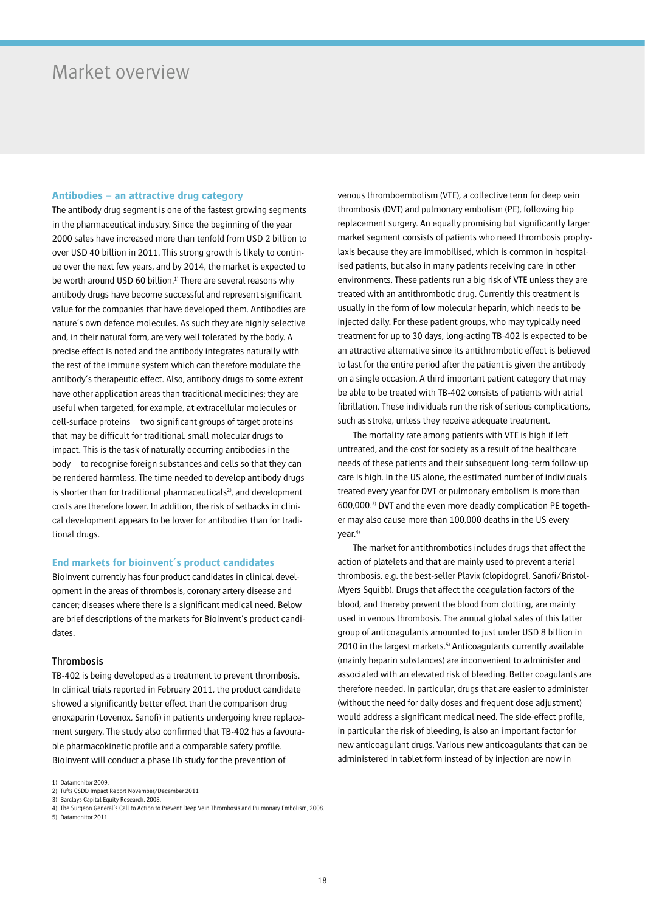## Market overview

## **Antibodies – an attractive drug category**

The antibody drug segment is one of the fastest growing segments in the pharmaceutical industry. Since the beginning of the year 2000 sales have increased more than tenfold from USD 2 billion to over USD 40 billion in 2011. This strong growth is likely to continue over the next few years, and by 2014, the market is expected to be worth around USD 60 billion.<sup>1)</sup> There are several reasons why antibody drugs have become successful and represent significant value for the companies that have developed them. Antibodies are nature's own defence molecules. As such they are highly selective and, in their natural form, are very well tolerated by the body. A precise effect is noted and the antibody integrates naturally with the rest of the immune system which can therefore modulate the antibody's therapeutic effect. Also, antibody drugs to some extent have other application areas than traditional medicines; they are useful when targeted, for example, at extracellular molecules or cell-surface proteins – two significant groups of target proteins that may be difficult for traditional, small molecular drugs to impact. This is the task of naturally occurring antibodies in the body – to recognise foreign substances and cells so that they can be rendered harmless. The time needed to develop antibody drugs is shorter than for traditional pharmaceuticals<sup>2</sup>, and development costs are therefore lower. In addition, the risk of setbacks in clinical development appears to be lower for antibodies than for traditional drugs.

## **End markets for bioinvent's product candidates**

BioInvent currently has four product candidates in clinical development in the areas of thrombosis, coronary artery disease and cancer; diseases where there is a significant medical need. Below are brief descriptions of the markets for BioInvent's product candidates.

### Thrombosis

TB-402 is being developed as a treatment to prevent thrombosis. In clinical trials reported in February 2011, the product candidate showed a significantly better effect than the comparison drug enoxaparin (Lovenox, Sanofi) in patients undergoing knee replacement surgery. The study also confirmed that TB-402 has a favourable pharmacokinetic profile and a comparable safety profile. BioInvent will conduct a phase IIb study for the prevention of

1) Datamonitor 2009.

3) Barclays Capital Equity Research, 2008.

5) Datamonitor 2011.

venous thromboembolism (VTE), a collective term for deep vein thrombosis (DVT) and pulmonary embolism (PE), following hip replacement surgery. An equally promising but significantly larger market segment consists of patients who need thrombosis prophylaxis because they are immobilised, which is common in hospitalised patients, but also in many patients receiving care in other environments. These patients run a big risk of VTE unless they are treated with an antithrombotic drug. Currently this treatment is usually in the form of low molecular heparin, which needs to be injected daily. For these patient groups, who may typically need treatment for up to 30 days, long-acting TB-402 is expected to be an attractive alternative since its antithrombotic effect is believed to last for the entire period after the patient is given the antibody on a single occasion. A third important patient category that may be able to be treated with TB-402 consists of patients with atrial fibrillation. These individuals run the risk of serious complications, such as stroke, unless they receive adequate treatment.

The mortality rate among patients with VTE is high if left untreated, and the cost for society as a result of the healthcare needs of these patients and their subsequent long-term follow-up care is high. In the US alone, the estimated number of individuals treated every year for DVT or pulmonary embolism is more than 600,000.3) DVT and the even more deadly complication PE together may also cause more than 100,000 deaths in the US every year.4)

The market for antithrombotics includes drugs that affect the action of platelets and that are mainly used to prevent arterial thrombosis, e.g. the best-seller Plavix (clopidogrel, Sanofi/Bristol-Myers Squibb). Drugs that affect the coagulation factors of the blood, and thereby prevent the blood from clotting, are mainly used in venous thrombosis. The annual global sales of this latter group of anticoagulants amounted to just under USD 8 billion in 2010 in the largest markets.<sup>5)</sup> Anticoagulants currently available (mainly heparin substances) are inconvenient to administer and associated with an elevated risk of bleeding. Better coagulants are therefore needed. In particular, drugs that are easier to administer (without the need for daily doses and frequent dose adjustment) would address a significant medical need. The side-effect profile, in particular the risk of bleeding, is also an important factor for new anticoagulant drugs. Various new anticoagulants that can be administered in tablet form instead of by injection are now in

<sup>2)</sup> Tufts CSDD Impact Report November/December 2011

<sup>4)</sup> The Surgeon General's Call to Action to Prevent Deep Vein Thrombosis and Pulmonary Embolism, 2008.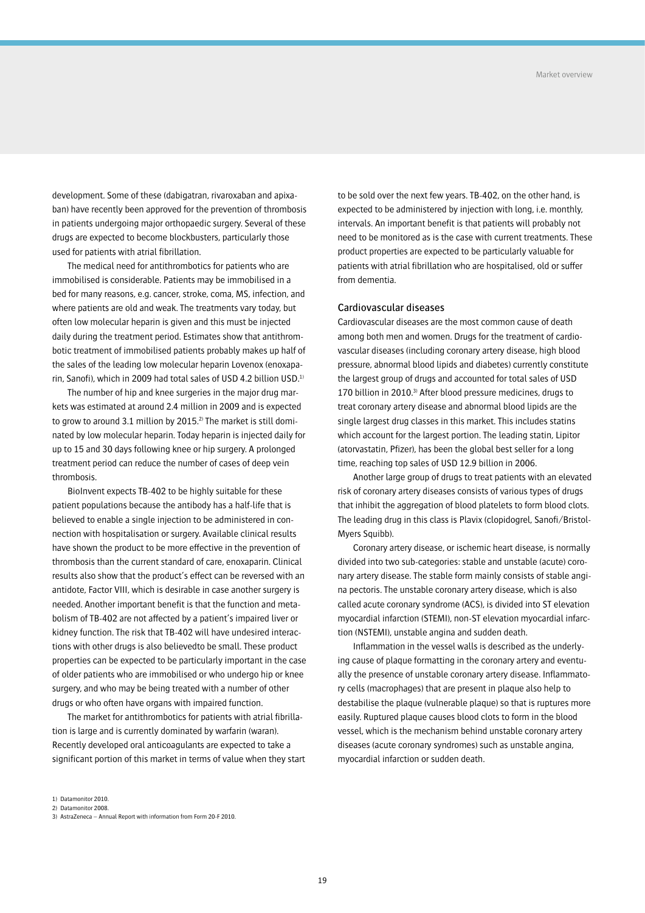development. Some of these (dabigatran, rivaroxaban and apixaban) have recently been approved for the prevention of thrombosis in patients undergoing major orthopaedic surgery. Several of these drugs are expected to become blockbusters, particularly those used for patients with atrial fibrillation.

The medical need for antithrombotics for patients who are immobilised is considerable. Patients may be immobilised in a bed for many reasons, e.g. cancer, stroke, coma, MS, infection, and where patients are old and weak. The treatments vary today, but often low molecular heparin is given and this must be injected daily during the treatment period. Estimates show that antithrombotic treatment of immobilised patients probably makes up half of the sales of the leading low molecular heparin Lovenox (enoxaparin, Sanofi), which in 2009 had total sales of USD 4.2 billion USD.1)

The number of hip and knee surgeries in the major drug markets was estimated at around 2.4 million in 2009 and is expected to grow to around 3.1 million by 2015.<sup>2)</sup> The market is still dominated by low molecular heparin. Today heparin is injected daily for up to 15 and 30 days following knee or hip surgery. A prolonged treatment period can reduce the number of cases of deep vein thrombosis.

BioInvent expects TB-402 to be highly suitable for these patient populations because the antibody has a half-life that is believed to enable a single injection to be administered in connection with hospitalisation or surgery. Available clinical results have shown the product to be more effective in the prevention of thrombosis than the current standard of care, enoxaparin. Clinical results also show that the product's effect can be reversed with an antidote, Factor VIII, which is desirable in case another surgery is needed. Another important benefit is that the function and metabolism of TB-402 are not affected by a patient's impaired liver or kidney function. The risk that TB-402 will have undesired interactions with other drugs is also believedto be small. These product properties can be expected to be particularly important in the case of older patients who are immobilised or who undergo hip or knee surgery, and who may be being treated with a number of other drugs or who often have organs with impaired function.

The market for antithrombotics for patients with atrial fibrillation is large and is currently dominated by warfarin (waran). Recently developed oral anticoagulants are expected to take a significant portion of this market in terms of value when they start to be sold over the next few years. TB-402, on the other hand, is expected to be administered by injection with long, i.e. monthly, intervals. An important benefit is that patients will probably not need to be monitored as is the case with current treatments. These product properties are expected to be particularly valuable for patients with atrial fibrillation who are hospitalised, old or suffer from dementia.

## Cardiovascular diseases

Cardiovascular diseases are the most common cause of death among both men and women. Drugs for the treatment of cardiovascular diseases (including coronary artery disease, high blood pressure, abnormal blood lipids and diabetes) currently constitute the largest group of drugs and accounted for total sales of USD 170 billion in 2010.<sup>3)</sup> After blood pressure medicines, drugs to treat coronary artery disease and abnormal blood lipids are the single largest drug classes in this market. This includes statins which account for the largest portion. The leading statin, Lipitor (atorvastatin, Pfizer), has been the global best seller for a long time, reaching top sales of USD 12.9 billion in 2006.

Another large group of drugs to treat patients with an elevated risk of coronary artery diseases consists of various types of drugs that inhibit the aggregation of blood platelets to form blood clots. The leading drug in this class is Plavix (clopidogrel, Sanofi/Bristol-Myers Squibb).

Coronary artery disease, or ischemic heart disease, is normally divided into two sub-categories: stable and unstable (acute) coronary artery disease. The stable form mainly consists of stable angina pectoris. The unstable coronary artery disease, which is also called acute coronary syndrome (ACS), is divided into ST elevation myocardial infarction (STEMI), non-ST elevation myocardial infarction (NSTEMI), unstable angina and sudden death.

Inflammation in the vessel walls is described as the underlying cause of plaque formatting in the coronary artery and eventually the presence of unstable coronary artery disease. Inflammatory cells (macrophages) that are present in plaque also help to destabilise the plaque (vulnerable plaque) so that is ruptures more easily. Ruptured plaque causes blood clots to form in the blood vessel, which is the mechanism behind unstable coronary artery diseases (acute coronary syndromes) such as unstable angina, myocardial infarction or sudden death.

1) Datamonitor 2010.

2) Datamonitor 2008.

<sup>3)</sup> AstraZeneca – Annual Report with information from Form 20-F 2010.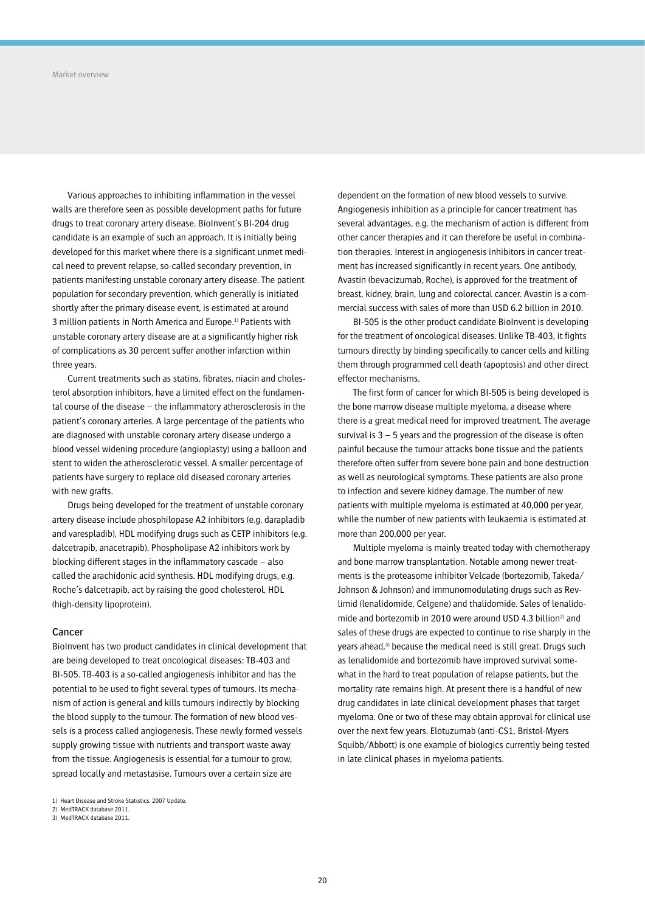Various approaches to inhibiting inflammation in the vessel walls are therefore seen as possible development paths for future drugs to treat coronary artery disease. BioInvent's BI-204 drug candidate is an example of such an approach. It is initially being developed for this market where there is a significant unmet medical need to prevent relapse, so-called secondary prevention, in patients manifesting unstable coronary artery disease. The patient population for secondary prevention, which generally is initiated shortly after the primary disease event, is estimated at around 3 million patients in North America and Europe.<sup>1)</sup> Patients with unstable coronary artery disease are at a significantly higher risk of complications as 30 percent suffer another infarction within three years.

Current treatments such as statins, fibrates, niacin and cholesterol absorption inhibitors, have a limited effect on the fundamental course of the disease – the inflammatory atherosclerosis in the patient's coronary arteries. A large percentage of the patients who are diagnosed with unstable coronary artery disease undergo a blood vessel widening procedure (angioplasty) using a balloon and stent to widen the atherosclerotic vessel. A smaller percentage of patients have surgery to replace old diseased coronary arteries with new grafts.

Drugs being developed for the treatment of unstable coronary artery disease include phosphilopase A2 inhibitors (e.g. darapladib and varespladib), HDL modifying drugs such as CETP inhibitors (e.g. dalcetrapib, anacetrapib). Phospholipase A2 inhibitors work by blocking different stages in the inflammatory cascade – also called the arachidonic acid synthesis. HDL modifying drugs, e.g. Roche's dalcetrapib, act by raising the good cholesterol, HDL (high-density lipoprotein).

### Cancer

BioInvent has two product candidates in clinical development that are being developed to treat oncological diseases: TB-403 and BI-505. TB-403 is a so-called angiogenesis inhibitor and has the potential to be used to fight several types of tumours. Its mechanism of action is general and kills tumours indirectly by blocking the blood supply to the tumour. The formation of new blood vessels is a process called angiogenesis. These newly formed vessels supply growing tissue with nutrients and transport waste away from the tissue. Angiogenesis is essential for a tumour to grow, spread locally and metastasise. Tumours over a certain size are

dependent on the formation of new blood vessels to survive. Angiogenesis inhibition as a principle for cancer treatment has several advantages, e.g. the mechanism of action is different from other cancer therapies and it can therefore be useful in combination therapies. Interest in angiogenesis inhibitors in cancer treatment has increased significantly in recent years. One antibody, Avastin (bevacizumab, Roche), is approved for the treatment of breast, kidney, brain, lung and colorectal cancer. Avastin is a commercial success with sales of more than USD 6.2 billion in 2010.

BI-505 is the other product candidate BioInvent is developing for the treatment of oncological diseases. Unlike TB-403, it fights tumours directly by binding specifically to cancer cells and killing them through programmed cell death (apoptosis) and other direct effector mechanisms.

The first form of cancer for which BI-505 is being developed is the bone marrow disease multiple myeloma, a disease where there is a great medical need for improved treatment. The average survival is  $3 - 5$  years and the progression of the disease is often painful because the tumour attacks bone tissue and the patients therefore often suffer from severe bone pain and bone destruction as well as neurological symptoms. These patients are also prone to infection and severe kidney damage. The number of new patients with multiple myeloma is estimated at 40,000 per year, while the number of new patients with leukaemia is estimated at more than 200,000 per year.

Multiple myeloma is mainly treated today with chemotherapy and bone marrow transplantation. Notable among newer treatments is the proteasome inhibitor Velcade (bortezomib, Takeda/ Johnson & Johnson) and immunomodulating drugs such as Revlimid (lenalidomide, Celgene) and thalidomide. Sales of lenalidomide and bortezomib in 2010 were around USD 4.3 billion<sup>2)</sup> and sales of these drugs are expected to continue to rise sharply in the years ahead,<sup>3)</sup> because the medical need is still great. Drugs such as lenalidomide and bortezomib have improved survival somewhat in the hard to treat population of relapse patients, but the mortality rate remains high. At present there is a handful of new drug candidates in late clinical development phases that target myeloma. One or two of these may obtain approval for clinical use over the next few years. Elotuzumab (anti-CS1, Bristol-Myers Squibb/Abbott) is one example of biologics currently being tested in late clinical phases in myeloma patients.

<sup>1)</sup> Heart Disease and Stroke Statistics, 2007 Update.

<sup>2)</sup> MedTRACK database 2011.

<sup>3)</sup> MedTRACK database 2011.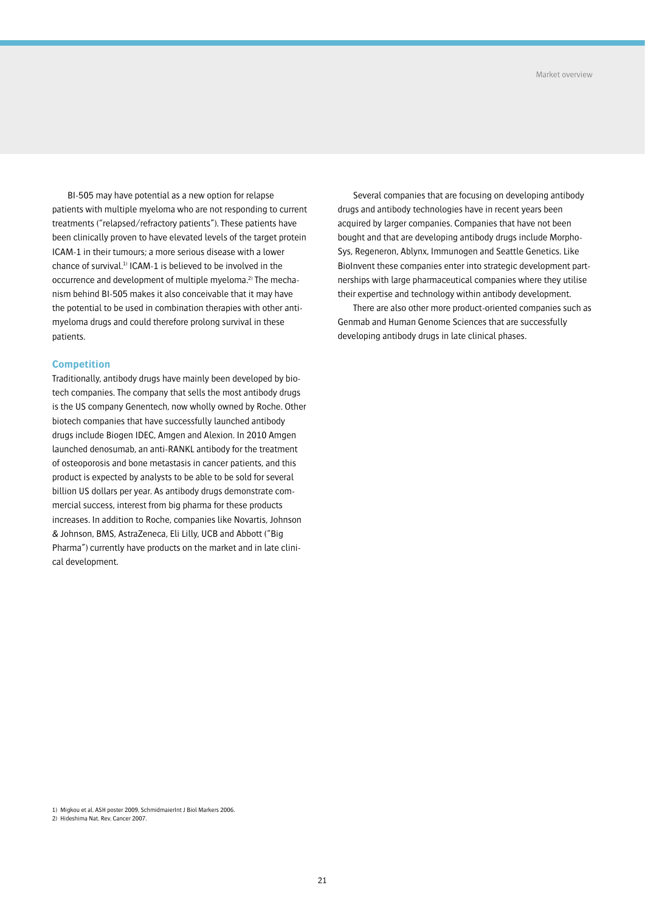BI-505 may have potential as a new option for relapse patients with multiple myeloma who are not responding to current treatments ("relapsed/refractory patients"). These patients have been clinically proven to have elevated levels of the target protein ICAM-1 in their tumours; a more serious disease with a lower chance of survival.1) ICAM-1 is believed to be involved in the occurrence and development of multiple myeloma.<sup>2)</sup> The mechanism behind BI-505 makes it also conceivable that it may have the potential to be used in combination therapies with other antimyeloma drugs and could therefore prolong survival in these patients.

## **Competition**

Traditionally, antibody drugs have mainly been developed by biotech companies. The company that sells the most antibody drugs is the US company Genentech, now wholly owned by Roche. Other biotech companies that have successfully launched antibody drugs include Biogen IDEC, Amgen and Alexion. In 2010 Amgen launched denosumab, an anti-RANKL antibody for the treatment of osteoporosis and bone metastasis in cancer patients, and this product is expected by analysts to be able to be sold for several billion US dollars per year. As antibody drugs demonstrate commercial success, interest from big pharma for these products increases. In addition to Roche, companies like Novartis, Johnson & Johnson, BMS, AstraZeneca, Eli Lilly, UCB and Abbott ("Big Pharma") currently have products on the market and in late clinical development.

Several companies that are focusing on developing antibody drugs and antibody technologies have in recent years been acquired by larger companies. Companies that have not been bought and that are developing antibody drugs include Morpho-Sys, Regeneron, Ablynx, Immunogen and Seattle Genetics. Like BioInvent these companies enter into strategic development partnerships with large pharmaceutical companies where they utilise their expertise and technology within antibody development.

There are also other more product-oriented companies such as Genmab and Human Genome Sciences that are successfully developing antibody drugs in late clinical phases.

2) Hideshima Nat. Rev. Cancer 2007.

<sup>1)</sup> Migkou et al. ASH poster 2009, SchmidmaierInt J Biol Markers 2006.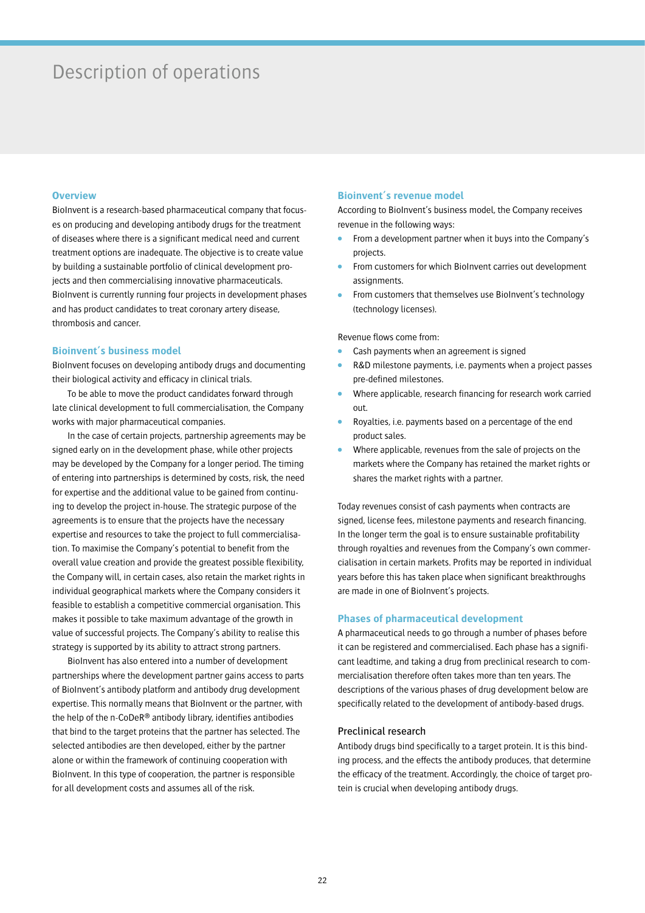## Description of operations

## **Overview**

BioInvent is a research-based pharmaceutical company that focuses on producing and developing antibody drugs for the treatment of diseases where there is a significant medical need and current treatment options are inadequate. The objective is to create value by building a sustainable portfolio of clinical development projects and then commercialising innovative pharmaceuticals. BioInvent is currently running four projects in development phases and has product candidates to treat coronary artery disease, thrombosis and cancer.

## **Bioinvent's business model**

BioInvent focuses on developing antibody drugs and documenting their biological activity and efficacy in clinical trials.

To be able to move the product candidates forward through late clinical development to full commercialisation, the Company works with major pharmaceutical companies.

In the case of certain projects, partnership agreements may be signed early on in the development phase, while other projects may be developed by the Company for a longer period. The timing of entering into partnerships is determined by costs, risk, the need for expertise and the additional value to be gained from continuing to develop the project in-house. The strategic purpose of the agreements is to ensure that the projects have the necessary expertise and resources to take the project to full commercialisation. To maximise the Company's potential to benefit from the overall value creation and provide the greatest possible flexibility, the Company will, in certain cases, also retain the market rights in individual geographical markets where the Company considers it feasible to establish a competitive commercial organisation. This makes it possible to take maximum advantage of the growth in value of successful projects. The Company's ability to realise this strategy is supported by its ability to attract strong partners.

BioInvent has also entered into a number of development partnerships where the development partner gains access to parts of BioInvent's antibody platform and antibody drug development expertise. This normally means that BioInvent or the partner, with the help of the n-CoDeR® antibody library, identifies antibodies that bind to the target proteins that the partner has selected. The selected antibodies are then developed, either by the partner alone or within the framework of continuing cooperation with BioInvent. In this type of cooperation, the partner is responsible for all development costs and assumes all of the risk.

## **Bioinvent's revenue model**

According to BioInvent's business model, the Company receives revenue in the following ways:

- From a development partner when it buys into the Company's projects.
- From customers for which BioInvent carries out development assignments.
- From customers that themselves use BioInvent's technology (technology licenses).

Revenue flows come from:

- Cash payments when an agreement is signed
- R&D milestone payments, i.e. payments when a project passes pre-defined milestones.
- Where applicable, research financing for research work carried out.
- Royalties, i.e. payments based on a percentage of the end product sales.
- Where applicable, revenues from the sale of projects on the markets where the Company has retained the market rights or shares the market rights with a partner.

Today revenues consist of cash payments when contracts are signed, license fees, milestone payments and research financing. In the longer term the goal is to ensure sustainable profitability through royalties and revenues from the Company's own commercialisation in certain markets. Profits may be reported in individual years before this has taken place when significant breakthroughs are made in one of BioInvent's projects.

### **Phases of pharmaceutical development**

A pharmaceutical needs to go through a number of phases before it can be registered and commercialised. Each phase has a significant leadtime, and taking a drug from preclinical research to commercialisation therefore often takes more than ten years. The descriptions of the various phases of drug development below are specifically related to the development of antibody-based drugs.

## Preclinical research

Antibody drugs bind specifically to a target protein. It is this binding process, and the effects the antibody produces, that determine the efficacy of the treatment. Accordingly, the choice of target protein is crucial when developing antibody drugs.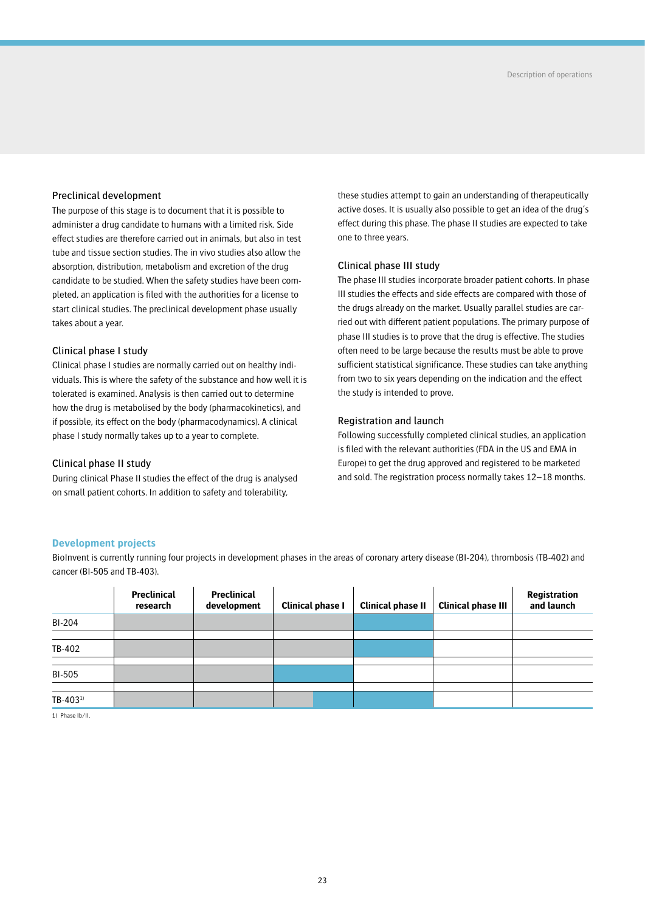## Preclinical development

The purpose of this stage is to document that it is possible to administer a drug candidate to humans with a limited risk. Side effect studies are therefore carried out in animals, but also in test tube and tissue section studies. The in vivo studies also allow the absorption, distribution, metabolism and excretion of the drug candidate to be studied. When the safety studies have been completed, an application is filed with the authorities for a license to start clinical studies. The preclinical development phase usually takes about a year.

## Clinical phase I study

Clinical phase I studies are normally carried out on healthy individuals. This is where the safety of the substance and how well it is tolerated is examined. Analysis is then carried out to determine how the drug is metabolised by the body (pharmacokinetics), and if possible, its effect on the body (pharmacodynamics). A clinical phase I study normally takes up to a year to complete.

## Clinical phase II study

During clinical Phase II studies the effect of the drug is analysed on small patient cohorts. In addition to safety and tolerability,

these studies attempt to gain an understanding of therapeutically active doses. It is usually also possible to get an idea of the drug's effect during this phase. The phase II studies are expected to take one to three years.

## Clinical phase III study

The phase III studies incorporate broader patient cohorts. In phase III studies the effects and side effects are compared with those of the drugs already on the market. Usually parallel studies are carried out with different patient populations. The primary purpose of phase III studies is to prove that the drug is effective. The studies often need to be large because the results must be able to prove sufficient statistical significance. These studies can take anything from two to six years depending on the indication and the effect the study is intended to prove.

## Registration and launch

Following successfully completed clinical studies, an application is filed with the relevant authorities (FDA in the US and EMA in Europe) to get the drug approved and registered to be marketed and sold. The registration process normally takes 12–18 months.

## **Development projects**

BioInvent is currently running four projects in development phases in the areas of coronary artery disease (BI-204), thrombosis (TB-402) and cancer (BI-505 and TB-403).

|                      | Preclinical<br>research | <b>Preclinical</b><br>development | Clinical phase I | <b>Clinical phase II</b> | <b>Clinical phase III</b> | Registration<br>and launch |
|----------------------|-------------------------|-----------------------------------|------------------|--------------------------|---------------------------|----------------------------|
| BI-204               |                         |                                   |                  |                          |                           |                            |
|                      |                         |                                   |                  |                          |                           |                            |
| TB-402               |                         |                                   |                  |                          |                           |                            |
|                      |                         |                                   |                  |                          |                           |                            |
| <b>BI-505</b>        |                         |                                   |                  |                          |                           |                            |
|                      |                         |                                   |                  |                          |                           |                            |
| TB-403 <sup>1)</sup> |                         |                                   |                  |                          |                           |                            |

1) Phase Ib/II.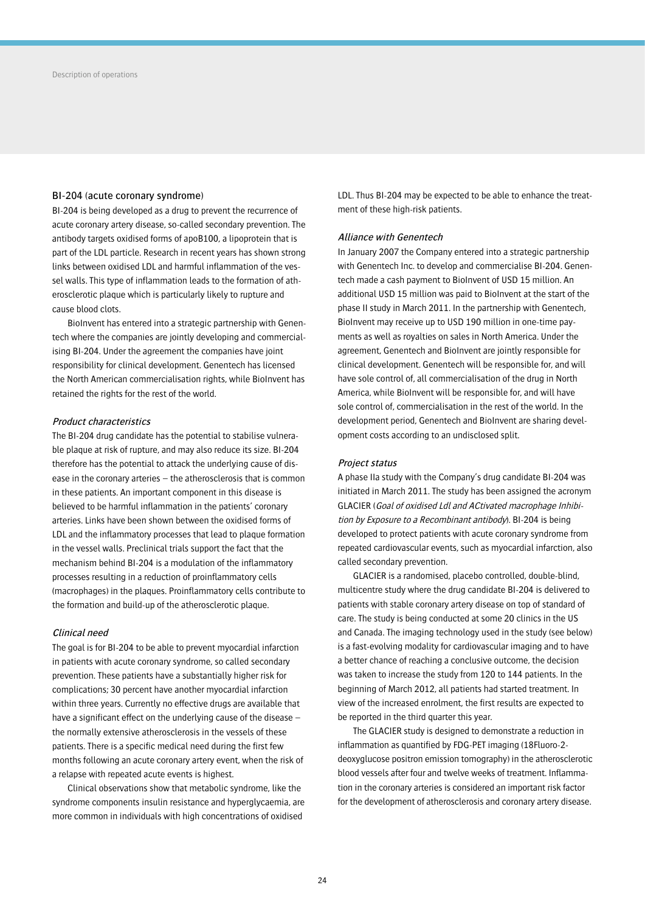## BI-204 (acute coronary syndrome)

BI-204 is being developed as a drug to prevent the recurrence of acute coronary artery disease, so-called secondary prevention. The antibody targets oxidised forms of apoB100, a lipoprotein that is part of the LDL particle. Research in recent years has shown strong links between oxidised LDL and harmful inflammation of the vessel walls. This type of inflammation leads to the formation of atherosclerotic plaque which is particularly likely to rupture and cause blood clots.

BioInvent has entered into a strategic partnership with Genentech where the companies are jointly developing and commercialising BI-204. Under the agreement the companies have joint responsibility for clinical development. Genentech has licensed the North American commercialisation rights, while BioInvent has retained the rights for the rest of the world.

## Product characteristics

The BI-204 drug candidate has the potential to stabilise vulnerable plaque at risk of rupture, and may also reduce its size. BI-204 therefore has the potential to attack the underlying cause of disease in the coronary arteries – the atherosclerosis that is common in these patients. An important component in this disease is believed to be harmful inflammation in the patients' coronary arteries. Links have been shown between the oxidised forms of LDL and the inflammatory processes that lead to plaque formation in the vessel walls. Preclinical trials support the fact that the mechanism behind BI-204 is a modulation of the inflammatory processes resulting in a reduction of proinflammatory cells (macrophages) in the plaques. Proinflammatory cells contribute to the formation and build-up of the atherosclerotic plaque.

#### Clinical need

The goal is for BI-204 to be able to prevent myocardial infarction in patients with acute coronary syndrome, so called secondary prevention. These patients have a substantially higher risk for complications; 30 percent have another myocardial infarction within three years. Currently no effective drugs are available that have a significant effect on the underlying cause of the disease – the normally extensive atherosclerosis in the vessels of these patients. There is a specific medical need during the first few months following an acute coronary artery event, when the risk of a relapse with repeated acute events is highest.

Clinical observations show that metabolic syndrome, like the syndrome components insulin resistance and hyperglycaemia, are more common in individuals with high concentrations of oxidised

LDL. Thus BI-204 may be expected to be able to enhance the treatment of these high-risk patients.

## Alliance with Genentech

In January 2007 the Company entered into a strategic partnership with Genentech Inc. to develop and commercialise BI-204. Genentech made a cash payment to BioInvent of USD 15 million. An additional USD 15 million was paid to BioInvent at the start of the phase II study in March 2011. In the partnership with Genentech, BioInvent may receive up to USD 190 million in one-time payments as well as royalties on sales in North America. Under the agreement, Genentech and BioInvent are jointly responsible for clinical development. Genentech will be responsible for, and will have sole control of, all commercialisation of the drug in North America, while BioInvent will be responsible for, and will have sole control of, commercialisation in the rest of the world. In the development period, Genentech and BioInvent are sharing development costs according to an undisclosed split.

### Project status

A phase IIa study with the Company's drug candidate BI-204 was initiated in March 2011. The study has been assigned the acronym GLACIER (Goal of oxidised Ldl and ACtivated macrophage Inhibition by Exposure to a Recombinant antibody). BI-204 is being developed to protect patients with acute coronary syndrome from repeated cardiovascular events, such as myocardial infarction, also called secondary prevention.

GLACIER is a randomised, placebo controlled, double-blind, multicentre study where the drug candidate BI-204 is delivered to patients with stable coronary artery disease on top of standard of care. The study is being conducted at some 20 clinics in the US and Canada. The imaging technology used in the study (see below) is a fast-evolving modality for cardiovascular imaging and to have a better chance of reaching a conclusive outcome, the decision was taken to increase the study from 120 to 144 patients. In the beginning of March 2012, all patients had started treatment. In view of the increased enrolment, the first results are expected to be reported in the third quarter this year.

The GLACIER study is designed to demonstrate a reduction in inflammation as quantified by FDG-PET imaging (18Fluoro-2 deoxyglucose positron emission tomography) in the atherosclerotic blood vessels after four and twelve weeks of treatment. Inflammation in the coronary arteries is considered an important risk factor for the development of atherosclerosis and coronary artery disease.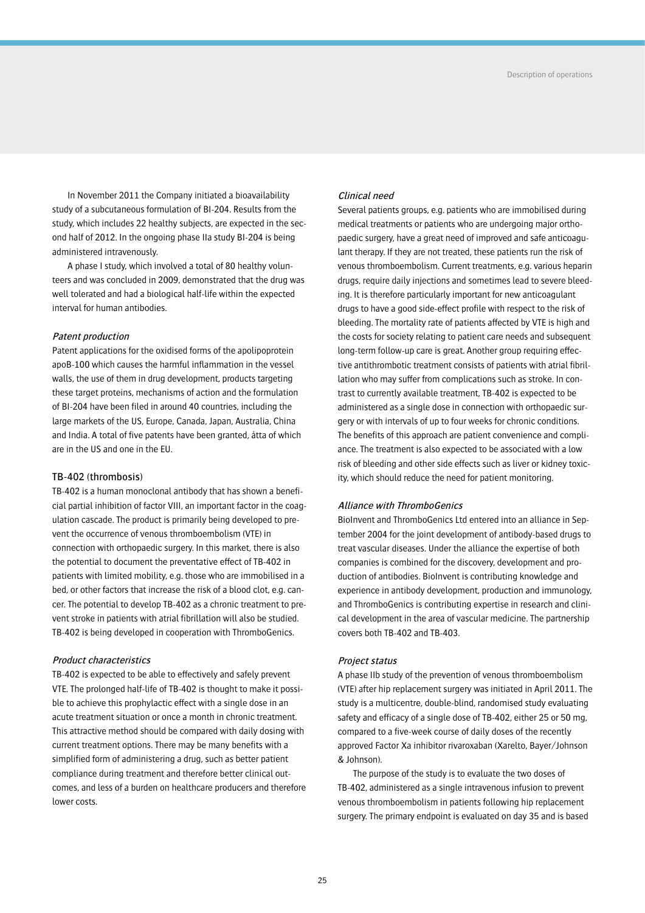In November 2011 the Company initiated a bioavailability study of a subcutaneous formulation of BI-204. Results from the study, which includes 22 healthy subjects, are expected in the second half of 2012. In the ongoing phase IIa study BI-204 is being administered intravenously.

A phase I study, which involved a total of 80 healthy volunteers and was concluded in 2009, demonstrated that the drug was well tolerated and had a biological half-life within the expected interval for human antibodies.

### Patent production

Patent applications for the oxidised forms of the apolipoprotein apoB-100 which causes the harmful inflammation in the vessel walls, the use of them in drug development, products targeting these target proteins, mechanisms of action and the formulation of BI-204 have been filed in around 40 countries, including the large markets of the US, Europe, Canada, Japan, Australia, China and India. A total of five patents have been granted, åtta of which are in the US and one in the EU.

### TB-402 (thrombosis)

TB-402 is a human monoclonal antibody that has shown a beneficial partial inhibition of factor VIII, an important factor in the coagulation cascade. The product is primarily being developed to prevent the occurrence of venous thromboembolism (VTE) in connection with orthopaedic surgery. In this market, there is also the potential to document the preventative effect of TB-402 in patients with limited mobility, e.g. those who are immobilised in a bed, or other factors that increase the risk of a blood clot, e.g. cancer. The potential to develop TB-402 as a chronic treatment to prevent stroke in patients with atrial fibrillation will also be studied. TB-402 is being developed in cooperation with ThromboGenics.

## Product characteristics

TB-402 is expected to be able to effectively and safely prevent VTE. The prolonged half-life of TB-402 is thought to make it possible to achieve this prophylactic effect with a single dose in an acute treatment situation or once a month in chronic treatment. This attractive method should be compared with daily dosing with current treatment options. There may be many benefits with a simplified form of administering a drug, such as better patient compliance during treatment and therefore better clinical outcomes, and less of a burden on healthcare producers and therefore lower costs.

## Clinical need

Several patients groups, e.g. patients who are immobilised during medical treatments or patients who are undergoing major orthopaedic surgery, have a great need of improved and safe anticoagulant therapy. If they are not treated, these patients run the risk of venous thromboembolism. Current treatments, e.g. various heparin drugs, require daily injections and sometimes lead to severe bleeding. It is therefore particularly important for new anticoagulant drugs to have a good side-effect profile with respect to the risk of bleeding. The mortality rate of patients affected by VTE is high and the costs for society relating to patient care needs and subsequent long-term follow-up care is great. Another group requiring effective antithrombotic treatment consists of patients with atrial fibrillation who may suffer from complications such as stroke. In contrast to currently available treatment, TB-402 is expected to be administered as a single dose in connection with orthopaedic surgery or with intervals of up to four weeks for chronic conditions. The benefits of this approach are patient convenience and compliance. The treatment is also expected to be associated with a low risk of bleeding and other side effects such as liver or kidney toxicity, which should reduce the need for patient monitoring.

### Alliance with ThromboGenics

BioInvent and ThromboGenics Ltd entered into an alliance in September 2004 for the joint development of antibody-based drugs to treat vascular diseases. Under the alliance the expertise of both companies is combined for the discovery, development and production of antibodies. BioInvent is contributing knowledge and experience in antibody development, production and immunology, and ThromboGenics is contributing expertise in research and clinical development in the area of vascular medicine. The partnership covers both TB-402 and TB-403.

## Project status

A phase IIb study of the prevention of venous thromboembolism (VTE) after hip replacement surgery was initiated in April 2011. The study is a multicentre, double-blind, randomised study evaluating safety and efficacy of a single dose of TB-402, either 25 or 50 mg, compared to a five-week course of daily doses of the recently approved Factor Xa inhibitor rivaroxaban (Xarelto, Bayer/Johnson & Johnson).

The purpose of the study is to evaluate the two doses of TB-402, administered as a single intravenous infusion to prevent venous thromboembolism in patients following hip replacement surgery. The primary endpoint is evaluated on day 35 and is based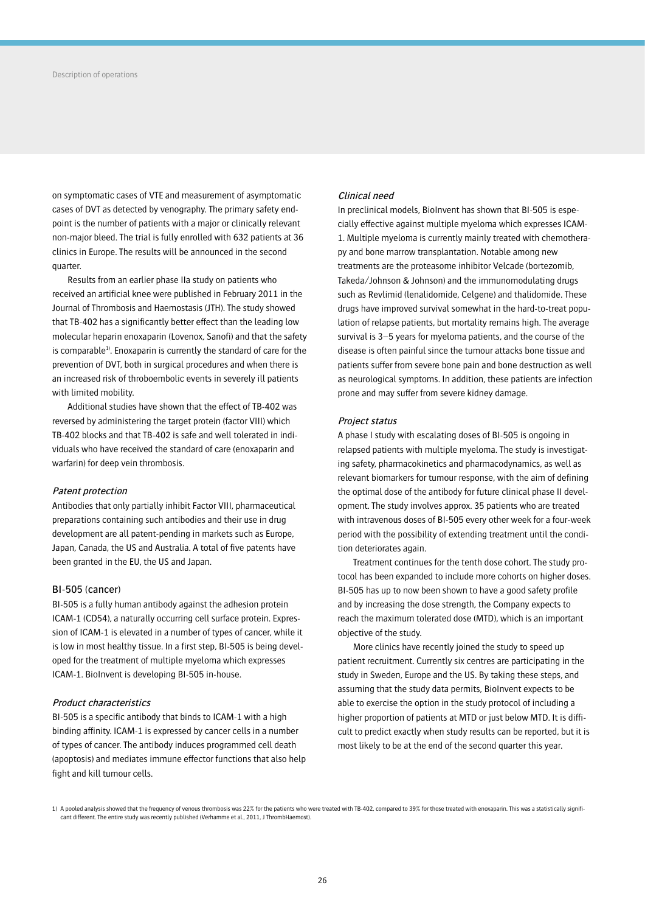on symptomatic cases of VTE and measurement of asymptomatic cases of DVT as detected by venography. The primary safety endpoint is the number of patients with a major or clinically relevant non-major bleed. The trial is fully enrolled with 632 patients at 36 clinics in Europe. The results will be announced in the second quarter.

Results from an earlier phase IIa study on patients who received an artificial knee were published in February 2011 in the Journal of Thrombosis and Haemostasis (JTH). The study showed that TB-402 has a significantly better effect than the leading low molecular heparin enoxaparin (Lovenox, Sanofi) and that the safety is comparable<sup>1)</sup>. Enoxaparin is currently the standard of care for the prevention of DVT, both in surgical procedures and when there is an increased risk of throboembolic events in severely ill patients with limited mobility.

Additional studies have shown that the effect of TB-402 was reversed by administering the target protein (factor VIII) which TB-402 blocks and that TB-402 is safe and well tolerated in individuals who have received the standard of care (enoxaparin and warfarin) for deep vein thrombosis.

#### Patent protection

Antibodies that only partially inhibit Factor VIII, pharmaceutical preparations containing such antibodies and their use in drug development are all patent-pending in markets such as Europe, Japan, Canada, the US and Australia. A total of five patents have been granted in the EU, the US and Japan.

### BI-505 (cancer)

BI-505 is a fully human antibody against the adhesion protein ICAM-1 (CD54), a naturally occurring cell surface protein. Expression of ICAM-1 is elevated in a number of types of cancer, while it is low in most healthy tissue. In a first step, BI-505 is being developed for the treatment of multiple myeloma which expresses ICAM-1. BioInvent is developing BI-505 in-house.

### Product characteristics

BI-505 is a specific antibody that binds to ICAM-1 with a high binding affinity. ICAM-1 is expressed by cancer cells in a number of types of cancer. The antibody induces programmed cell death (apoptosis) and mediates immune effector functions that also help fight and kill tumour cells.

## Clinical need

In preclinical models, BioInvent has shown that BI-505 is especially effective against multiple myeloma which expresses ICAM-1. Multiple myeloma is currently mainly treated with chemotherapy and bone marrow transplantation. Notable among new treatments are the proteasome inhibitor Velcade (bortezomib, Takeda/Johnson & Johnson) and the immunomodulating drugs such as Revlimid (lenalidomide, Celgene) and thalidomide. These drugs have improved survival somewhat in the hard-to-treat population of relapse patients, but mortality remains high. The average survival is 3–5 years for myeloma patients, and the course of the disease is often painful since the tumour attacks bone tissue and patients suffer from severe bone pain and bone destruction as well as neurological symptoms. In addition, these patients are infection prone and may suffer from severe kidney damage.

### Project status

A phase I study with escalating doses of BI-505 is ongoing in relapsed patients with multiple myeloma. The study is investigating safety, pharmacokinetics and pharmacodynamics, as well as relevant biomarkers for tumour response, with the aim of defining the optimal dose of the antibody for future clinical phase II development. The study involves approx. 35 patients who are treated with intravenous doses of BI-505 every other week for a four-week period with the possibility of extending treatment until the condition deteriorates again.

Treatment continues for the tenth dose cohort. The study protocol has been expanded to include more cohorts on higher doses. BI-505 has up to now been shown to have a good safety profile and by increasing the dose strength, the Company expects to reach the maximum tolerated dose (MTD), which is an important objective of the study.

More clinics have recently joined the study to speed up patient recruitment. Currently six centres are participating in the study in Sweden, Europe and the US. By taking these steps, and assuming that the study data permits, BioInvent expects to be able to exercise the option in the study protocol of including a higher proportion of patients at MTD or just below MTD. It is difficult to predict exactly when study results can be reported, but it is most likely to be at the end of the second quarter this year.

<sup>1)</sup> A pooled analysis showed that the frequency of venous thrombosis was 22% for the patients who were treated with TB-402, compared to 39% for those treated with enoxaparin. This was a statistically significant different. The entire study was recently published (Verhamme et al., 2011, J ThrombHaemost).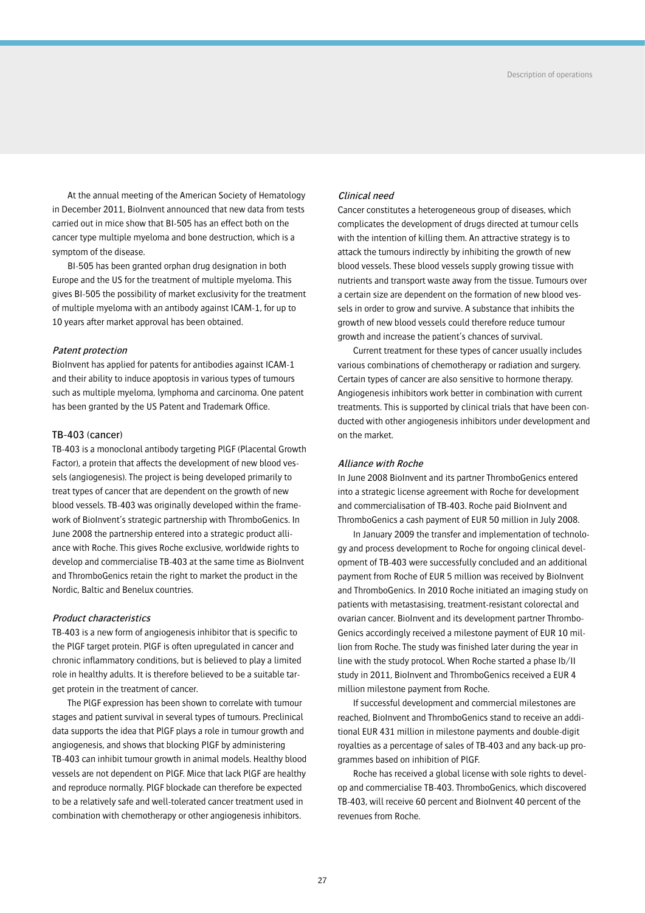At the annual meeting of the American Society of Hematology in December 2011, BioInvent announced that new data from tests carried out in mice show that BI-505 has an effect both on the cancer type multiple myeloma and bone destruction, which is a symptom of the disease.

BI-505 has been granted orphan drug designation in both Europe and the US for the treatment of multiple myeloma. This gives BI-505 the possibility of market exclusivity for the treatment of multiple myeloma with an antibody against ICAM-1, for up to 10 years after market approval has been obtained.

### Patent protection

BioInvent has applied for patents for antibodies against ICAM-1 and their ability to induce apoptosis in various types of tumours such as multiple myeloma, lymphoma and carcinoma. One patent has been granted by the US Patent and Trademark Office.

## TB-403 (cancer)

TB-403 is a monoclonal antibody targeting PlGF (Placental Growth Factor), a protein that affects the development of new blood vessels (angiogenesis). The project is being developed primarily to treat types of cancer that are dependent on the growth of new blood vessels. TB-403 was originally developed within the framework of BioInvent's strategic partnership with ThromboGenics. In June 2008 the partnership entered into a strategic product alliance with Roche. This gives Roche exclusive, worldwide rights to develop and commercialise TB-403 at the same time as BioInvent and ThromboGenics retain the right to market the product in the Nordic, Baltic and Benelux countries.

### Product characteristics

TB-403 is a new form of angiogenesis inhibitor that is specific to the PlGF target protein. PlGF is often upregulated in cancer and chronic inflammatory conditions, but is believed to play a limited role in healthy adults. It is therefore believed to be a suitable target protein in the treatment of cancer.

The PlGF expression has been shown to correlate with tumour stages and patient survival in several types of tumours. Preclinical data supports the idea that PlGF plays a role in tumour growth and angiogenesis, and shows that blocking PlGF by administering TB-403 can inhibit tumour growth in animal models. Healthy blood vessels are not dependent on PlGF. Mice that lack PlGF are healthy and reproduce normally. PlGF blockade can therefore be expected to be a relatively safe and well-tolerated cancer treatment used in combination with chemotherapy or other angiogenesis inhibitors.

## Clinical need

Cancer constitutes a heterogeneous group of diseases, which complicates the development of drugs directed at tumour cells with the intention of killing them. An attractive strategy is to attack the tumours indirectly by inhibiting the growth of new blood vessels. These blood vessels supply growing tissue with nutrients and transport waste away from the tissue. Tumours over a certain size are dependent on the formation of new blood vessels in order to grow and survive. A substance that inhibits the growth of new blood vessels could therefore reduce tumour growth and increase the patient's chances of survival.

Current treatment for these types of cancer usually includes various combinations of chemotherapy or radiation and surgery. Certain types of cancer are also sensitive to hormone therapy. Angiogenesis inhibitors work better in combination with current treatments. This is supported by clinical trials that have been conducted with other angiogenesis inhibitors under development and on the market.

### Alliance with Roche

In June 2008 BioInvent and its partner ThromboGenics entered into a strategic license agreement with Roche for development and commercialisation of TB-403. Roche paid BioInvent and ThromboGenics a cash payment of EUR 50 million in July 2008.

In January 2009 the transfer and implementation of technology and process development to Roche for ongoing clinical development of TB-403 were successfully concluded and an additional payment from Roche of EUR 5 million was received by BioInvent and ThromboGenics. In 2010 Roche initiated an imaging study on patients with metastasising, treatment-resistant colorectal and ovarian cancer. BioInvent and its development partner Thrombo-Genics accordingly received a milestone payment of EUR 10 million from Roche. The study was finished later during the year in line with the study protocol. When Roche started a phase Ib/II study in 2011, BioInvent and ThromboGenics received a EUR 4 million milestone payment from Roche.

If successful development and commercial milestones are reached, BioInvent and ThromboGenics stand to receive an additional EUR 431 million in milestone payments and double-digit royalties as a percentage of sales of TB-403 and any back-up programmes based on inhibition of PlGF.

Roche has received a global license with sole rights to develop and commercialise TB-403. ThromboGenics, which discovered TB-403, will receive 60 percent and BioInvent 40 percent of the revenues from Roche.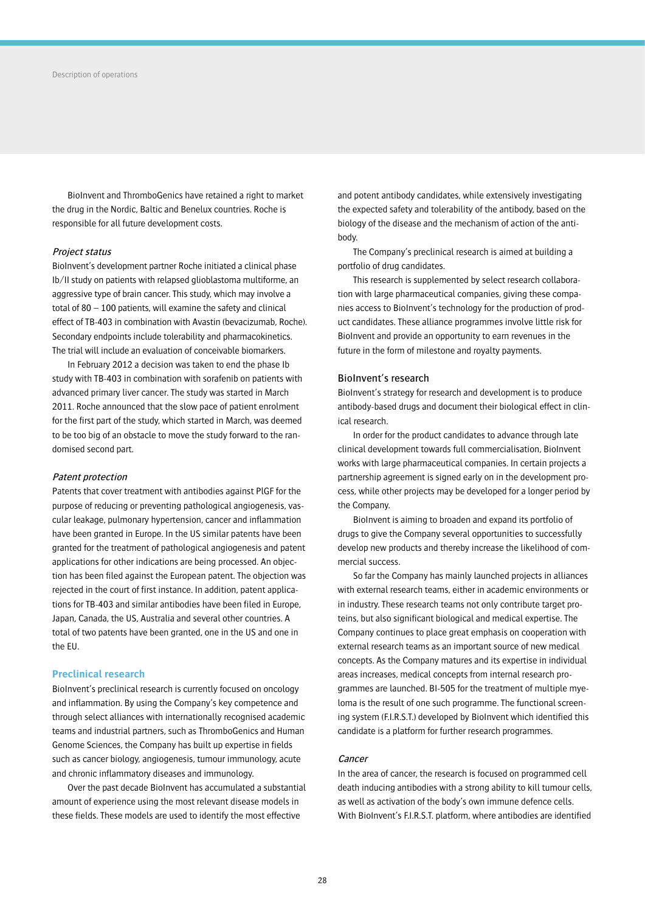BioInvent and ThromboGenics have retained a right to market the drug in the Nordic, Baltic and Benelux countries. Roche is responsible for all future development costs.

### Project status

BioInvent's development partner Roche initiated a clinical phase Ib/II study on patients with relapsed glioblastoma multiforme, an aggressive type of brain cancer. This study, which may involve a total of 80 – 100 patients, will examine the safety and clinical effect of TB-403 in combination with Avastin (bevacizumab, Roche). Secondary endpoints include tolerability and pharmacokinetics. The trial will include an evaluation of conceivable biomarkers.

In February 2012 a decision was taken to end the phase Ib study with TB-403 in combination with sorafenib on patients with advanced primary liver cancer. The study was started in March 2011. Roche announced that the slow pace of patient enrolment for the first part of the study, which started in March, was deemed to be too big of an obstacle to move the study forward to the randomised second part.

#### Patent protection

Patents that cover treatment with antibodies against PlGF for the purpose of reducing or preventing pathological angiogenesis, vascular leakage, pulmonary hypertension, cancer and inflammation have been granted in Europe. In the US similar patents have been granted for the treatment of pathological angiogenesis and patent applications for other indications are being processed. An objection has been filed against the European patent. The objection was rejected in the court of first instance. In addition, patent applications for TB-403 and similar antibodies have been filed in Europe, Japan, Canada, the US, Australia and several other countries. A total of two patents have been granted, one in the US and one in the EU.

## **Preclinical research**

BioInvent's preclinical research is currently focused on oncology and inflammation. By using the Company's key competence and through select alliances with internationally recognised academic teams and industrial partners, such as ThromboGenics and Human Genome Sciences, the Company has built up expertise in fields such as cancer biology, angiogenesis, tumour immunology, acute and chronic inflammatory diseases and immunology.

Over the past decade BioInvent has accumulated a substantial amount of experience using the most relevant disease models in these fields. These models are used to identify the most effective

and potent antibody candidates, while extensively investigating the expected safety and tolerability of the antibody, based on the biology of the disease and the mechanism of action of the antibody.

The Company's preclinical research is aimed at building a portfolio of drug candidates.

This research is supplemented by select research collaboration with large pharmaceutical companies, giving these companies access to BioInvent's technology for the production of product candidates. These alliance programmes involve little risk for BioInvent and provide an opportunity to earn revenues in the future in the form of milestone and royalty payments.

## BioInvent's research

BioInvent's strategy for research and development is to produce antibody-based drugs and document their biological effect in clinical research.

In order for the product candidates to advance through late clinical development towards full commercialisation, BioInvent works with large pharmaceutical companies. In certain projects a partnership agreement is signed early on in the development process, while other projects may be developed for a longer period by the Company.

BioInvent is aiming to broaden and expand its portfolio of drugs to give the Company several opportunities to successfully develop new products and thereby increase the likelihood of commercial success.

So far the Company has mainly launched projects in alliances with external research teams, either in academic environments or in industry. These research teams not only contribute target proteins, but also significant biological and medical expertise. The Company continues to place great emphasis on cooperation with external research teams as an important source of new medical concepts. As the Company matures and its expertise in individual areas increases, medical concepts from internal research programmes are launched. BI-505 for the treatment of multiple myeloma is the result of one such programme. The functional screening system (F.I.R.S.T.) developed by BioInvent which identified this candidate is a platform for further research programmes.

## **Cancer**

In the area of cancer, the research is focused on programmed cell death inducing antibodies with a strong ability to kill tumour cells, as well as activation of the body's own immune defence cells. With BioInvent's F.I.R.S.T. platform, where antibodies are identified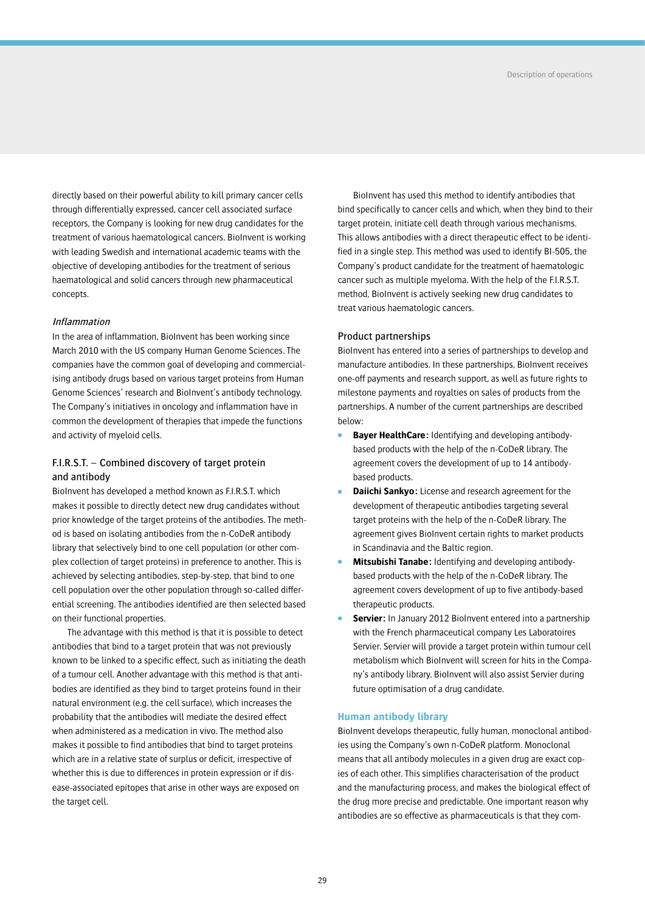directly based on their powerful ability to kill primary cancer cells through differentially expressed, cancer cell associated surface receptors, the Company is looking for new drug candidates for the treatment of various haematological cancers. BioInvent is working with leading Swedish and international academic teams with the objective of developing antibodies for the treatment of serious haematological and solid cancers through new pharmaceutical concepts.

## Inflammation

In the area of inflammation, BioInvent has been working since March 2010 with the US company Human Genome Sciences. The companies have the common goal of developing and commercialising antibody drugs based on various target proteins from Human Genome Sciences' research and BioInvent's antibody technology. The Company's initiatives in oncology and inflammation have in common the development of therapies that impede the functions and activity of myeloid cells.

## F.I.R.S.T. – Combined discovery of target protein and antibody

BioInvent has developed a method known as F.I.R.S.T. which makes it possible to directly detect new drug candidates without prior knowledge of the target proteins of the antibodies. The method is based on isolating antibodies from the n-CoDeR antibody library that selectively bind to one cell population (or other complex collection of target proteins) in preference to another. This is achieved by selecting antibodies, step-by-step, that bind to one cell population over the other population through so-called differential screening. The antibodies identified are then selected based on their functional properties.

The advantage with this method is that it is possible to detect antibodies that bind to a target protein that was not previously known to be linked to a specific effect, such as initiating the death of a tumour cell. Another advantage with this method is that antibodies are identified as they bind to target proteins found in their natural environment (e.g. the cell surface), which increases the probability that the antibodies will mediate the desired effect when administered as a medication in vivo. The method also makes it possible to find antibodies that bind to target proteins which are in a relative state of surplus or deficit, irrespective of whether this is due to differences in protein expression or if disease-associated epitopes that arise in other ways are exposed on the target cell.

BioInvent has used this method to identify antibodies that bind specifically to cancer cells and which, when they bind to their target protein, initiate cell death through various mechanisms. This allows antibodies with a direct therapeutic effect to be identified in a single step. This method was used to identify BI-505, the Company's product candidate for the treatment of haematologic cancer such as multiple myeloma. With the help of the F.I.R.S.T. method, BioInvent is actively seeking new drug candidates to treat various haematologic cancers.

## Product partnerships

BioInvent has entered into a series of partnerships to develop and manufacture antibodies. In these partnerships, BioInvent receives one-off payments and research support, as well as future rights to milestone payments and royalties on sales of products from the partnerships. A number of the current partnerships are described below:

- **Bayer HealthCare:** Identifying and developing antibodybased products with the help of the n-CoDeR library. The agreement covers the development of up to 14 antibodybased products.
- **Daiichi Sankyo:** License and research agreement for the development of therapeutic antibodies targeting several target proteins with the help of the n-CoDeR library. The agreement gives BioInvent certain rights to market products in Scandinavia and the Baltic region.
- **Mitsubishi Tanabe:** Identifying and developing antibodybased products with the help of the n-CoDeR library. The agreement covers development of up to five antibody-based therapeutic products.
- **Servier:** In January 2012 BioInvent entered into a partnership with the French pharmaceutical company Les Laboratoires Servier. Servier will provide a target protein within tumour cell metabolism which BioInvent will screen for hits in the Company's antibody library. BioInvent will also assist Servier during future optimisation of a drug candidate.

## **Human antibody library**

BioInvent develops therapeutic, fully human, monoclonal antibodies using the Company's own n-CoDeR platform. Monoclonal means that all antibody molecules in a given drug are exact copies of each other. This simplifies characterisation of the product and the manufacturing process, and makes the biological effect of the drug more precise and predictable. One important reason why antibodies are so effective as pharmaceuticals is that they com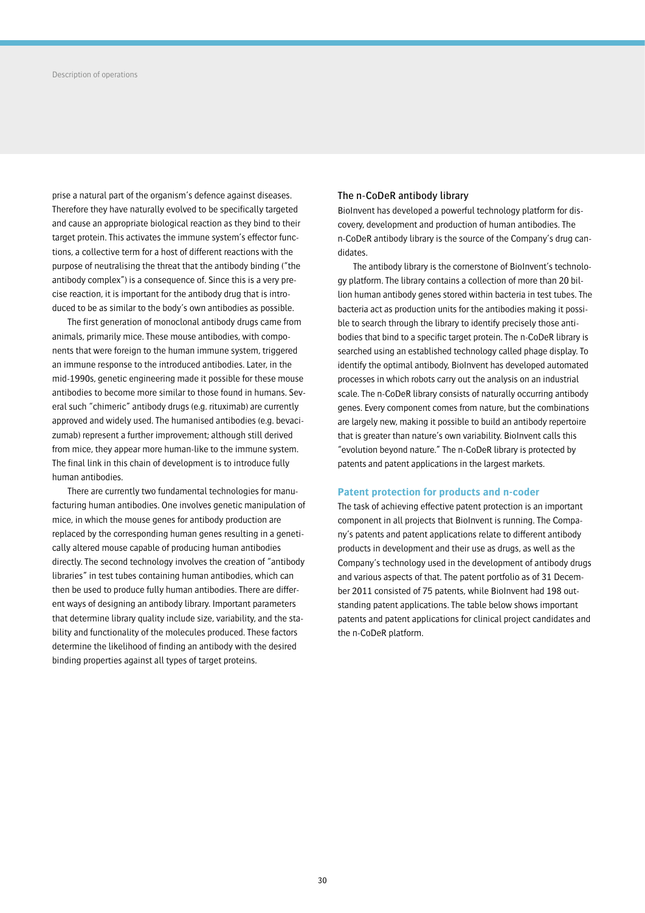prise a natural part of the organism's defence against diseases. Therefore they have naturally evolved to be specifically targeted and cause an appropriate biological reaction as they bind to their target protein. This activates the immune system's effector functions, a collective term for a host of different reactions with the purpose of neutralising the threat that the antibody binding ("the antibody complex") is a consequence of. Since this is a very precise reaction, it is important for the antibody drug that is introduced to be as similar to the body's own antibodies as possible.

The first generation of monoclonal antibody drugs came from animals, primarily mice. These mouse antibodies, with components that were foreign to the human immune system, triggered an immune response to the introduced antibodies. Later, in the mid-1990s, genetic engineering made it possible for these mouse antibodies to become more similar to those found in humans. Several such "chimeric" antibody drugs (e.g. rituximab) are currently approved and widely used. The humanised antibodies (e.g. bevacizumab) represent a further improvement; although still derived from mice, they appear more human-like to the immune system. The final link in this chain of development is to introduce fully human antibodies.

There are currently two fundamental technologies for manufacturing human antibodies. One involves genetic manipulation of mice, in which the mouse genes for antibody production are replaced by the corresponding human genes resulting in a genetically altered mouse capable of producing human antibodies directly. The second technology involves the creation of "antibody libraries" in test tubes containing human antibodies, which can then be used to produce fully human antibodies. There are different ways of designing an antibody library. Important parameters that determine library quality include size, variability, and the stability and functionality of the molecules produced. These factors determine the likelihood of finding an antibody with the desired binding properties against all types of target proteins.

## The n-CoDeR antibody library

BioInvent has developed a powerful technology platform for discovery, development and production of human antibodies. The n-CoDeR antibody library is the source of the Company's drug candidates.

The antibody library is the cornerstone of BioInvent's technology platform. The library contains a collection of more than 20 billion human antibody genes stored within bacteria in test tubes. The bacteria act as production units for the antibodies making it possible to search through the library to identify precisely those antibodies that bind to a specific target protein. The n-CoDeR library is searched using an established technology called phage display. To identify the optimal antibody, BioInvent has developed automated processes in which robots carry out the analysis on an industrial scale. The n-CoDeR library consists of naturally occurring antibody genes. Every component comes from nature, but the combinations are largely new, making it possible to build an antibody repertoire that is greater than nature's own variability. BioInvent calls this "evolution beyond nature." The n-CoDeR library is protected by patents and patent applications in the largest markets.

### **Patent protection for products and n-coder**

The task of achieving effective patent protection is an important component in all projects that BioInvent is running. The Company's patents and patent applications relate to different antibody products in development and their use as drugs, as well as the Company's technology used in the development of antibody drugs and various aspects of that. The patent portfolio as of 31 December 2011 consisted of 75 patents, while BioInvent had 198 outstanding patent applications. The table below shows important patents and patent applications for clinical project candidates and the n-CoDeR platform.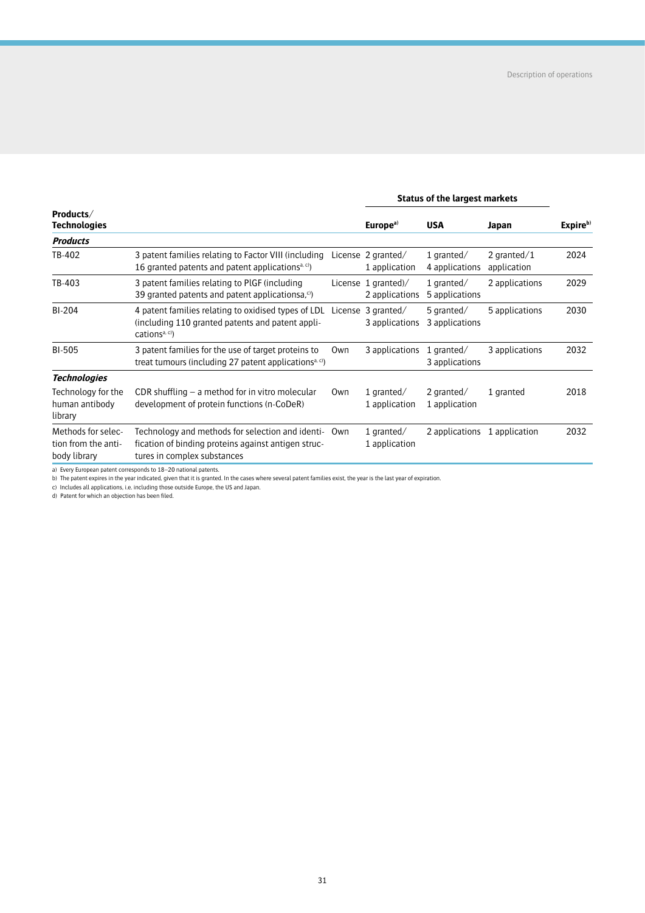|                                                           |                                                                                                                                        |     |                                       | <b>Status of the largest markets</b>    |                               |          |
|-----------------------------------------------------------|----------------------------------------------------------------------------------------------------------------------------------------|-----|---------------------------------------|-----------------------------------------|-------------------------------|----------|
| Products/<br><b>Technologies</b>                          |                                                                                                                                        |     | Europe <sup>a)</sup>                  | <b>USA</b>                              | Japan                         | Expireb) |
| <b>Products</b>                                           |                                                                                                                                        |     |                                       |                                         |                               |          |
| TB-402                                                    | 3 patent families relating to Factor VIII (including<br>16 granted patents and patent applications <sup>a, c)</sup>                    |     | License 2 granted/<br>1 application   | 1 qranted $/$<br>4 applications         | 2 granted $/1$<br>application | 2024     |
| TB-403                                                    | 3 patent families relating to PIGF (including<br>39 granted patents and patent applicationsa, $\circ$ )                                |     | License 1 granted)/<br>2 applications | 1 qranted $/$<br>5 applications         | 2 applications                | 2029     |
| <b>BI-204</b>                                             | 4 patent families relating to oxidised types of LDL<br>(including 110 granted patents and patent appli-<br>cations <sup>a, c)</sup>    |     | License 3 granted/<br>3 applications  | 5 $q$ ranted $\angle$<br>3 applications | 5 applications                | 2030     |
| <b>BI-505</b>                                             | 3 patent families for the use of target proteins to<br>treat tumours (including 27 patent applications <sup>a, c)</sup>                | Own | 3 applications                        | 1 qranted $/$<br>3 applications         | 3 applications                | 2032     |
| <b>Technologies</b>                                       |                                                                                                                                        |     |                                       |                                         |                               |          |
| Technology for the<br>human antibody<br>library           | CDR shuffling $-$ a method for in vitro molecular<br>development of protein functions (n-CoDeR)                                        | Own | 1 $q$ ranted $/$<br>1 application     | 2 granted/<br>1 application             | 1 granted                     | 2018     |
| Methods for selec-<br>tion from the anti-<br>body library | Technology and methods for selection and identi-<br>fication of binding proteins against antigen struc-<br>tures in complex substances | Own | 1 $q$ ranted $/$<br>1 application     | 2 applications 1 application            |                               | 2032     |

a) Every European patent corresponds to 18–20 national patents.<br>b) The patent expires in the year indicated, given that it is granted. In the cases where several patent families exist, the year is the last year of expirati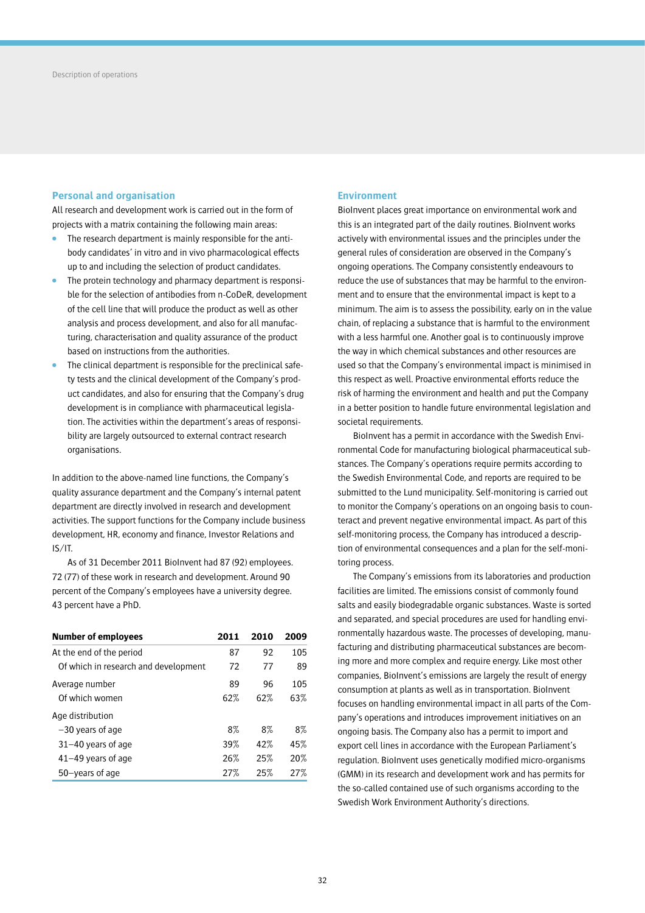## **Personal and organisation**

All research and development work is carried out in the form of projects with a matrix containing the following main areas:

- The research department is mainly responsible for the antibody candidates' in vitro and in vivo pharmacological effects up to and including the selection of product candidates.
- The protein technology and pharmacy department is responsible for the selection of antibodies from n-CoDeR, development of the cell line that will produce the product as well as other analysis and process development, and also for all manufacturing, characterisation and quality assurance of the product based on instructions from the authorities.
- The clinical department is responsible for the preclinical safety tests and the clinical development of the Company's product candidates, and also for ensuring that the Company's drug development is in compliance with pharmaceutical legislation. The activities within the department's areas of responsibility are largely outsourced to external contract research organisations.

In addition to the above-named line functions, the Company's quality assurance department and the Company's internal patent department are directly involved in research and development activities. The support functions for the Company include business development, HR, economy and finance, Investor Relations and IS/IT.

As of 31 December 2011 BioInvent had 87 (92) employees. 72 (77) of these work in research and development. Around 90 percent of the Company's employees have a university degree. 43 percent have a PhD.

| <b>Number of employees</b>           | 2011 | 2010 | 2009 |
|--------------------------------------|------|------|------|
| At the end of the period             | 87   | 92   | 105  |
| Of which in research and development | 72   | 77   | 89   |
| Average number                       | 89   | 96   | 105  |
| Of which women                       | 62%  | 62%  | 63%  |
| Age distribution                     |      |      |      |
| -30 years of age                     | 8%   | 8%   | 8%   |
| $31 - 40$ years of age               | 39%  | 42%  | 45%  |
| $41-49$ years of age                 | 26%  | 25%  | 20%  |
| 50-years of age                      | 27%  | 25%  | 27%  |

## **Environment**

BioInvent places great importance on environmental work and this is an integrated part of the daily routines. BioInvent works actively with environmental issues and the principles under the general rules of consideration are observed in the Company's ongoing operations. The Company consistently endeavours to reduce the use of substances that may be harmful to the environment and to ensure that the environmental impact is kept to a minimum. The aim is to assess the possibility, early on in the value chain, of replacing a substance that is harmful to the environment with a less harmful one. Another goal is to continuously improve the way in which chemical substances and other resources are used so that the Company's environmental impact is minimised in this respect as well. Proactive environmental efforts reduce the risk of harming the environment and health and put the Company in a better position to handle future environmental legislation and societal requirements.

BioInvent has a permit in accordance with the Swedish Environmental Code for manufacturing biological pharmaceutical substances. The Company's operations require permits according to the Swedish Environmental Code, and reports are required to be submitted to the Lund municipality. Self-monitoring is carried out to monitor the Company's operations on an ongoing basis to counteract and prevent negative environmental impact. As part of this self-monitoring process, the Company has introduced a description of environmental consequences and a plan for the self-monitoring process.

The Company's emissions from its laboratories and production facilities are limited. The emissions consist of commonly found salts and easily biodegradable organic substances. Waste is sorted and separated, and special procedures are used for handling environmentally hazardous waste. The processes of developing, manufacturing and distributing pharmaceutical substances are becoming more and more complex and require energy. Like most other companies, BioInvent's emissions are largely the result of energy consumption at plants as well as in transportation. BioInvent focuses on handling environmental impact in all parts of the Company's operations and introduces improvement initiatives on an ongoing basis. The Company also has a permit to import and export cell lines in accordance with the European Parliament's regulation. BioInvent uses genetically modified micro-organisms (GMM) in its research and development work and has permits for the so-called contained use of such organisms according to the Swedish Work Environment Authority's directions.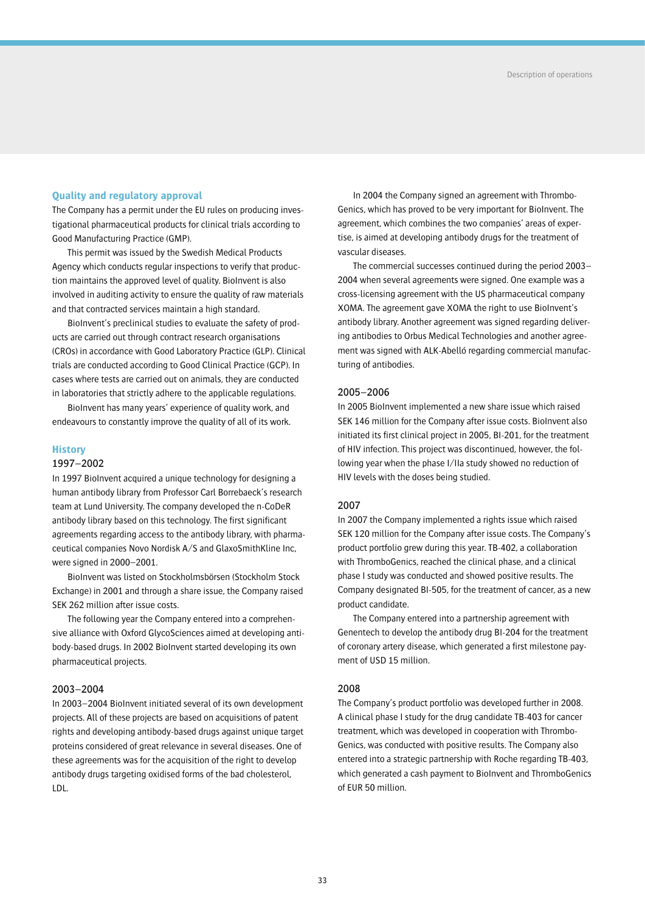## **Quality and regulatory approval**

The Company has a permit under the EU rules on producing investigational pharmaceutical products for clinical trials according to Good Manufacturing Practice (GMP).

This permit was issued by the Swedish Medical Products Agency which conducts regular inspections to verify that production maintains the approved level of quality. BioInvent is also involved in auditing activity to ensure the quality of raw materials and that contracted services maintain a high standard.

BioInvent's preclinical studies to evaluate the safety of products are carried out through contract research organisations (CROs) in accordance with Good Laboratory Practice (GLP). Clinical trials are conducted according to Good Clinical Practice (GCP). In cases where tests are carried out on animals, they are conducted in laboratories that strictly adhere to the applicable regulations.

BioInvent has many years' experience of quality work, and endeavours to constantly improve the quality of all of its work.

### **History**

### 1997–2002

In 1997 BioInvent acquired a unique technology for designing a human antibody library from Professor Carl Borrebaeck's research team at Lund University. The company developed the n-CoDeR antibody library based on this technology. The first significant agreements regarding access to the antibody library, with pharmaceutical companies Novo Nordisk A/S and GlaxoSmithKline Inc, were signed in 2000–2001.

BioInvent was listed on Stockholmsbörsen (Stockholm Stock Exchange) in 2001 and through a share issue, the Company raised SEK 262 million after issue costs.

The following year the Company entered into a comprehensive alliance with Oxford GlycoSciences aimed at developing antibody-based drugs. In 2002 BioInvent started developing its own pharmaceutical projects.

## 2003–2004

In 2003–2004 BioInvent initiated several of its own development projects. All of these projects are based on acquisitions of patent rights and developing antibody-based drugs against unique target proteins considered of great relevance in several diseases. One of these agreements was for the acquisition of the right to develop antibody drugs targeting oxidised forms of the bad cholesterol, LDL.

In 2004 the Company signed an agreement with Thrombo-Genics, which has proved to be very important for BioInvent. The agreement, which combines the two companies' areas of expertise, is aimed at developing antibody drugs for the treatment of vascular diseases.

The commercial successes continued during the period 2003– 2004 when several agreements were signed. One example was a cross-licensing agreement with the US pharmaceutical company XOMA. The agreement gave XOMA the right to use BioInvent's antibody library. Another agreement was signed regarding delivering antibodies to Orbus Medical Technologies and another agreement was signed with ALK-Abelló regarding commercial manufacturing of antibodies.

### 2005–2006

In 2005 BioInvent implemented a new share issue which raised SEK 146 million for the Company after issue costs. BioInvent also initiated its first clinical project in 2005, BI-201, for the treatment of HIV infection. This project was discontinued, however, the following year when the phase I/IIa study showed no reduction of HIV levels with the doses being studied.

### 2007

In 2007 the Company implemented a rights issue which raised SEK 120 million for the Company after issue costs. The Company's product portfolio grew during this year. TB-402, a collaboration with ThromboGenics, reached the clinical phase, and a clinical phase I study was conducted and showed positive results. The Company designated BI-505, for the treatment of cancer, as a new product candidate.

The Company entered into a partnership agreement with Genentech to develop the antibody drug BI-204 for the treatment of coronary artery disease, which generated a first milestone payment of USD 15 million.

## 2008

The Company's product portfolio was developed further in 2008. A clinical phase I study for the drug candidate TB-403 for cancer treatment, which was developed in cooperation with Thrombo-Genics, was conducted with positive results. The Company also entered into a strategic partnership with Roche regarding TB-403, which generated a cash payment to BioInvent and ThromboGenics of EUR 50 million.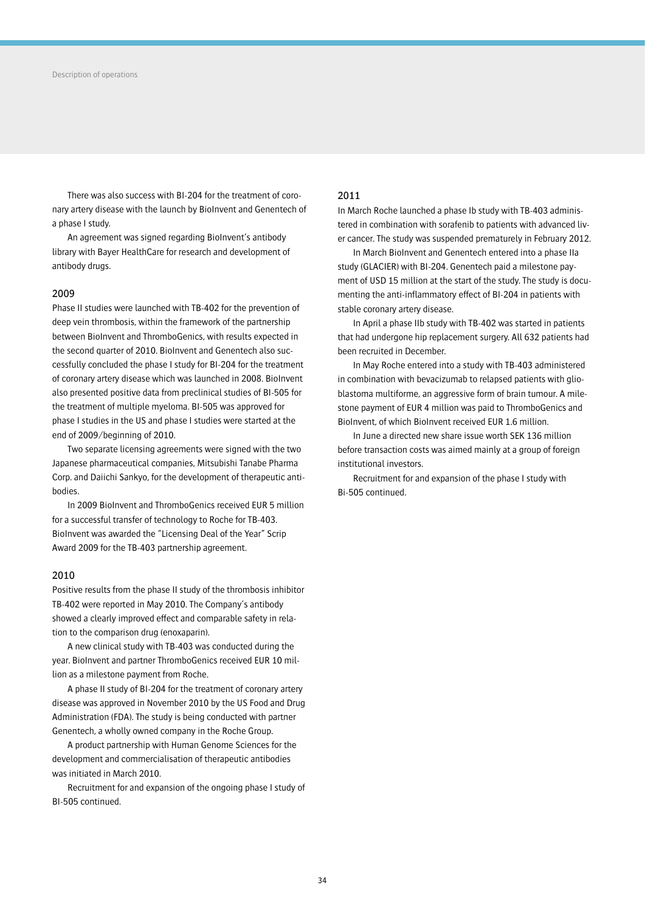There was also success with BI-204 for the treatment of coronary artery disease with the launch by BioInvent and Genentech of a phase I study.

An agreement was signed regarding BioInvent's antibody library with Bayer HealthCare for research and development of antibody drugs.

### 2009

Phase II studies were launched with TB-402 for the prevention of deep vein thrombosis, within the framework of the partnership between BioInvent and ThromboGenics, with results expected in the second quarter of 2010. BioInvent and Genentech also successfully concluded the phase I study for BI-204 for the treatment of coronary artery disease which was launched in 2008. BioInvent also presented positive data from preclinical studies of BI-505 for the treatment of multiple myeloma. BI-505 was approved for phase I studies in the US and phase I studies were started at the end of 2009/beginning of 2010.

Two separate licensing agreements were signed with the two Japanese pharmaceutical companies, Mitsubishi Tanabe Pharma Corp. and Daiichi Sankyo, for the development of therapeutic antibodies.

In 2009 BioInvent and ThromboGenics received EUR 5 million for a successful transfer of technology to Roche for TB-403. BioInvent was awarded the "Licensing Deal of the Year" Scrip Award 2009 for the TB-403 partnership agreement.

## 2010

Positive results from the phase II study of the thrombosis inhibitor TB-402 were reported in May 2010. The Company's antibody showed a clearly improved effect and comparable safety in relation to the comparison drug (enoxaparin).

A new clinical study with TB-403 was conducted during the year. BioInvent and partner ThromboGenics received EUR 10 million as a milestone payment from Roche.

A phase II study of BI-204 for the treatment of coronary artery disease was approved in November 2010 by the US Food and Drug Administration (FDA). The study is being conducted with partner Genentech, a wholly owned company in the Roche Group.

A product partnership with Human Genome Sciences for the development and commercialisation of therapeutic antibodies was initiated in March 2010.

Recruitment for and expansion of the ongoing phase I study of BI-505 continued.

## 2011

In March Roche launched a phase Ib study with TB-403 administered in combination with sorafenib to patients with advanced liver cancer. The study was suspended prematurely in February 2012.

In March BioInvent and Genentech entered into a phase IIa study (GLACIER) with BI-204. Genentech paid a milestone payment of USD 15 million at the start of the study. The study is documenting the anti-inflammatory effect of BI-204 in patients with stable coronary artery disease.

In April a phase IIb study with TB-402 was started in patients that had undergone hip replacement surgery. All 632 patients had been recruited in December.

In May Roche entered into a study with TB-403 administered in combination with bevacizumab to relapsed patients with glioblastoma multiforme, an aggressive form of brain tumour. A milestone payment of EUR 4 million was paid to ThromboGenics and BioInvent, of which BioInvent received EUR 1.6 million.

In June a directed new share issue worth SEK 136 million before transaction costs was aimed mainly at a group of foreign institutional investors.

Recruitment for and expansion of the phase I study with Bi-505 continued.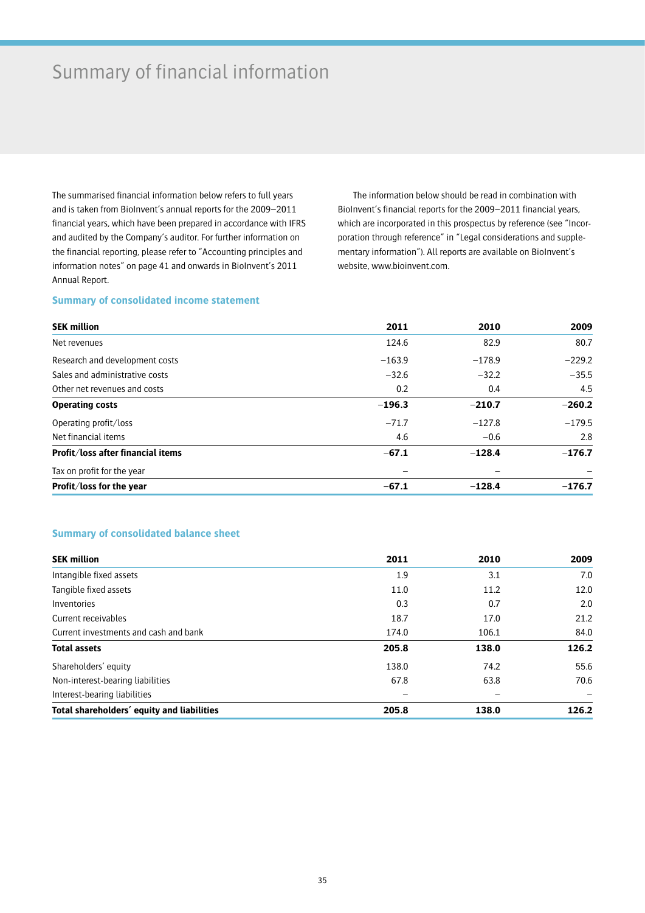# Summary of financial information

The summarised financial information below refers to full years and is taken from BioInvent's annual reports for the 2009–2011 financial years, which have been prepared in accordance with IFRS and audited by the Company's auditor. For further information on the financial reporting, please refer to "Accounting principles and information notes" on page 41 and onwards in BioInvent's 2011 Annual Report.

The information below should be read in combination with BioInvent's financial reports for the 2009–2011 financial years, which are incorporated in this prospectus by reference (see "Incorporation through reference" in "Legal considerations and supplementary information"). All reports are available on BioInvent's website, www.bioinvent.com.

## **Summary of consolidated income statement**

| <b>SEK million</b>                | 2011     | 2010     | 2009     |
|-----------------------------------|----------|----------|----------|
| Net revenues                      | 124.6    | 82.9     | 80.7     |
| Research and development costs    | $-163.9$ | $-178.9$ | $-229.2$ |
| Sales and administrative costs    | $-32.6$  | $-32.2$  | $-35.5$  |
| Other net revenues and costs      | 0.2      | 0.4      | 4.5      |
| <b>Operating costs</b>            | $-196.3$ | $-210.7$ | $-260.2$ |
| Operating profit/loss             | $-71.7$  | $-127.8$ | $-179.5$ |
| Net financial items               | 4.6      | $-0.6$   | 2.8      |
| Profit/loss after financial items | $-67.1$  | $-128.4$ | $-176.7$ |
| Tax on profit for the year        |          |          |          |
| Profit/loss for the year          | $-67.1$  | $-128.4$ | $-176.7$ |

## **Summary of consolidated balance sheet**

| <b>SEK million</b>                         | 2011  | 2010  | 2009  |
|--------------------------------------------|-------|-------|-------|
| Intangible fixed assets                    | 1.9   | 3.1   | 7.0   |
| Tangible fixed assets                      | 11.0  | 11.2  | 12.0  |
| Inventories                                | 0.3   | 0.7   | 2.0   |
| Current receivables                        | 18.7  | 17.0  | 21.2  |
| Current investments and cash and bank      | 174.0 | 106.1 | 84.0  |
| <b>Total assets</b>                        | 205.8 | 138.0 | 126.2 |
| Shareholders' equity                       | 138.0 | 74.2  | 55.6  |
| Non-interest-bearing liabilities           | 67.8  | 63.8  | 70.6  |
| Interest-bearing liabilities               |       |       |       |
| Total shareholders' equity and liabilities | 205.8 | 138.0 | 126.2 |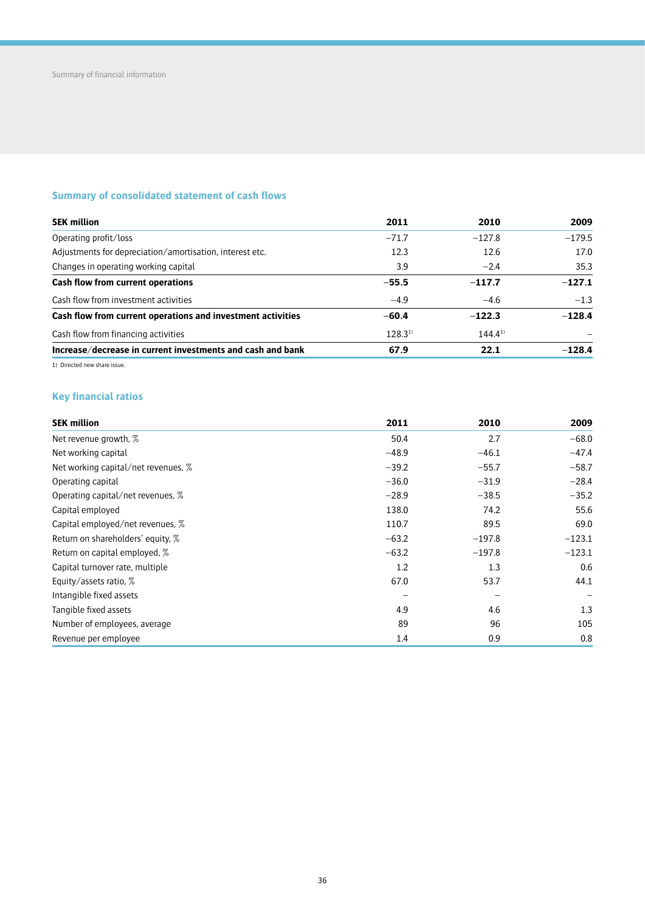## **Summary of consolidated statement of cash flows**

| <b>SEK million</b>                                          | 2011         | 2010         | 2009     |
|-------------------------------------------------------------|--------------|--------------|----------|
| Operating profit/loss                                       | $-71.7$      | $-127.8$     | $-179.5$ |
| Adjustments for depreciation/amortisation, interest etc.    | 12.3         | 12.6         | 17.0     |
| Changes in operating working capital                        | 3.9          | $-2.4$       | 35.3     |
| Cash flow from current operations                           | $-55.5$      | $-117.7$     | $-127.1$ |
| Cash flow from investment activities                        | $-4.9$       | $-4.6$       | $-1.3$   |
| Cash flow from current operations and investment activities | $-60.4$      | $-122.3$     | $-128.4$ |
| Cash flow from financing activities                         | $128.3^{11}$ | $144.4^{11}$ |          |
| Increase/decrease in current investments and cash and bank  | 67.9         | 22.1         | $-128.4$ |

1) Directed new share issue.

## **Key financial ratios**

| <b>SEK million</b>                  | 2011    | 2010     | 2009     |
|-------------------------------------|---------|----------|----------|
| Net revenue growth, %               | 50.4    | 2.7      | $-68.0$  |
| Net working capital                 | $-48.9$ | $-46.1$  | $-47.4$  |
| Net working capital/net revenues, % | $-39.2$ | $-55.7$  | $-58.7$  |
| Operating capital                   | $-36.0$ | $-31.9$  | $-28.4$  |
| Operating capital/net revenues, %   | $-28.9$ | $-38.5$  | $-35.2$  |
| Capital employed                    | 138.0   | 74.2     | 55.6     |
| Capital employed/net revenues, %    | 110.7   | 89.5     | 69.0     |
| Return on shareholders' equity, %   | $-63.2$ | $-197.8$ | $-123.1$ |
| Return on capital employed, %       | $-63.2$ | $-197.8$ | $-123.1$ |
| Capital turnover rate, multiple     | 1.2     | 1.3      | 0.6      |
| Equity/assets ratio, %              | 67.0    | 53.7     | 44.1     |
| Intangible fixed assets             |         |          |          |
| Tangible fixed assets               | 4.9     | 4.6      | 1.3      |
| Number of employees, average        | 89      | 96       | 105      |
| Revenue per employee                | 1.4     | 0.9      | 0.8      |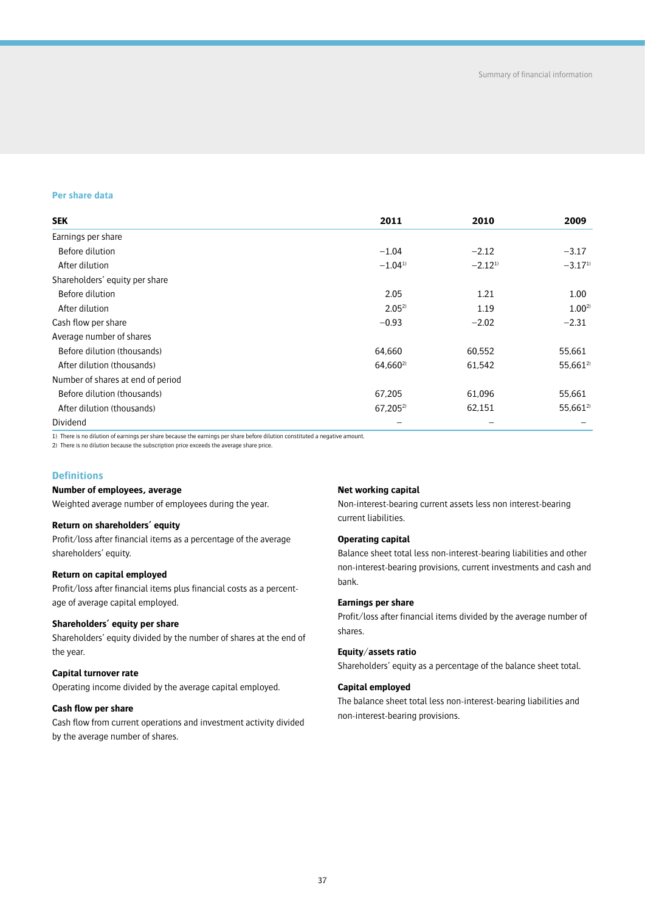## **Per share data**

| <b>SEK</b>                        | 2011                 | 2010         | 2009         |
|-----------------------------------|----------------------|--------------|--------------|
| Earnings per share                |                      |              |              |
| Before dilution                   | $-1.04$              | $-2.12$      | $-3.17$      |
| After dilution                    | $-1.04^{1}$          | $-2.12^{11}$ | $-3.17^{1}$  |
| Shareholders' equity per share    |                      |              |              |
| Before dilution                   | 2.05                 | 1.21         | 1.00         |
| After dilution                    | $2.05^{2}$           | 1.19         | $1.00^{2}$   |
| Cash flow per share               | $-0.93$              | $-2.02$      | $-2.31$      |
| Average number of shares          |                      |              |              |
| Before dilution (thousands)       | 64,660               | 60,552       | 55,661       |
| After dilution (thousands)        | 64,660 <sup>2)</sup> | 61,542       | $55,661^{2}$ |
| Number of shares at end of period |                      |              |              |
| Before dilution (thousands)       | 67,205               | 61,096       | 55,661       |
| After dilution (thousands)        | $67,205^{2}$         | 62,151       | $55,661^{2}$ |
| Dividend                          |                      |              |              |

1) There is no dilution of earnings per share because the earnings per share before dilution constituted a negative amount.<br>2) There is no dilution because the subscription price exceeds the average share price.

## **Definitions**

### **Number of employees, average**

Weighted average number of employees during the year.

### **Return on shareholders' equity**

Profit/loss after financial items as a percentage of the average shareholders' equity.

### **Return on capital employed**

Profit/loss after financial items plus financial costs as a percentage of average capital employed.

## **Shareholders' equity per share**

Shareholders' equity divided by the number of shares at the end of the year.

## **Capital turnover rate**

Operating income divided by the average capital employed.

### **Cash flow per share**

Cash flow from current operations and investment activity divided by the average number of shares.

### **Net working capital**

Non-interest-bearing current assets less non interest-bearing current liabilities.

## **Operating capital**

Balance sheet total less non-interest-bearing liabilities and other non-interest-bearing provisions, current investments and cash and bank.

### **Earnings per share**

Profit/loss after financial items divided by the average number of shares.

### **Equity/assets ratio**

Shareholders' equity as a percentage of the balance sheet total.

### **Capital employed**

The balance sheet total less non-interest-bearing liabilities and non-interest-bearing provisions.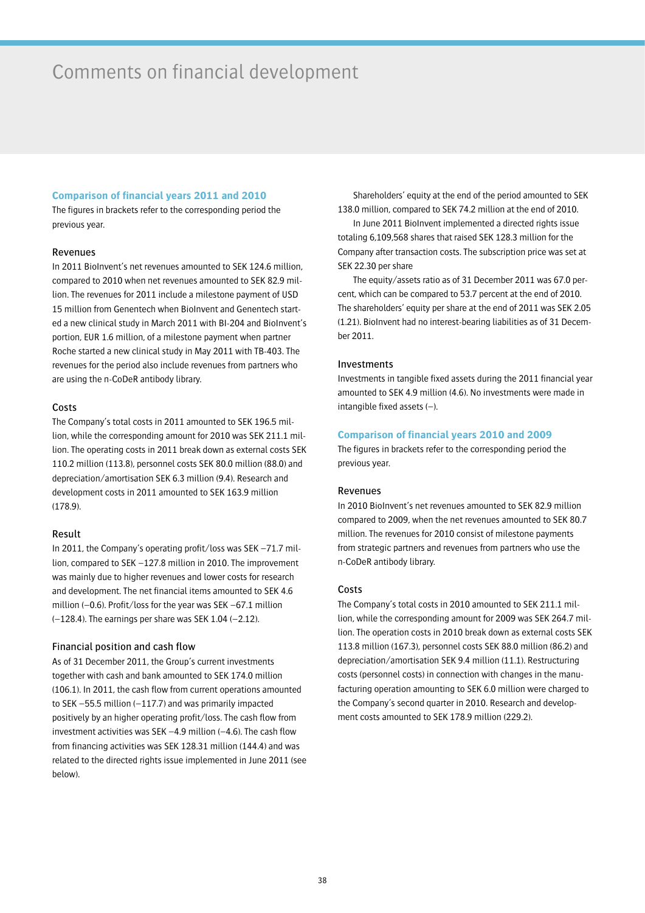## Comments on financial development

## **Comparison of financial years 2011 and 2010**

The figures in brackets refer to the corresponding period the previous year.

### Revenues

In 2011 BioInvent's net revenues amounted to SEK 124.6 million, compared to 2010 when net revenues amounted to SEK 82.9 million. The revenues for 2011 include a milestone payment of USD 15 million from Genentech when BioInvent and Genentech started a new clinical study in March 2011 with BI-204 and BioInvent's portion, EUR 1.6 million, of a milestone payment when partner Roche started a new clinical study in May 2011 with TB-403. The revenues for the period also include revenues from partners who are using the n-CoDeR antibody library.

### Costs

The Company's total costs in 2011 amounted to SEK 196.5 million, while the corresponding amount for 2010 was SEK 211.1 million. The operating costs in 2011 break down as external costs SEK 110.2 million (113.8), personnel costs SEK 80.0 million (88.0) and depreciation/amortisation SEK 6.3 million (9.4). Research and development costs in 2011 amounted to SEK 163.9 million (178.9).

### Result

In 2011, the Company's operating profit/loss was SEK –71.7 million, compared to SEK –127.8 million in 2010. The improvement was mainly due to higher revenues and lower costs for research and development. The net financial items amounted to SEK 4.6 million (–0.6). Profit/loss for the year was SEK –67.1 million (–128.4). The earnings per share was SEK 1.04 (–2.12).

### Financial position and cash flow

As of 31 December 2011, the Group's current investments together with cash and bank amounted to SEK 174.0 million (106.1). In 2011, the cash flow from current operations amounted to SEK –55.5 million (–117.7) and was primarily impacted positively by an higher operating profit/loss. The cash flow from investment activities was SEK –4.9 million (–4.6). The cash flow from financing activities was SEK 128.31 million (144.4) and was related to the directed rights issue implemented in June 2011 (see below).

Shareholders' equity at the end of the period amounted to SEK 138.0 million, compared to SEK 74.2 million at the end of 2010.

In June 2011 BioInvent implemented a directed rights issue totaling 6,109,568 shares that raised SEK 128.3 million for the Company after transaction costs. The subscription price was set at SEK 22.30 per share

The equity/assets ratio as of 31 December 2011 was 67.0 percent, which can be compared to 53.7 percent at the end of 2010. The shareholders' equity per share at the end of 2011 was SEK 2.05 (1.21). BioInvent had no interest-bearing liabilities as of 31 December 2011.

### Investments

Investments in tangible fixed assets during the 2011 financial year amounted to SEK 4.9 million (4.6). No investments were made in intangible fixed assets (–).

### **Comparison of financial years 2010 and 2009**

The figures in brackets refer to the corresponding period the previous year.

### Revenues

In 2010 BioInvent's net revenues amounted to SEK 82.9 million compared to 2009, when the net revenues amounted to SEK 80.7 million. The revenues for 2010 consist of milestone payments from strategic partners and revenues from partners who use the n-CoDeR antibody library.

### Costs

The Company's total costs in 2010 amounted to SEK 211.1 million, while the corresponding amount for 2009 was SEK 264.7 million. The operation costs in 2010 break down as external costs SEK 113.8 million (167.3), personnel costs SEK 88.0 million (86.2) and depreciation/amortisation SEK 9.4 million (11.1). Restructuring costs (personnel costs) in connection with changes in the manufacturing operation amounting to SEK 6.0 million were charged to the Company's second quarter in 2010. Research and development costs amounted to SEK 178.9 million (229.2).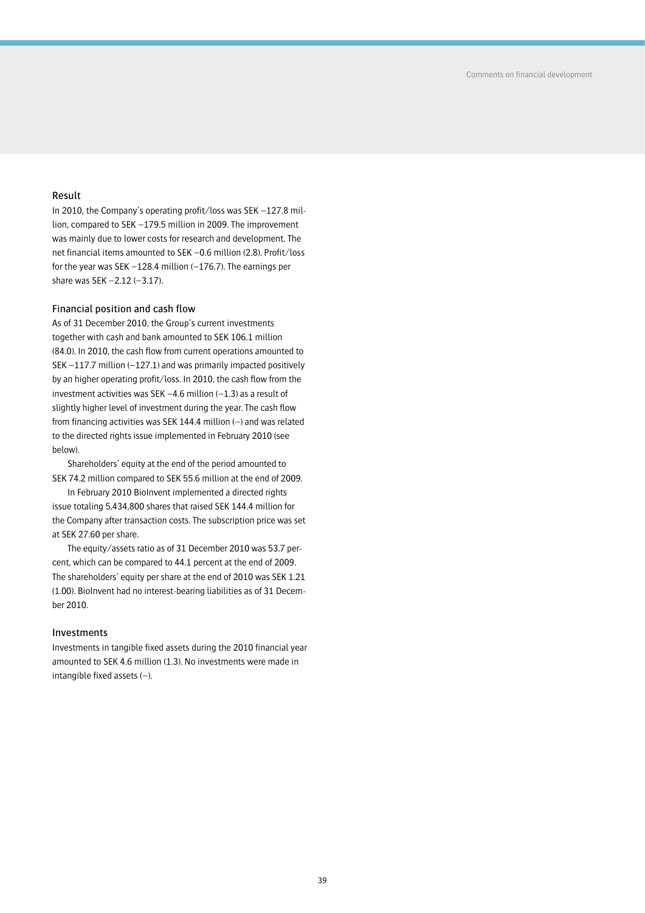## Result

In 2010, the Company's operating profit/loss was SEK –127.8 million, compared to SEK –179.5 million in 2009. The improvement was mainly due to lower costs for research and development. The net financial items amounted to SEK –0.6 million (2.8). Profit/loss for the year was SEK –128.4 million (–176.7). The earnings per share was SEK –2.12 (–3.17).

## Financial position and cash flow

As of 31 December 2010, the Group's current investments together with cash and bank amounted to SEK 106.1 million (84.0). In 2010, the cash flow from current operations amounted to SEK –117.7 million (–127.1) and was primarily impacted positively by an higher operating profit/loss. In 2010, the cash flow from the investment activities was SEK  $-4.6$  million  $(-1.3)$  as a result of slightly higher level of investment during the year. The cash flow from financing activities was SEK 144.4 million (–) and was related to the directed rights issue implemented in February 2010 (see below).

Shareholders' equity at the end of the period amounted to SEK 74.2 million compared to SEK 55.6 million at the end of 2009.

In February 2010 BioInvent implemented a directed rights issue totaling 5,434,800 shares that raised SEK 144.4 million for the Company after transaction costs. The subscription price was set at SEK 27.60 per share.

The equity/assets ratio as of 31 December 2010 was 53.7 percent, which can be compared to 44.1 percent at the end of 2009. The shareholders' equity per share at the end of 2010 was SEK 1.21 (1.00). BioInvent had no interest-bearing liabilities as of 31 December 2010.

## Investments

Investments in tangible fixed assets during the 2010 financial year amounted to SEK 4.6 million (1.3). No investments were made in intangible fixed assets (–).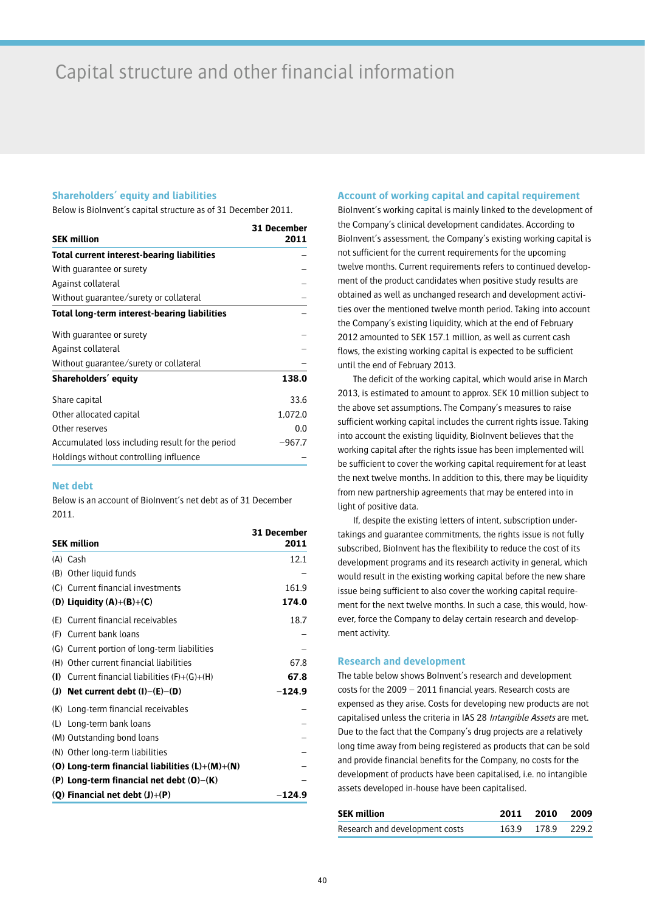## **Shareholders' equity and liabilities**

Below is BioInvent's capital structure as of 31 December 2011.

|                                                   | 31 December |
|---------------------------------------------------|-------------|
| <b>SEK million</b>                                | 2011        |
| <b>Total current interest-bearing liabilities</b> |             |
| With quarantee or surety                          |             |
| Against collateral                                |             |
| Without guarantee/surety or collateral            |             |
| Total long-term interest-bearing liabilities      |             |
| With guarantee or surety                          |             |
| Against collateral                                |             |
| Without guarantee/surety or collateral            |             |
| Shareholders' equity                              | 138.0       |
| Share capital                                     | 33.6        |
| Other allocated capital                           | 1.072.0     |
| Other reserves                                    | 0.0         |
| Accumulated loss including result for the period  | $-967.7$    |
| Holdings without controlling influence            |             |

## **Net debt**

Below is an account of BioInvent's net debt as of 31 December 2011.

|     | <b>SEK million</b>                                | 31 December<br>2011 |
|-----|---------------------------------------------------|---------------------|
|     | (A) Cash                                          | 12.1                |
|     | (B) Other liquid funds                            |                     |
|     | (C) Current financial investments                 | 161.9               |
|     | (D) Liquidity $(A)+(B)+(C)$                       | 174.0               |
|     | (E) Current financial receivables                 | 18.7                |
|     | (F) Current bank loans                            |                     |
|     | (G) Current portion of long-term liabilities      |                     |
|     | (H) Other current financial liabilities           | 67.8                |
| (1) | Current financial liabilities $(F)+(G)+(H)$       | 67.8                |
|     | (J) Net current debt $(I)$ – $(E)$ – $(D)$        | $-124.9$            |
|     | (K) Long-term financial receivables               |                     |
|     | (L) Long-term bank loans                          |                     |
|     | (M) Outstanding bond loans                        |                     |
|     | (N) Other long-term liabilities                   |                     |
|     | (0) Long-term financial liabilities $(L)+(M)+(N)$ |                     |
|     | (P) Long-term financial net debt $(O)$ – $(K)$    |                     |
|     | (Q) Financial net debt $(J)+(P)$                  | $-124.9$            |

## **Account of working capital and capital requirement**

BioInvent's working capital is mainly linked to the development of the Company's clinical development candidates. According to BioInvent's assessment, the Company's existing working capital is not sufficient for the current requirements for the upcoming twelve months. Current requirements refers to continued development of the product candidates when positive study results are obtained as well as unchanged research and development activities over the mentioned twelve month period. Taking into account the Company's existing liquidity, which at the end of February 2012 amounted to SEK 157.1 million, as well as current cash flows, the existing working capital is expected to be sufficient until the end of February 2013.

The deficit of the working capital, which would arise in March 2013, is estimated to amount to approx. SEK 10 million subject to the above set assumptions. The Company's measures to raise sufficient working capital includes the current rights issue. Taking into account the existing liquidity, BioInvent believes that the working capital after the rights issue has been implemented will be sufficient to cover the working capital requirement for at least the next twelve months. In addition to this, there may be liquidity from new partnership agreements that may be entered into in light of positive data.

If, despite the existing letters of intent, subscription undertakings and guarantee commitments, the rights issue is not fully subscribed, BioInvent has the flexibility to reduce the cost of its development programs and its research activity in general, which would result in the existing working capital before the new share issue being sufficient to also cover the working capital requirement for the next twelve months. In such a case, this would, however, force the Company to delay certain research and development activity.

## **Research and development**

The table below shows BoInvent's research and development costs for the 2009 – 2011 financial years. Research costs are expensed as they arise. Costs for developing new products are not capitalised unless the criteria in IAS 28 Intangible Assets are met. Due to the fact that the Company's drug projects are a relatively long time away from being registered as products that can be sold and provide financial benefits for the Company, no costs for the development of products have been capitalised, i.e. no intangible assets developed in-house have been capitalised.

| <b>SEK million</b>             | 2011 2010 2009    |  |
|--------------------------------|-------------------|--|
| Research and development costs | 163.9 178.9 229.2 |  |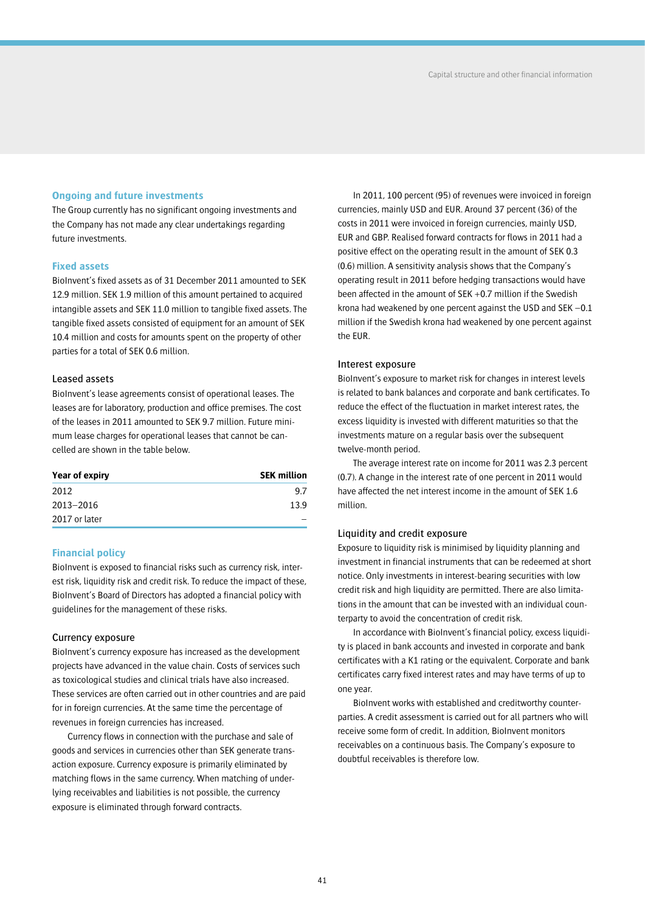## **Ongoing and future investments**

The Group currently has no significant ongoing investments and the Company has not made any clear undertakings regarding future investments.

## **Fixed assets**

BioInvent's fixed assets as of 31 December 2011 amounted to SEK 12.9 million. SEK 1.9 million of this amount pertained to acquired intangible assets and SEK 11.0 million to tangible fixed assets. The tangible fixed assets consisted of equipment for an amount of SEK 10.4 million and costs for amounts spent on the property of other parties for a total of SEK 0.6 million.

## Leased assets

BioInvent's lease agreements consist of operational leases. The leases are for laboratory, production and office premises. The cost of the leases in 2011 amounted to SEK 9.7 million. Future minimum lease charges for operational leases that cannot be cancelled are shown in the table below.

| Year of expiry | <b>SEK million</b> |
|----------------|--------------------|
| 2012           | 97                 |
| 2013-2016      | 13.9               |
| 2017 or later  |                    |

### **Financial policy**

BioInvent is exposed to financial risks such as currency risk, interest risk, liquidity risk and credit risk. To reduce the impact of these, BioInvent's Board of Directors has adopted a financial policy with guidelines for the management of these risks.

### Currency exposure

BioInvent's currency exposure has increased as the development projects have advanced in the value chain. Costs of services such as toxicological studies and clinical trials have also increased. These services are often carried out in other countries and are paid for in foreign currencies. At the same time the percentage of revenues in foreign currencies has increased.

Currency flows in connection with the purchase and sale of goods and services in currencies other than SEK generate transaction exposure. Currency exposure is primarily eliminated by matching flows in the same currency. When matching of underlying receivables and liabilities is not possible, the currency exposure is eliminated through forward contracts.

In 2011, 100 percent (95) of revenues were invoiced in foreign currencies, mainly USD and EUR. Around 37 percent (36) of the costs in 2011 were invoiced in foreign currencies, mainly USD, EUR and GBP. Realised forward contracts for flows in 2011 had a positive effect on the operating result in the amount of SEK 0.3 (0.6) million. A sensitivity analysis shows that the Company's operating result in 2011 before hedging transactions would have been affected in the amount of SEK +0.7 million if the Swedish krona had weakened by one percent against the USD and SEK –0.1 million if the Swedish krona had weakened by one percent against the EUR.

### Interest exposure

BioInvent's exposure to market risk for changes in interest levels is related to bank balances and corporate and bank certificates. To reduce the effect of the fluctuation in market interest rates, the excess liquidity is invested with different maturities so that the investments mature on a regular basis over the subsequent twelve-month period.

The average interest rate on income for 2011 was 2.3 percent (0.7). A change in the interest rate of one percent in 2011 would have affected the net interest income in the amount of SEK 1.6 million.

## Liquidity and credit exposure

Exposure to liquidity risk is minimised by liquidity planning and investment in financial instruments that can be redeemed at short notice. Only investments in interest-bearing securities with low credit risk and high liquidity are permitted. There are also limitations in the amount that can be invested with an individual counterparty to avoid the concentration of credit risk.

In accordance with BioInvent's financial policy, excess liquidity is placed in bank accounts and invested in corporate and bank certificates with a K1 rating or the equivalent. Corporate and bank certificates carry fixed interest rates and may have terms of up to one year.

BioInvent works with established and creditworthy counterparties. A credit assessment is carried out for all partners who will receive some form of credit. In addition, BioInvent monitors receivables on a continuous basis. The Company's exposure to doubtful receivables is therefore low.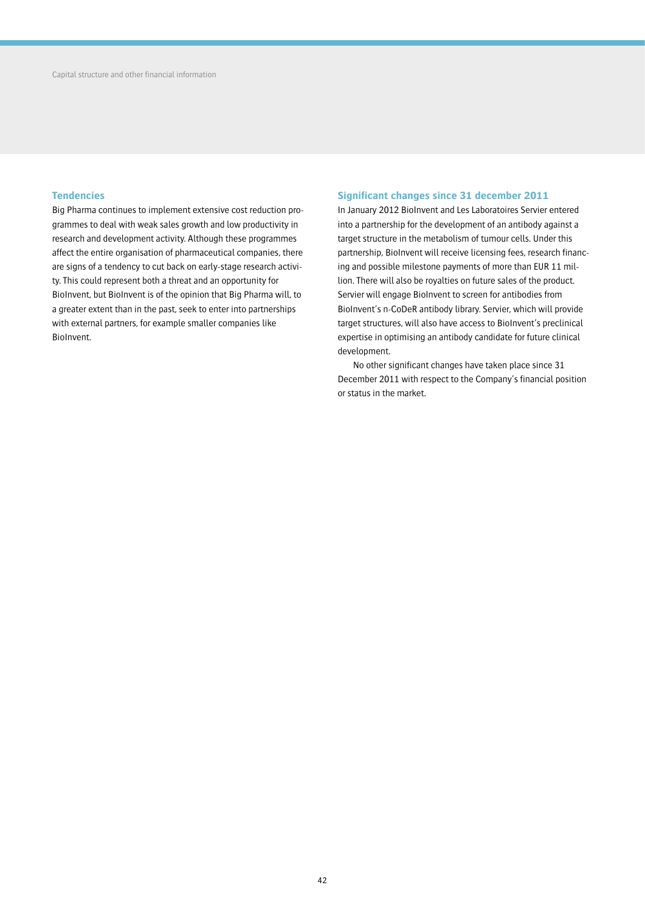## **Tendencies**

Big Pharma continues to implement extensive cost reduction programmes to deal with weak sales growth and low productivity in research and development activity. Although these programmes affect the entire organisation of pharmaceutical companies, there are signs of a tendency to cut back on early-stage research activity. This could represent both a threat and an opportunity for BioInvent, but BioInvent is of the opinion that Big Pharma will, to a greater extent than in the past, seek to enter into partnerships with external partners, for example smaller companies like BioInvent.

## **Significant changes since 31 december 2011**

In January 2012 BioInvent and Les Laboratoires Servier entered into a partnership for the development of an antibody against a target structure in the metabolism of tumour cells. Under this partnership, BioInvent will receive licensing fees, research financing and possible milestone payments of more than EUR 11 million. There will also be royalties on future sales of the product. Servier will engage BioInvent to screen for antibodies from BioInvent's n-CoDeR antibody library. Servier, which will provide target structures, will also have access to BioInvent's preclinical expertise in optimising an antibody candidate for future clinical development.

No other significant changes have taken place since 31 December 2011 with respect to the Company's financial position or status in the market.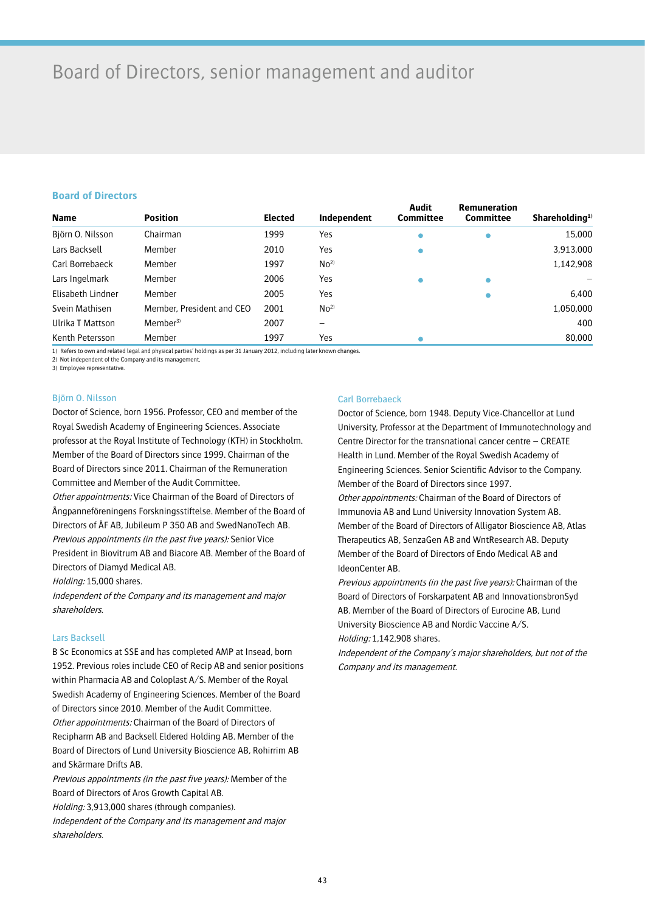# Board of Directors, senior management and auditor

## **Board of Directors**

| <b>Name</b>       | <b>Position</b>           | <b>Elected</b> | Independent     | <b>Audit</b><br><b>Committee</b> | <b>Remuneration</b><br><b>Committee</b> | Shareholding <sup>1)</sup> |
|-------------------|---------------------------|----------------|-----------------|----------------------------------|-----------------------------------------|----------------------------|
| Björn O. Nilsson  | Chairman                  | 1999           | Yes             | $\bullet$                        |                                         | 15,000                     |
| Lars Backsell     | Member                    | 2010           | Yes             | $\bullet$                        |                                         | 3,913,000                  |
| Carl Borrebaeck   | Member                    | 1997           | No <sup>2</sup> |                                  |                                         | 1,142,908                  |
| Lars Ingelmark    | Member                    | 2006           | Yes             |                                  |                                         |                            |
| Elisabeth Lindner | Member                    | 2005           | Yes             |                                  |                                         | 6.400                      |
| Svein Mathisen    | Member, President and CEO | 2001           | No <sup>2</sup> |                                  |                                         | 1,050,000                  |
| Ulrika T Mattson  | Member <sup>3</sup>       | 2007           |                 |                                  |                                         | 400                        |
| Kenth Petersson   | Member                    | 1997           | Yes             |                                  |                                         | 80,000                     |

1) Refers to own and related legal and physical parties' holdings as per 31 January 2012, including later known changes.

2) Not independent of the Company and its management.

3) Employee representative.

## Björn O. Nilsson

Doctor of Science, born 1956. Professor, CEO and member of the Royal Swedish Academy of Engineering Sciences. Associate professor at the Royal Institute of Technology (KTH) in Stockholm. Member of the Board of Directors since 1999. Chairman of the Board of Directors since 2011. Chairman of the Remuneration Committee and Member of the Audit Committee. Other appointments: Vice Chairman of the Board of Directors of Ångpanneföreningens Forskningsstiftelse. Member of the Board of Directors of ÅF AB, Jubileum P 350 AB and SwedNanoTech AB. Previous appointments (in the past five years): Senior Vice President in Biovitrum AB and Biacore AB. Member of the Board of Directors of Diamyd Medical AB.

Holding: 15,000 shares.

Independent of the Company and its management and major shareholders.

## Lars Backsell

B Sc Economics at SSE and has completed AMP at Insead, born 1952. Previous roles include CEO of Recip AB and senior positions within Pharmacia AB and Coloplast A/S. Member of the Royal Swedish Academy of Engineering Sciences. Member of the Board of Directors since 2010. Member of the Audit Committee. Other appointments: Chairman of the Board of Directors of Recipharm AB and Backsell Eldered Holding AB. Member of the Board of Directors of Lund University Bioscience AB, Rohirrim AB and Skärmare Drifts AB.

Previous appointments (in the past five years): Member of the Board of Directors of Aros Growth Capital AB. Holding: 3,913,000 shares (through companies). Independent of the Company and its management and major

shareholders.

## Carl Borrebaeck

Doctor of Science, born 1948. Deputy Vice-Chancellor at Lund University, Professor at the Department of Immunotechnology and Centre Director for the transnational cancer centre – CREATE Health in Lund. Member of the Royal Swedish Academy of Engineering Sciences. Senior Scientific Advisor to the Company. Member of the Board of Directors since 1997. Other appointments: Chairman of the Board of Directors of Immunovia AB and Lund University Innovation System AB. Member of the Board of Directors of Alligator Bioscience AB, Atlas Therapeutics AB, SenzaGen AB and WntResearch AB. Deputy

Member of the Board of Directors of Endo Medical AB and IdeonCenter AB.

Previous appointments (in the past five years): Chairman of the Board of Directors of Forskarpatent AB and InnovationsbronSyd AB. Member of the Board of Directors of Eurocine AB, Lund University Bioscience AB and Nordic Vaccine A/S. Holding: 1,142,908 shares.

Independent of the Company's major shareholders, but not of the Company and its management.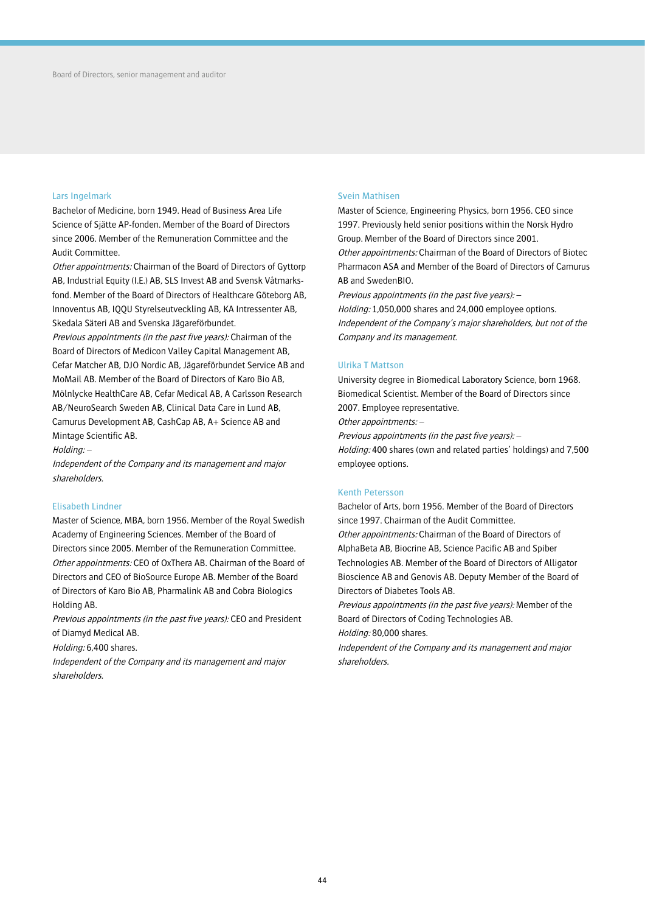### Lars Ingelmark

Bachelor of Medicine, born 1949. Head of Business Area Life Science of Sjätte AP-fonden. Member of the Board of Directors since 2006. Member of the Remuneration Committee and the Audit Committee.

Other appointments: Chairman of the Board of Directors of Gyttorp AB, Industrial Equity (I.E.) AB, SLS Invest AB and Svensk Våtmarksfond. Member of the Board of Directors of Healthcare Göteborg AB, Innoventus AB, IQQU Styrelseutveckling AB, KA Intressenter AB, Skedala Säteri AB and Svenska Jägareförbundet.

Previous appointments (in the past five years): Chairman of the Board of Directors of Medicon Valley Capital Management AB, Cefar Matcher AB, DJO Nordic AB, Jägareförbundet Service AB and MoMail AB. Member of the Board of Directors of Karo Bio AB, Mölnlycke HealthCare AB, Cefar Medical AB, A Carlsson Research AB/NeuroSearch Sweden AB, Clinical Data Care in Lund AB, Camurus Development AB, CashCap AB, A+ Science AB and Mintage Scientific AB.

Holding: –

Independent of the Company and its management and major shareholders.

## Elisabeth Lindner

Master of Science, MBA, born 1956. Member of the Royal Swedish Academy of Engineering Sciences. Member of the Board of Directors since 2005. Member of the Remuneration Committee. Other appointments: CEO of OxThera AB. Chairman of the Board of Directors and CEO of BioSource Europe AB. Member of the Board of Directors of Karo Bio AB, Pharmalink AB and Cobra Biologics Holding AB.

Previous appointments (in the past five years): CEO and President of Diamyd Medical AB.

Holding: 6,400 shares.

Independent of the Company and its management and major shareholders.

## Svein Mathisen

Master of Science, Engineering Physics, born 1956. CEO since 1997. Previously held senior positions within the Norsk Hydro Group. Member of the Board of Directors since 2001. Other appointments: Chairman of the Board of Directors of Biotec Pharmacon ASA and Member of the Board of Directors of Camurus AB and SwedenBIO.

Previous appointments (in the past five years): – Holding: 1,050,000 shares and 24,000 employee options. Independent of the Company's major shareholders, but not of the Company and its management.

### Ulrika T Mattson

University degree in Biomedical Laboratory Science, born 1968. Biomedical Scientist. Member of the Board of Directors since 2007. Employee representative.

Other appointments: –

Previous appointments (in the past five years): –

Holding: 400 shares (own and related parties' holdings) and 7,500 employee options.

## Kenth Petersson

Bachelor of Arts, born 1956. Member of the Board of Directors since 1997. Chairman of the Audit Committee.

Other appointments: Chairman of the Board of Directors of AlphaBeta AB, Biocrine AB, Science Pacific AB and Spiber Technologies AB. Member of the Board of Directors of Alligator Bioscience AB and Genovis AB. Deputy Member of the Board of Directors of Diabetes Tools AB.

Previous appointments (in the past five years): Member of the Board of Directors of Coding Technologies AB.

Holding: 80,000 shares.

Independent of the Company and its management and major shareholders.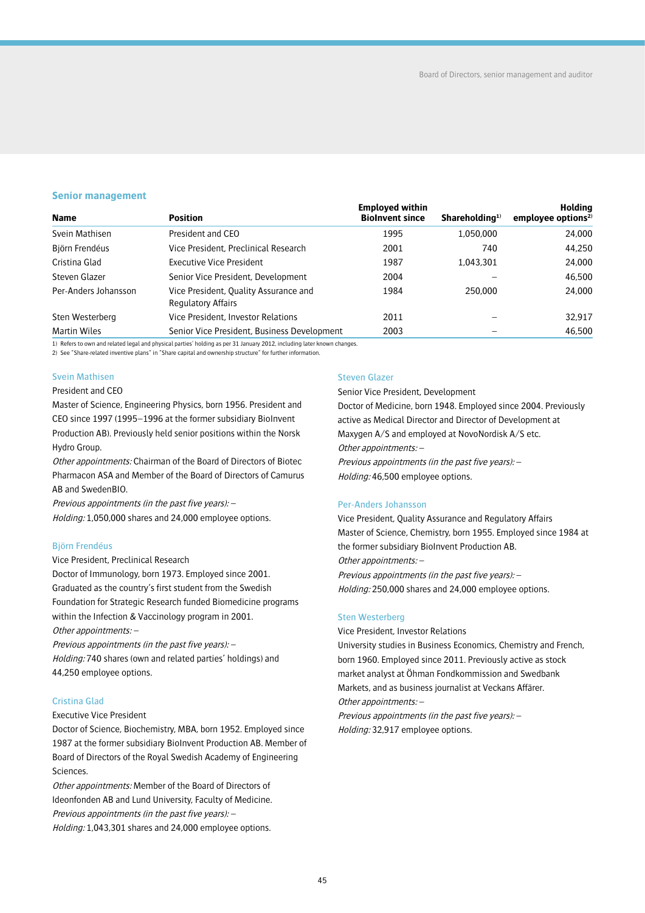## **Senior management**

| <b>Name</b>          | <b>Position</b>                                                    | <b>Employed within</b><br><b>Biolnvent since</b> | Shareholding <sup>1)</sup> | <b>Holding</b><br>employee options <sup>2)</sup> |
|----------------------|--------------------------------------------------------------------|--------------------------------------------------|----------------------------|--------------------------------------------------|
|                      |                                                                    |                                                  |                            |                                                  |
| Svein Mathisen       | President and CEO                                                  | 1995                                             | 1,050,000                  | 24,000                                           |
| Björn Frendéus       | Vice President, Preclinical Research                               | 2001                                             | 740                        | 44,250                                           |
| Cristina Glad        | <b>Executive Vice President</b>                                    | 1987                                             | 1,043,301                  | 24,000                                           |
| Steven Glazer        | Senior Vice President, Development                                 | 2004                                             |                            | 46,500                                           |
| Per-Anders Johansson | Vice President, Quality Assurance and<br><b>Regulatory Affairs</b> | 1984                                             | 250,000                    | 24,000                                           |
| Sten Westerberg      | Vice President, Investor Relations                                 | 2011                                             |                            | 32.917                                           |
| Martin Wiles         | Senior Vice President, Business Development                        | 2003                                             |                            | 46,500                                           |

1) Refers to own and related legal and physical parties' holding as per 31 January 2012, including later known changes.

2) See "Share-related inventive plans" in "Share capital and ownership structure" for further information.

## Svein Mathisen

## President and CEO

Master of Science, Engineering Physics, born 1956. President and CEO since 1997 (1995–1996 at the former subsidiary BioInvent Production AB). Previously held senior positions within the Norsk Hydro Group.

Other appointments: Chairman of the Board of Directors of Biotec Pharmacon ASA and Member of the Board of Directors of Camurus AB and SwedenBIO.

Previous appointments (in the past five years): – Holding: 1,050,000 shares and 24,000 employee options.

## Björn Frendéus

Vice President, Preclinical Research

Doctor of Immunology, born 1973. Employed since 2001. Graduated as the country's first student from the Swedish Foundation for Strategic Research funded Biomedicine programs within the Infection & Vaccinology program in 2001.

Other appointments: –

Previous appointments (in the past five years): – Holding: 740 shares (own and related parties' holdings) and 44,250 employee options.

## Cristina Glad

### Executive Vice President

Doctor of Science, Biochemistry, MBA, born 1952. Employed since 1987 at the former subsidiary BioInvent Production AB. Member of Board of Directors of the Royal Swedish Academy of Engineering Sciences.

Other appointments: Member of the Board of Directors of Ideonfonden AB and Lund University, Faculty of Medicine. Previous appointments (in the past five years): –

Holding: 1,043,301 shares and 24,000 employee options.

### Steven Glazer

Senior Vice President, Development Doctor of Medicine, born 1948. Employed since 2004. Previously active as Medical Director and Director of Development at Maxygen A/S and employed at NovoNordisk A/S etc. Other appointments: – Previous appointments (in the past five years): –

Holding: 46,500 employee options.

### Per-Anders Johansson

Vice President, Quality Assurance and Regulatory Affairs Master of Science, Chemistry, born 1955. Employed since 1984 at the former subsidiary BioInvent Production AB. Other appointments: – Previous appointments (in the past five years): – Holding: 250,000 shares and 24,000 employee options.

#### Sten Westerberg

Vice President, Investor Relations

University studies in Business Economics, Chemistry and French, born 1960. Employed since 2011. Previously active as stock market analyst at Öhman Fondkommission and Swedbank Markets, and as business journalist at Veckans Affärer. Other appointments: –

Previous appointments (in the past five years): – Holding: 32,917 employee options.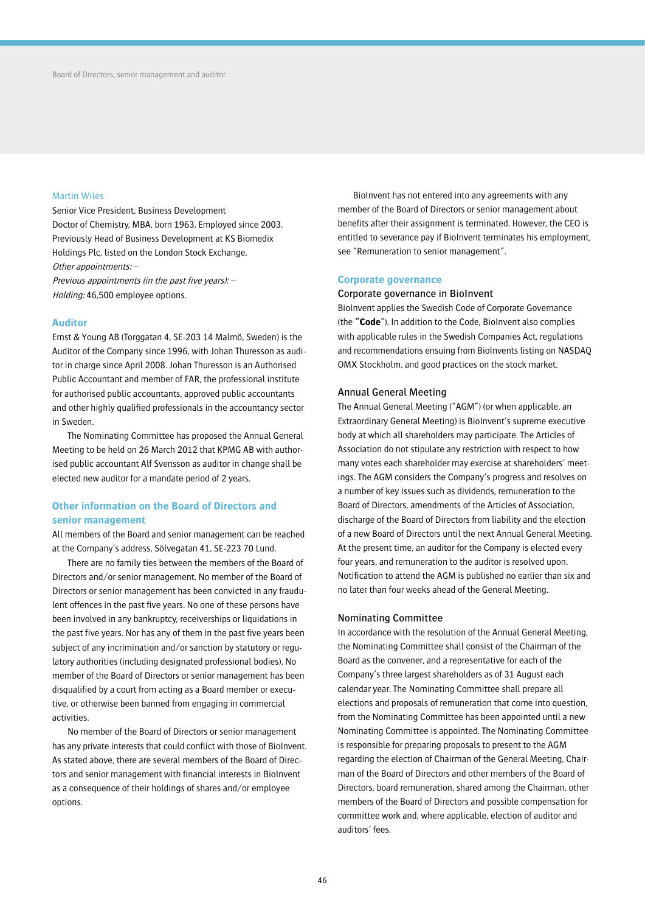### Martin Wiles

Senior Vice President, Business Development Doctor of Chemistry, MBA, born 1963. Employed since 2003. Previously Head of Business Development at KS Biomedix Holdings Plc, listed on the London Stock Exchange. Other appointments: –

Previous appointments (in the past five years): – Holding: 46,500 employee options.

### **Auditor**

Ernst & Young AB (Torggatan 4, SE-203 14 Malmö, Sweden) is the Auditor of the Company since 1996, with Johan Thuresson as auditor in charge since April 2008. Johan Thuresson is an Authorised Public Accountant and member of FAR, the professional institute for authorised public accountants, approved public accountants and other highly qualified professionals in the accountancy sector in Sweden.

The Nominating Committee has proposed the Annual General Meeting to be held on 26 March 2012 that KPMG AB with authorised public accountant Alf Svensson as auditor in change shall be elected new auditor for a mandate period of 2 years.

## **Other information on the Board of Directors and senior management**

All members of the Board and senior management can be reached at the Company's address, Sölvegatan 41, SE-223 70 Lund.

There are no family ties between the members of the Board of Directors and/or senior management. No member of the Board of Directors or senior management has been convicted in any fraudulent offences in the past five years. No one of these persons have been involved in any bankruptcy, receiverships or liquidations in the past five years. Nor has any of them in the past five years been subject of any incrimination and/or sanction by statutory or regulatory authorities (including designated professional bodies). No member of the Board of Directors or senior management has been disqualified by a court from acting as a Board member or executive, or otherwise been banned from engaging in commercial activities.

No member of the Board of Directors or senior management has any private interests that could conflict with those of BioInvent. As stated above, there are several members of the Board of Directors and senior management with financial interests in BioInvent as a consequence of their holdings of shares and/or employee options.

BioInvent has not entered into any agreements with any member of the Board of Directors or senior management about benefits after their assignment is terminated. However, the CEO is entitled to severance pay if BioInvent terminates his employment, see "Remuneration to senior management".

### **Corporate governance**

### Corporate governance in BioInvent

BioInvent applies the Swedish Code of Corporate Governance (the **"Code**"). In addition to the Code, BioInvent also complies with applicable rules in the Swedish Companies Act, regulations and recommendations ensuing from BioInvents listing on NASDAQ OMX Stockholm, and good practices on the stock market.

### Annual General Meeting

The Annual General Meeting ("AGM") (or when applicable, an Extraordinary General Meeting) is BioInvent's supreme executive body at which all shareholders may participate. The Articles of Association do not stipulate any restriction with respect to how many votes each shareholder may exercise at shareholders' meetings. The AGM considers the Company's progress and resolves on a number of key issues such as dividends, remuneration to the Board of Directors, amendments of the Articles of Association, discharge of the Board of Directors from liability and the election of a new Board of Directors until the next Annual General Meeting. At the present time, an auditor for the Company is elected every four years, and remuneration to the auditor is resolved upon. Notification to attend the AGM is published no earlier than six and no later than four weeks ahead of the General Meeting.

### Nominating Committee

In accordance with the resolution of the Annual General Meeting, the Nominating Committee shall consist of the Chairman of the Board as the convener, and a representative for each of the Company's three largest shareholders as of 31 August each calendar year. The Nominating Committee shall prepare all elections and proposals of remuneration that come into question, from the Nominating Committee has been appointed until a new Nominating Committee is appointed. The Nominating Committee is responsible for preparing proposals to present to the AGM regarding the election of Chairman of the General Meeting, Chairman of the Board of Directors and other members of the Board of Directors, board remuneration, shared among the Chairman, other members of the Board of Directors and possible compensation for committee work and, where applicable, election of auditor and auditors' fees.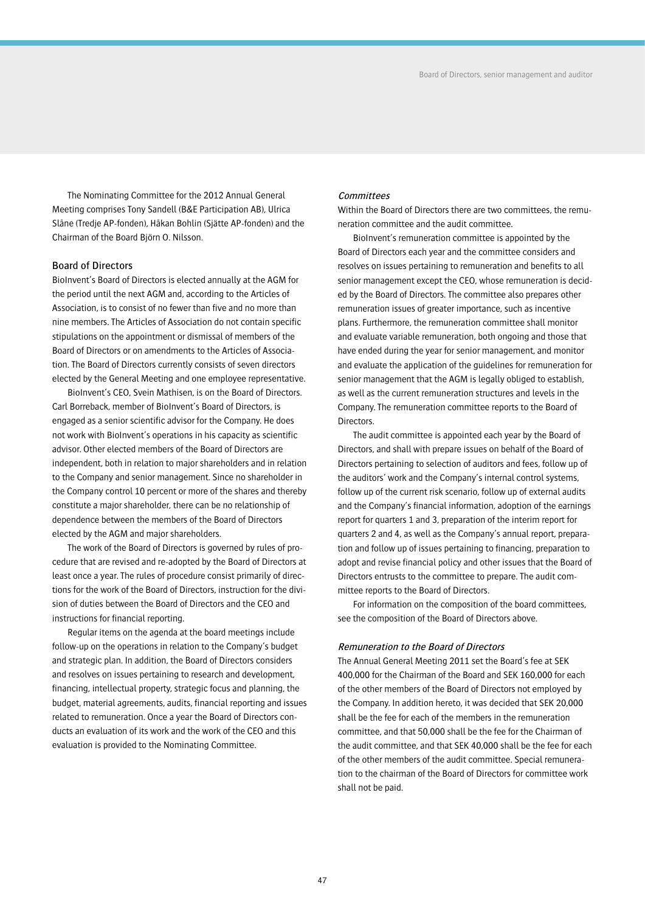The Nominating Committee for the 2012 Annual General Meeting comprises Tony Sandell (B&E Participation AB), Ulrica Slåne (Tredje AP-fonden), Håkan Bohlin (Sjätte AP-fonden) and the Chairman of the Board Björn O. Nilsson.

## Board of Directors

BioInvent's Board of Directors is elected annually at the AGM for the period until the next AGM and, according to the Articles of Association, is to consist of no fewer than five and no more than nine members. The Articles of Association do not contain specific stipulations on the appointment or dismissal of members of the Board of Directors or on amendments to the Articles of Association. The Board of Directors currently consists of seven directors elected by the General Meeting and one employee representative.

BioInvent's CEO, Svein Mathisen, is on the Board of Directors. Carl Borreback, member of BioInvent's Board of Directors, is engaged as a senior scientific advisor for the Company. He does not work with BioInvent's operations in his capacity as scientific advisor. Other elected members of the Board of Directors are independent, both in relation to major shareholders and in relation to the Company and senior management. Since no shareholder in the Company control 10 percent or more of the shares and thereby constitute a major shareholder, there can be no relationship of dependence between the members of the Board of Directors elected by the AGM and major shareholders.

The work of the Board of Directors is governed by rules of procedure that are revised and re-adopted by the Board of Directors at least once a year. The rules of procedure consist primarily of directions for the work of the Board of Directors, instruction for the division of duties between the Board of Directors and the CEO and instructions for financial reporting.

Regular items on the agenda at the board meetings include follow-up on the operations in relation to the Company's budget and strategic plan. In addition, the Board of Directors considers and resolves on issues pertaining to research and development, financing, intellectual property, strategic focus and planning, the budget, material agreements, audits, financial reporting and issues related to remuneration. Once a year the Board of Directors conducts an evaluation of its work and the work of the CEO and this evaluation is provided to the Nominating Committee.

## **Committees**

Within the Board of Directors there are two committees, the remuneration committee and the audit committee.

BioInvent's remuneration committee is appointed by the Board of Directors each year and the committee considers and resolves on issues pertaining to remuneration and benefits to all senior management except the CEO, whose remuneration is decided by the Board of Directors. The committee also prepares other remuneration issues of greater importance, such as incentive plans. Furthermore, the remuneration committee shall monitor and evaluate variable remuneration, both ongoing and those that have ended during the year for senior management, and monitor and evaluate the application of the guidelines for remuneration for senior management that the AGM is legally obliged to establish, as well as the current remuneration structures and levels in the Company. The remuneration committee reports to the Board of Directors.

The audit committee is appointed each year by the Board of Directors, and shall with prepare issues on behalf of the Board of Directors pertaining to selection of auditors and fees, follow up of the auditors' work and the Company's internal control systems, follow up of the current risk scenario, follow up of external audits and the Company's financial information, adoption of the earnings report for quarters 1 and 3, preparation of the interim report for quarters 2 and 4, as well as the Company's annual report, preparation and follow up of issues pertaining to financing, preparation to adopt and revise financial policy and other issues that the Board of Directors entrusts to the committee to prepare. The audit committee reports to the Board of Directors.

For information on the composition of the board committees, see the composition of the Board of Directors above.

### Remuneration to the Board of Directors

The Annual General Meeting 2011 set the Board's fee at SEK 400,000 for the Chairman of the Board and SEK 160,000 for each of the other members of the Board of Directors not employed by the Company. In addition hereto, it was decided that SEK 20,000 shall be the fee for each of the members in the remuneration committee, and that 50,000 shall be the fee for the Chairman of the audit committee, and that SEK 40,000 shall be the fee for each of the other members of the audit committee. Special remuneration to the chairman of the Board of Directors for committee work shall not be paid.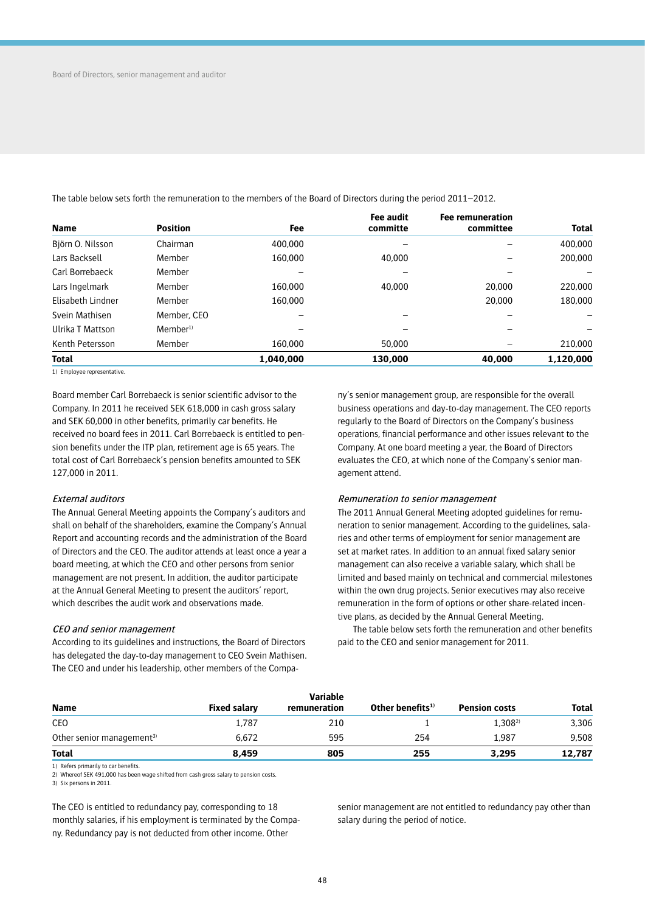The table below sets forth the remuneration to the members of the Board of Directors during the period 2011–2012.

| <b>Name</b>       | <b>Position</b>     | Fee       | Fee audit<br>committe | <b>Fee remuneration</b><br>committee | <b>Total</b> |
|-------------------|---------------------|-----------|-----------------------|--------------------------------------|--------------|
| Björn O. Nilsson  | Chairman            | 400,000   |                       |                                      | 400,000      |
| Lars Backsell     | Member              | 160,000   | 40,000                |                                      | 200,000      |
| Carl Borrebaeck   | Member              |           |                       |                                      |              |
| Lars Ingelmark    | Member              | 160,000   | 40,000                | 20,000                               | 220,000      |
| Elisabeth Lindner | Member              | 160,000   |                       | 20,000                               | 180,000      |
| Svein Mathisen    | Member, CEO         |           |                       |                                      |              |
| Ulrika T Mattson  | Member <sup>1</sup> |           |                       |                                      |              |
| Kenth Petersson   | Member              | 160,000   | 50,000                |                                      | 210,000      |
| <b>Total</b>      |                     | 1.040.000 | 130,000               | 40,000                               | 1.120.000    |

1) Employee representative.

Board member Carl Borrebaeck is senior scientific advisor to the Company. In 2011 he received SEK 618,000 in cash gross salary and SEK 60,000 in other benefits, primarily car benefits. He received no board fees in 2011. Carl Borrebaeck is entitled to pension benefits under the ITP plan, retirement age is 65 years. The total cost of Carl Borrebaeck's pension benefits amounted to SEK 127,000 in 2011.

### External auditors

The Annual General Meeting appoints the Company's auditors and shall on behalf of the shareholders, examine the Company's Annual Report and accounting records and the administration of the Board of Directors and the CEO. The auditor attends at least once a year a board meeting, at which the CEO and other persons from senior management are not present. In addition, the auditor participate at the Annual General Meeting to present the auditors' report, which describes the audit work and observations made.

#### CEO and senior management

According to its guidelines and instructions, the Board of Directors has delegated the day-to-day management to CEO Svein Mathisen. The CEO and under his leadership, other members of the Company's senior management group, are responsible for the overall business operations and day-to-day management. The CEO reports regularly to the Board of Directors on the Company's business operations, financial performance and other issues relevant to the Company. At one board meeting a year, the Board of Directors evaluates the CEO, at which none of the Company's senior management attend.

### Remuneration to senior management

The 2011 Annual General Meeting adopted guidelines for remuneration to senior management. According to the guidelines, salaries and other terms of employment for senior management are set at market rates. In addition to an annual fixed salary senior management can also receive a variable salary, which shall be limited and based mainly on technical and commercial milestones within the own drug projects. Senior executives may also receive remuneration in the form of options or other share-related incentive plans, as decided by the Annual General Meeting.

The table below sets forth the remuneration and other benefits paid to the CEO and senior management for 2011.

| <b>Name</b>                           | <b>Fixed salary</b> | Variable<br>remuneration | Other benefits $1$ | <b>Pension costs</b> | <b>Total</b> |
|---------------------------------------|---------------------|--------------------------|--------------------|----------------------|--------------|
| CEO                                   | 1,787               | 210                      |                    | $1.308^{2}$          | 3,306        |
| Other senior management <sup>3)</sup> | 6.672               | 595                      | 254                | 1.987                | 9,508        |
| <b>Total</b>                          | 8,459               | 805                      | 255                | 3,295                | 12,787       |

1) Refers primarily to car benefits.

2) Whereof SEK 491,000 has been wage shifted from cash gross salary to pension costs.

3) Six persons in 2011.

The CEO is entitled to redundancy pay, corresponding to 18 monthly salaries, if his employment is terminated by the Company. Redundancy pay is not deducted from other income. Other

senior management are not entitled to redundancy pay other than salary during the period of notice.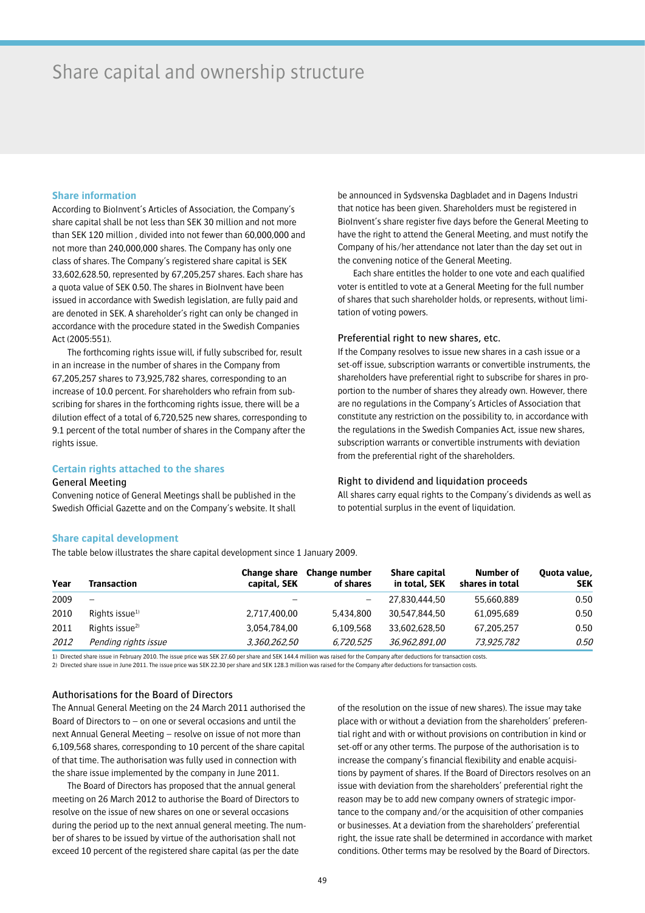## Share capital and ownership structure

## **Share information**

According to BioInvent's Articles of Association, the Company's share capital shall be not less than SEK 30 million and not more than SEK 120 million , divided into not fewer than 60,000,000 and not more than 240,000,000 shares. The Company has only one class of shares. The Company's registered share capital is SEK 33,602,628.50, represented by 67,205,257 shares. Each share has a quota value of SEK 0.50. The shares in BioInvent have been issued in accordance with Swedish legislation, are fully paid and are denoted in SEK. A shareholder's right can only be changed in accordance with the procedure stated in the Swedish Companies Act (2005:551).

The forthcoming rights issue will, if fully subscribed for, result in an increase in the number of shares in the Company from 67,205,257 shares to 73,925,782 shares, corresponding to an increase of 10.0 percent. For shareholders who refrain from subscribing for shares in the forthcoming rights issue, there will be a dilution effect of a total of 6,720,525 new shares, corresponding to 9.1 percent of the total number of shares in the Company after the rights issue.

## **Certain rights attached to the shares**

### General Meeting

Convening notice of General Meetings shall be published in the Swedish Official Gazette and on the Company's website. It shall

be announced in Sydsvenska Dagbladet and in Dagens Industri that notice has been given. Shareholders must be registered in BioInvent's share register five days before the General Meeting to have the right to attend the General Meeting, and must notify the Company of his/her attendance not later than the day set out in the convening notice of the General Meeting.

Each share entitles the holder to one vote and each qualified voter is entitled to vote at a General Meeting for the full number of shares that such shareholder holds, or represents, without limitation of voting powers.

## Preferential right to new shares, etc.

If the Company resolves to issue new shares in a cash issue or a set-off issue, subscription warrants or convertible instruments, the shareholders have preferential right to subscribe for shares in proportion to the number of shares they already own. However, there are no regulations in the Company's Articles of Association that constitute any restriction on the possibility to, in accordance with the regulations in the Swedish Companies Act, issue new shares, subscription warrants or convertible instruments with deviation from the preferential right of the shareholders.

### Right to dividend and liquidation proceeds

All shares carry equal rights to the Company's dividends as well as to potential surplus in the event of liquidation.

## **Share capital development**

The table below illustrates the share capital development since 1 January 2009.

| Year | Transaction                | Change share<br>capital, SEK | Change number<br>of shares | Share capital<br>in total, SEK | Number of<br>shares in total | Quota value,<br><b>SEK</b> |
|------|----------------------------|------------------------------|----------------------------|--------------------------------|------------------------------|----------------------------|
| 2009 | $\overline{\phantom{0}}$   | —                            | $\qquad \qquad -$          | 27,830,444,50                  | 55,660,889                   | 0.50                       |
| 2010 | Rights issue <sup>1)</sup> | 2,717,400,00                 | 5,434,800                  | 30,547,844,50                  | 61.095.689                   | 0.50                       |
| 2011 | Rights issue <sup>2)</sup> | 3.054.784.00                 | 6.109.568                  | 33,602,628,50                  | 67.205.257                   | 0.50                       |
| 2012 | Pending rights issue       | 3,360,262,50                 | 6.720.525                  | 36,962,891,00                  | 73,925,782                   | 0.50                       |

1) Directed share issue in February 2010. The issue price was SEK 27.60 per share and SEK 144.4 million was raised for the Company after deductions for transaction costs.

2) Directed share issue in June 2011. The issue price was SEK 22.30 per share and SEK 128.3 million was raised for the Company after deductions for transaction costs.

## Authorisations for the Board of Directors

The Annual General Meeting on the 24 March 2011 authorised the Board of Directors to – on one or several occasions and until the next Annual General Meeting – resolve on issue of not more than 6,109,568 shares, corresponding to 10 percent of the share capital of that time. The authorisation was fully used in connection with the share issue implemented by the company in June 2011.

The Board of Directors has proposed that the annual general meeting on 26 March 2012 to authorise the Board of Directors to resolve on the issue of new shares on one or several occasions during the period up to the next annual general meeting. The number of shares to be issued by virtue of the authorisation shall not exceed 10 percent of the registered share capital (as per the date

of the resolution on the issue of new shares). The issue may take place with or without a deviation from the shareholders' preferential right and with or without provisions on contribution in kind or set-off or any other terms. The purpose of the authorisation is to increase the company's financial flexibility and enable acquisitions by payment of shares. If the Board of Directors resolves on an issue with deviation from the shareholders' preferential right the reason may be to add new company owners of strategic importance to the company and/or the acquisition of other companies or businesses. At a deviation from the shareholders' preferential right, the issue rate shall be determined in accordance with market conditions. Other terms may be resolved by the Board of Directors.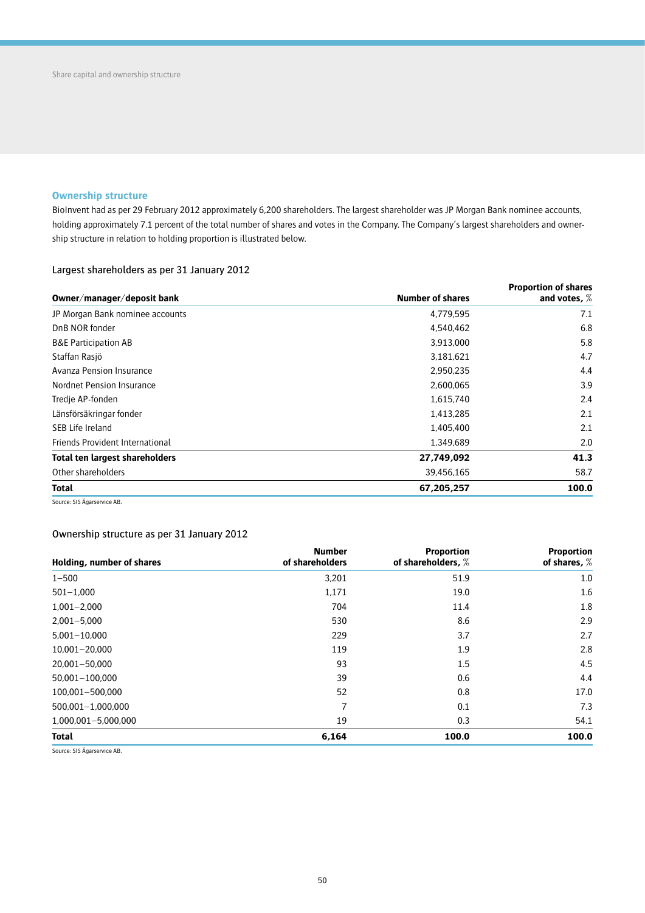## **Ownership structure**

BioInvent had as per 29 February 2012 approximately 6,200 shareholders. The largest shareholder was JP Morgan Bank nominee accounts, holding approximately 7.1 percent of the total number of shares and votes in the Company. The Company's largest shareholders and ownership structure in relation to holding proportion is illustrated below.

## Largest shareholders as per 31 January 2012

|                                       | <b>Proportion of shares</b> |                |  |  |
|---------------------------------------|-----------------------------|----------------|--|--|
| Owner/manager/deposit bank            | <b>Number of shares</b>     | and votes, $%$ |  |  |
| JP Morgan Bank nominee accounts       | 4,779,595                   | 7.1            |  |  |
| DnB NOR fonder                        | 4,540,462                   | 6.8            |  |  |
| <b>B&amp;E Participation AB</b>       | 3,913,000                   | 5.8            |  |  |
| Staffan Rasjö                         | 3,181,621                   |                |  |  |
| Avanza Pension Insurance              | 2,950,235                   | 4.4            |  |  |
| Nordnet Pension Insurance             | 2,600,065                   | 3.9            |  |  |
| Tredie AP-fonden                      | 1,615,740                   | 2.4            |  |  |
| Länsförsäkringar fonder               | 1,413,285                   | 2.1            |  |  |
| SEB Life Ireland                      | 1,405,400                   | 2.1            |  |  |
| Friends Provident International       | 1.349.689                   | 2.0            |  |  |
| <b>Total ten largest shareholders</b> | 27,749,092                  | 41.3           |  |  |
| Other shareholders                    | 39,456,165                  | 58.7           |  |  |
| <b>Total</b>                          | 67,205,257                  | 100.0          |  |  |
|                                       |                             |                |  |  |

Source: SIS Ägarservice AB.

## Ownership structure as per 31 January 2012

| Holding, number of shares | <b>Number</b><br>of shareholders | <b>Proportion</b><br>of shareholders, % | <b>Proportion</b><br>of shares, % |
|---------------------------|----------------------------------|-----------------------------------------|-----------------------------------|
| $1 - 500$                 | 3,201                            | 51.9                                    | 1.0                               |
| $501 - 1,000$             | 1,171                            | 19.0                                    | 1.6                               |
| $1,001 - 2,000$           | 704                              | 11.4                                    | 1.8                               |
| $2.001 - 5.000$           | 530                              | 8.6                                     | 2.9                               |
| 5,001-10,000              | 229                              | 3.7                                     | 2.7                               |
| 10,001-20,000             | 119                              | 1.9                                     | 2.8                               |
| 20,001-50,000             | 93                               | $1.5\,$                                 | 4.5                               |
| 50,001-100,000            | 39                               | 0.6                                     | 4.4                               |
| 100,001-500,000           | 52                               | 0.8                                     | 17.0                              |
| 500,001-1,000,000         | 7                                | 0.1                                     | 7.3                               |
| 1,000,001-5,000,000       | 19                               | 0.3                                     | 54.1                              |
| <b>Total</b>              | 6,164                            | 100.0                                   | 100.0                             |

Source: SIS Ägarservice AB.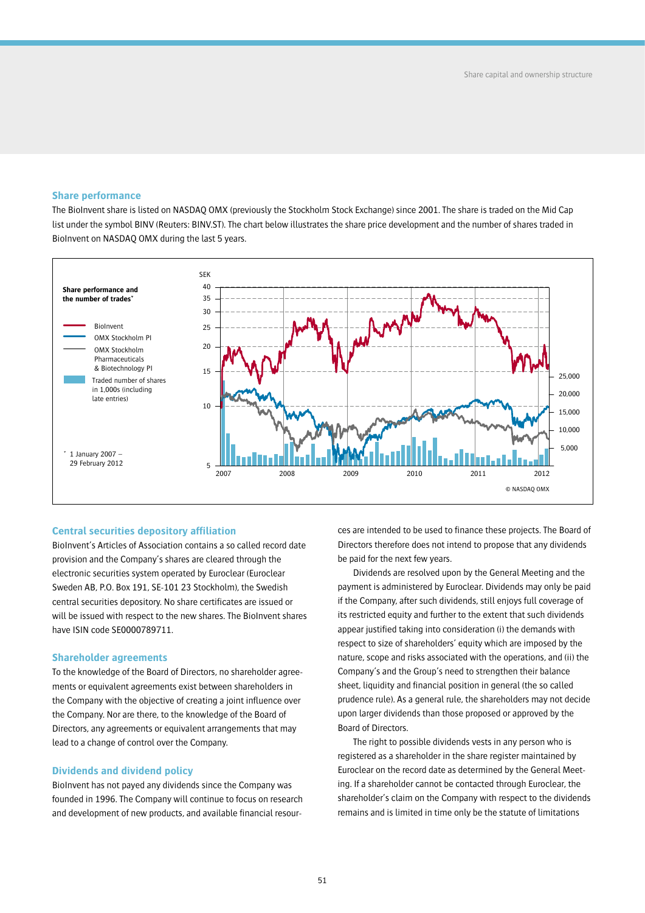## **Share performance**

The BioInvent share is listed on NASDAQ OMX (previously the Stockholm Stock Exchange) since 2001. The share is traded on the Mid Cap list under the symbol BINV (Reuters: BINV.ST). The chart below illustrates the share price development and the number of shares traded in BioInvent on NASDAQ OMX during the last 5 years.



### **Central securities depository affiliation**

BioInvent's Articles of Association contains a so called record date provision and the Company's shares are cleared through the electronic securities system operated by Euroclear (Euroclear Sweden AB, P.O. Box 191, SE-101 23 Stockholm), the Swedish central securities depository. No share certificates are issued or will be issued with respect to the new shares. The BioInvent shares have ISIN code SE0000789711.

## **Shareholder agreements**

To the knowledge of the Board of Directors, no shareholder agreements or equivalent agreements exist between shareholders in the Company with the objective of creating a joint influence over the Company. Nor are there, to the knowledge of the Board of Directors, any agreements or equivalent arrangements that may lead to a change of control over the Company.

## **Dividends and dividend policy**

BioInvent has not payed any dividends since the Company was founded in 1996. The Company will continue to focus on research and development of new products, and available financial resources are intended to be used to finance these projects. The Board of Directors therefore does not intend to propose that any dividends be paid for the next few years.

Dividends are resolved upon by the General Meeting and the payment is administered by Euroclear. Dividends may only be paid if the Company, after such dividends, still enjoys full coverage of its restricted equity and further to the extent that such dividends appear justified taking into consideration (i) the demands with respect to size of shareholders' equity which are imposed by the nature, scope and risks associated with the operations, and (ii) the Company's and the Group's need to strengthen their balance sheet, liquidity and financial position in general (the so called prudence rule). As a general rule, the shareholders may not decide upon larger dividends than those proposed or approved by the Board of Directors.

The right to possible dividends vests in any person who is registered as a shareholder in the share register maintained by Euroclear on the record date as determined by the General Meeting. If a shareholder cannot be contacted through Euroclear, the shareholder's claim on the Company with respect to the dividends remains and is limited in time only be the statute of limitations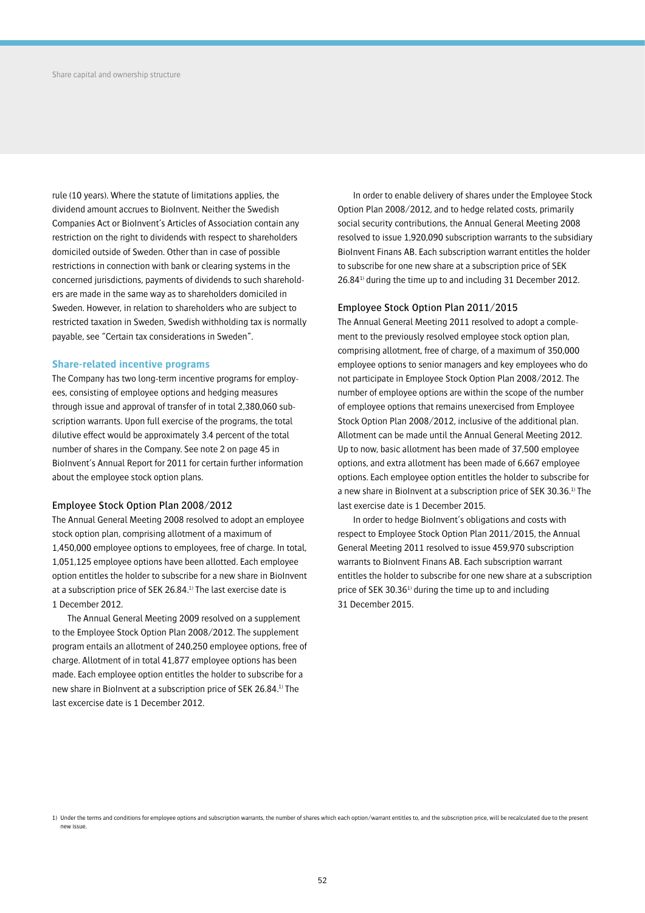rule (10 years). Where the statute of limitations applies, the dividend amount accrues to BioInvent. Neither the Swedish Companies Act or BioInvent's Articles of Association contain any restriction on the right to dividends with respect to shareholders domiciled outside of Sweden. Other than in case of possible restrictions in connection with bank or clearing systems in the concerned jurisdictions, payments of dividends to such shareholders are made in the same way as to shareholders domiciled in Sweden. However, in relation to shareholders who are subject to restricted taxation in Sweden, Swedish withholding tax is normally payable, see "Certain tax considerations in Sweden".

### **Share-related incentive programs**

The Company has two long-term incentive programs for employees, consisting of employee options and hedging measures through issue and approval of transfer of in total 2,380,060 subscription warrants. Upon full exercise of the programs, the total dilutive effect would be approximately 3.4 percent of the total number of shares in the Company. See note 2 on page 45 in BioInvent's Annual Report for 2011 for certain further information about the employee stock option plans.

## Employee Stock Option Plan 2008/2012

The Annual General Meeting 2008 resolved to adopt an employee stock option plan, comprising allotment of a maximum of 1,450,000 employee options to employees, free of charge. In total, 1,051,125 employee options have been allotted. Each employee option entitles the holder to subscribe for a new share in BioInvent at a subscription price of SEK 26.84.1) The last exercise date is 1 December 2012.

The Annual General Meeting 2009 resolved on a supplement to the Employee Stock Option Plan 2008/2012. The supplement program entails an allotment of 240,250 employee options, free of charge. Allotment of in total 41,877 employee options has been made. Each employee option entitles the holder to subscribe for a new share in BioInvent at a subscription price of SEK 26.84.1) The last excercise date is 1 December 2012.

In order to enable delivery of shares under the Employee Stock Option Plan 2008/2012, and to hedge related costs, primarily social security contributions, the Annual General Meeting 2008 resolved to issue 1,920,090 subscription warrants to the subsidiary BioInvent Finans AB. Each subscription warrant entitles the holder to subscribe for one new share at a subscription price of SEK 26.841) during the time up to and including 31 December 2012.

### Employee Stock Option Plan 2011/2015

The Annual General Meeting 2011 resolved to adopt a complement to the previously resolved employee stock option plan, comprising allotment, free of charge, of a maximum of 350,000 employee options to senior managers and key employees who do not participate in Employee Stock Option Plan 2008/2012. The number of employee options are within the scope of the number of employee options that remains unexercised from Employee Stock Option Plan 2008/2012, inclusive of the additional plan. Allotment can be made until the Annual General Meeting 2012. Up to now, basic allotment has been made of 37,500 employee options, and extra allotment has been made of 6,667 employee options. Each employee option entitles the holder to subscribe for a new share in BioInvent at a subscription price of SEK 30.36.1) The last exercise date is 1 December 2015.

In order to hedge BioInvent's obligations and costs with respect to Employee Stock Option Plan 2011/2015, the Annual General Meeting 2011 resolved to issue 459,970 subscription warrants to BioInvent Finans AB. Each subscription warrant entitles the holder to subscribe for one new share at a subscription price of SEK 30.36 $1$ <sup>1</sup> during the time up to and including 31 December 2015.

<sup>1)</sup> Under the terms and conditions for employee options and subscription warrants, the number of shares which each option/warrant entitles to, and the subscription price, will be recalculated due to the present new issue.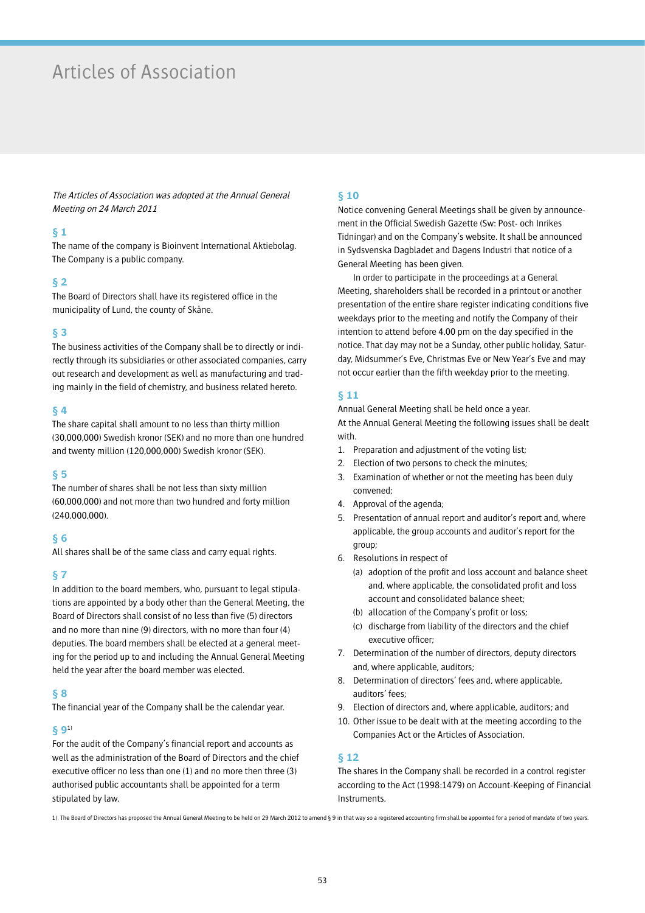# Articles of Association

The Articles of Association was adopted at the Annual General Meeting on 24 March 2011

## **§ 1**

The name of the company is Bioinvent International Aktiebolag. The Company is a public company.

## **§ 2**

The Board of Directors shall have its registered office in the municipality of Lund, the county of Skåne.

## **§ 3**

The business activities of the Company shall be to directly or indirectly through its subsidiaries or other associated companies, carry out research and development as well as manufacturing and trading mainly in the field of chemistry, and business related hereto.

## **§ 4**

The share capital shall amount to no less than thirty million (30,000,000) Swedish kronor (SEK) and no more than one hundred and twenty million (120,000,000) Swedish kronor (SEK).

## **§ 5**

The number of shares shall be not less than sixty million (60,000,000) and not more than two hundred and forty million (240,000,000).

## **§ 6**

All shares shall be of the same class and carry equal rights.

## **§ 7**

In addition to the board members, who, pursuant to legal stipulations are appointed by a body other than the General Meeting, the Board of Directors shall consist of no less than five (5) directors and no more than nine (9) directors, with no more than four (4) deputies. The board members shall be elected at a general meeting for the period up to and including the Annual General Meeting held the year after the board member was elected.

## **§ 8**

The financial year of the Company shall be the calendar year.

## **§ 9**1)

For the audit of the Company's financial report and accounts as well as the administration of the Board of Directors and the chief executive officer no less than one (1) and no more then three (3) authorised public accountants shall be appointed for a term stipulated by law.

## **§ 10**

Notice convening General Meetings shall be given by announcement in the Official Swedish Gazette (Sw: Post- och Inrikes Tidningar) and on the Company's website. It shall be announced in Sydsvenska Dagbladet and Dagens Industri that notice of a General Meeting has been given.

In order to participate in the proceedings at a General Meeting, shareholders shall be recorded in a printout or another presentation of the entire share register indicating conditions five weekdays prior to the meeting and notify the Company of their intention to attend before 4.00 pm on the day specified in the notice. That day may not be a Sunday, other public holiday, Saturday, Midsummer's Eve, Christmas Eve or New Year's Eve and may not occur earlier than the fifth weekday prior to the meeting.

## **§ 11**

Annual General Meeting shall be held once a year. At the Annual General Meeting the following issues shall be dealt with.

- 1. Preparation and adjustment of the voting list;
- 2. Election of two persons to check the minutes;
- 3. Examination of whether or not the meeting has been duly convened;
- 4. Approval of the agenda;
- 5. Presentation of annual report and auditor's report and, where applicable, the group accounts and auditor's report for the group;
- 6. Resolutions in respect of
	- (a) adoption of the profit and loss account and balance sheet and, where applicable, the consolidated profit and loss account and consolidated balance sheet;
	- (b) allocation of the Company's profit or loss;
	- (c) discharge from liability of the directors and the chief executive officer;
- 7. Determination of the number of directors, deputy directors and, where applicable, auditors;
- 8. Determination of directors' fees and, where applicable, auditors' fees;
- 9. Election of directors and, where applicable, auditors; and
- 10. Other issue to be dealt with at the meeting according to the Companies Act or the Articles of Association.

## **§ 12**

The shares in the Company shall be recorded in a control register according to the Act (1998:1479) on Account-Keeping of Financial Instruments.

1) The Board of Directors has proposed the Annual General Meeting to be held on 29 March 2012 to amend § 9 in that way so a registered accounting firm shall be appointed for a period of mandate of two years.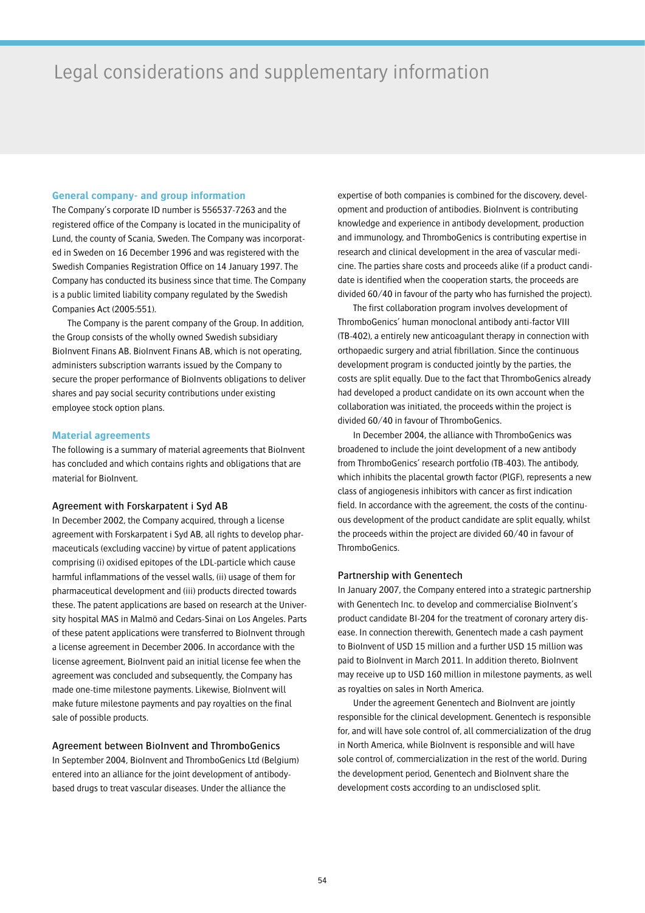# Legal considerations and supplementary information

## **General company- and group information**

The Company's corporate ID number is 556537-7263 and the registered office of the Company is located in the municipality of Lund, the county of Scania, Sweden. The Company was incorporated in Sweden on 16 December 1996 and was registered with the Swedish Companies Registration Office on 14 January 1997. The Company has conducted its business since that time. The Company is a public limited liability company regulated by the Swedish Companies Act (2005:551).

The Company is the parent company of the Group. In addition, the Group consists of the wholly owned Swedish subsidiary BioInvent Finans AB. BioInvent Finans AB, which is not operating, administers subscription warrants issued by the Company to secure the proper performance of BioInvents obligations to deliver shares and pay social security contributions under existing employee stock option plans.

### **Material agreements**

The following is a summary of material agreements that BioInvent has concluded and which contains rights and obligations that are material for BioInvent.

### Agreement with Forskarpatent i Syd AB

In December 2002, the Company acquired, through a license agreement with Forskarpatent i Syd AB, all rights to develop pharmaceuticals (excluding vaccine) by virtue of patent applications comprising (i) oxidised epitopes of the LDL-particle which cause harmful inflammations of the vessel walls, (ii) usage of them for pharmaceutical development and (iii) products directed towards these. The patent applications are based on research at the University hospital MAS in Malmö and Cedars-Sinai on Los Angeles. Parts of these patent applications were transferred to BioInvent through a license agreement in December 2006. In accordance with the license agreement, BioInvent paid an initial license fee when the agreement was concluded and subsequently, the Company has made one-time milestone payments. Likewise, BioInvent will make future milestone payments and pay royalties on the final sale of possible products.

## Agreement between BioInvent and ThromboGenics

In September 2004, BioInvent and ThromboGenics Ltd (Belgium) entered into an alliance for the joint development of antibodybased drugs to treat vascular diseases. Under the alliance the

expertise of both companies is combined for the discovery, development and production of antibodies. BioInvent is contributing knowledge and experience in antibody development, production and immunology, and ThromboGenics is contributing expertise in research and clinical development in the area of vascular medicine. The parties share costs and proceeds alike (if a product candidate is identified when the cooperation starts, the proceeds are divided 60/40 in favour of the party who has furnished the project).

The first collaboration program involves development of ThromboGenics' human monoclonal antibody anti-factor VIII (TB-402), a entirely new anticoagulant therapy in connection with orthopaedic surgery and atrial fibrillation. Since the continuous development program is conducted jointly by the parties, the costs are split equally. Due to the fact that ThromboGenics already had developed a product candidate on its own account when the collaboration was initiated, the proceeds within the project is divided 60/40 in favour of ThromboGenics.

In December 2004, the alliance with ThromboGenics was broadened to include the joint development of a new antibody from ThromboGenics' research portfolio (TB-403). The antibody, which inhibits the placental growth factor (PlGF), represents a new class of angiogenesis inhibitors with cancer as first indication field. In accordance with the agreement, the costs of the continuous development of the product candidate are split equally, whilst the proceeds within the project are divided 60/40 in favour of ThromboGenics.

## Partnership with Genentech

In January 2007, the Company entered into a strategic partnership with Genentech Inc. to develop and commercialise BioInvent's product candidate BI-204 for the treatment of coronary artery disease. In connection therewith, Genentech made a cash payment to BioInvent of USD 15 million and a further USD 15 million was paid to BioInvent in March 2011. In addition thereto, BioInvent may receive up to USD 160 million in milestone payments, as well as royalties on sales in North America.

Under the agreement Genentech and BioInvent are jointly responsible for the clinical development. Genentech is responsible for, and will have sole control of, all commercialization of the drug in North America, while BioInvent is responsible and will have sole control of, commercialization in the rest of the world. During the development period, Genentech and BioInvent share the development costs according to an undisclosed split.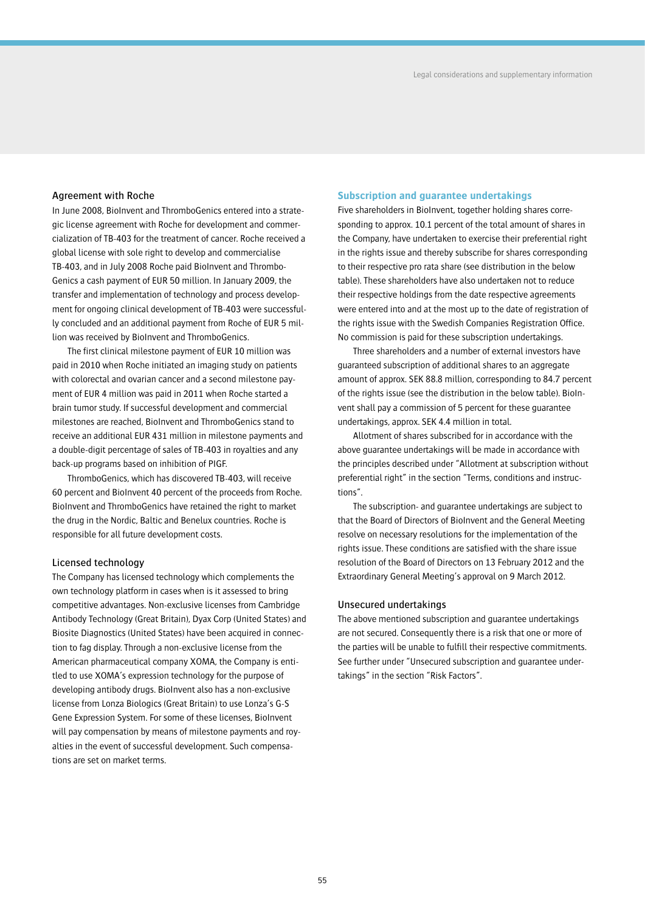## Agreement with Roche

In June 2008, BioInvent and ThromboGenics entered into a strategic license agreement with Roche for development and commercialization of TB-403 for the treatment of cancer. Roche received a global license with sole right to develop and commercialise TB-403, and in July 2008 Roche paid BioInvent and Thrombo-Genics a cash payment of EUR 50 million. In January 2009, the transfer and implementation of technology and process development for ongoing clinical development of TB-403 were successfully concluded and an additional payment from Roche of EUR 5 million was received by BioInvent and ThromboGenics.

The first clinical milestone payment of EUR 10 million was paid in 2010 when Roche initiated an imaging study on patients with colorectal and ovarian cancer and a second milestone payment of EUR 4 million was paid in 2011 when Roche started a brain tumor study. If successful development and commercial milestones are reached, BioInvent and ThromboGenics stand to receive an additional EUR 431 million in milestone payments and a double-digit percentage of sales of TB-403 in royalties and any back-up programs based on inhibition of PIGF.

ThromboGenics, which has discovered TB-403, will receive 60 percent and BioInvent 40 percent of the proceeds from Roche. BioInvent and ThromboGenics have retained the right to market the drug in the Nordic, Baltic and Benelux countries. Roche is responsible for all future development costs.

## Licensed technology

The Company has licensed technology which complements the own technology platform in cases when is it assessed to bring competitive advantages. Non-exclusive licenses from Cambridge Antibody Technology (Great Britain), Dyax Corp (United States) and Biosite Diagnostics (United States) have been acquired in connection to fag display. Through a non-exclusive license from the American pharmaceutical company XOMA, the Company is entitled to use XOMA's expression technology for the purpose of developing antibody drugs. BioInvent also has a non-exclusive license from Lonza Biologics (Great Britain) to use Lonza's G-S Gene Expression System. For some of these licenses, BioInvent will pay compensation by means of milestone payments and royalties in the event of successful development. Such compensations are set on market terms.

## **Subscription and guarantee undertakings**

Five shareholders in BioInvent, together holding shares corresponding to approx. 10.1 percent of the total amount of shares in the Company, have undertaken to exercise their preferential right in the rights issue and thereby subscribe for shares corresponding to their respective pro rata share (see distribution in the below table). These shareholders have also undertaken not to reduce their respective holdings from the date respective agreements were entered into and at the most up to the date of registration of the rights issue with the Swedish Companies Registration Office. No commission is paid for these subscription undertakings.

Three shareholders and a number of external investors have guaranteed subscription of additional shares to an aggregate amount of approx. SEK 88.8 million, corresponding to 84.7 percent of the rights issue (see the distribution in the below table). BioInvent shall pay a commission of 5 percent for these guarantee undertakings, approx. SEK 4.4 million in total.

Allotment of shares subscribed for in accordance with the above guarantee undertakings will be made in accordance with the principles described under "Allotment at subscription without preferential right" in the section "Terms, conditions and instructions".

The subscription- and guarantee undertakings are subject to that the Board of Directors of BioInvent and the General Meeting resolve on necessary resolutions for the implementation of the rights issue. These conditions are satisfied with the share issue resolution of the Board of Directors on 13 February 2012 and the Extraordinary General Meeting's approval on 9 March 2012.

## Unsecured undertakings

The above mentioned subscription and guarantee undertakings are not secured. Consequently there is a risk that one or more of the parties will be unable to fulfill their respective commitments. See further under "Unsecured subscription and guarantee undertakings" in the section "Risk Factors".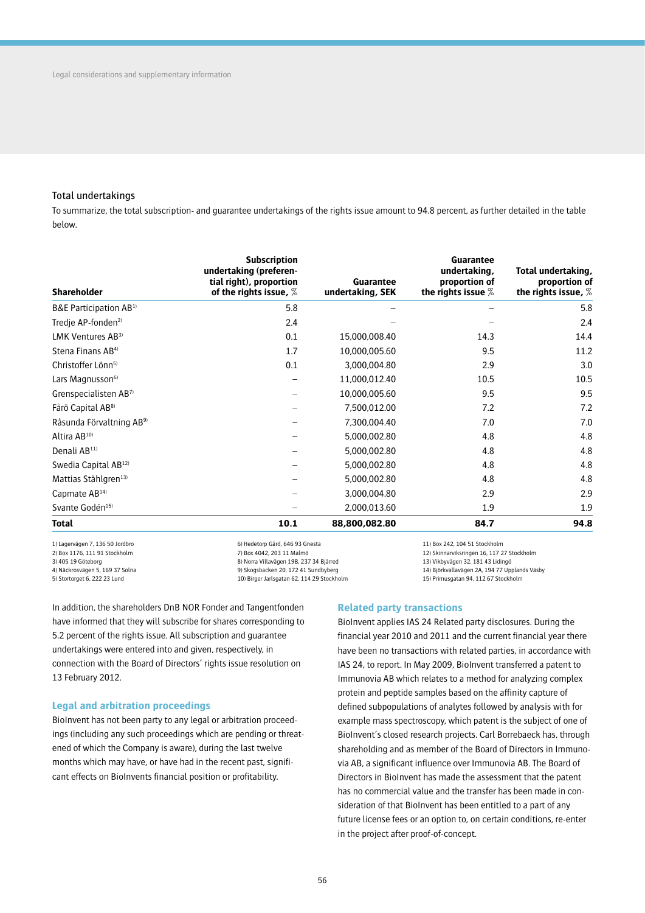## Total undertakings

To summarize, the total subscription- and guarantee undertakings of the rights issue amount to 94.8 percent, as further detailed in the table below.

| <b>Shareholder</b>                   | <b>Subscription</b><br>undertaking (preferen-<br>tial right), proportion<br>of the rights issue, $%$ | Guarantee<br>undertaking, SEK | Guarantee<br>undertaking,<br>proportion of<br>the rights issue $%$ | Total undertaking,<br>proportion of<br>the rights issue, $%$ |
|--------------------------------------|------------------------------------------------------------------------------------------------------|-------------------------------|--------------------------------------------------------------------|--------------------------------------------------------------|
| B&E Participation AB <sup>1)</sup>   | 5.8                                                                                                  |                               |                                                                    | 5.8                                                          |
| Tredie AP-fonden <sup>2)</sup>       | 2.4                                                                                                  |                               |                                                                    | 2.4                                                          |
| LMK Ventures AB <sup>3)</sup>        | 0.1                                                                                                  | 15,000,008.40                 | 14.3                                                               | 14.4                                                         |
| Stena Finans AB <sup>4)</sup>        | 1.7                                                                                                  | 10,000,005.60                 | 9.5                                                                | 11.2                                                         |
| Christoffer Lönn <sup>5)</sup>       | 0.1                                                                                                  | 3,000,004.80                  | 2.9                                                                | 3.0                                                          |
| Lars Magnusson <sup>6)</sup>         |                                                                                                      | 11,000,012.40                 | 10.5                                                               | 10.5                                                         |
| Grenspecialisten AB7)                |                                                                                                      | 10,000,005.60                 | 9.5                                                                | 9.5                                                          |
| Fårö Capital AB <sup>8)</sup>        |                                                                                                      | 7,500,012.00                  | 7.2                                                                | 7.2                                                          |
| Råsunda Förvaltning AB <sup>9)</sup> |                                                                                                      | 7,300,004.40                  | 7.0                                                                | 7.0                                                          |
| Altira $AB^{10}$                     |                                                                                                      | 5,000,002.80                  | 4.8                                                                | 4.8                                                          |
| Denali AB <sup>11)</sup>             |                                                                                                      | 5,000,002.80                  | 4.8                                                                | 4.8                                                          |
| Swedia Capital AB <sup>12)</sup>     |                                                                                                      | 5,000,002.80                  | 4.8                                                                | 4.8                                                          |
| Mattias Ståhlgren <sup>13)</sup>     |                                                                                                      | 5,000,002.80                  | 4.8                                                                | 4.8                                                          |
| Capmate AB <sup>14)</sup>            |                                                                                                      | 3,000,004.80                  | 2.9                                                                | 2.9                                                          |
| Svante Godén <sup>15)</sup>          |                                                                                                      | 2,000,013.60                  | 1.9                                                                | 1.9                                                          |
| Total                                | 10.1                                                                                                 | 88,800,082.80                 | 84.7                                                               | 94.8                                                         |

1) Lagervägen 7, 136 50 Jordbro 2) Box 1176, 111 91 Stockholm 3) 405 19 Göteborg 4) Näckrosvägen 5, 169 37 Solna 5) Stortorget 6, 222 23 Lund

6) Hedetorp Gård, 646 93 Gnesta 7) Box 4042, 203 11 Malmö 8) Norra Villavägen 19B, 237 34 Bjärred 9) Skogsbacken 20, 172 41 Sundbyberg 10) Birger Jarlsgatan 62, 114 29 Stockholm 11) Box 242, 104 51 Stockholm 12) Skinnarviksringen 16, 117 27 Stockholm

13) Vikbyvägen 32, 181 43 Lidingö

14) Björkvallavägen 2A, 194 77 Upplands Väsby

15) Primusgatan 94, 112 67 Stockholm

In addition, the shareholders DnB NOR Fonder and Tangentfonden have informed that they will subscribe for shares corresponding to 5.2 percent of the rights issue. All subscription and guarantee undertakings were entered into and given, respectively, in connection with the Board of Directors' rights issue resolution on 13 February 2012.

## **Legal and arbitration proceedings**

BioInvent has not been party to any legal or arbitration proceedings (including any such proceedings which are pending or threatened of which the Company is aware), during the last twelve months which may have, or have had in the recent past, significant effects on BioInvents financial position or profitability.

## **Related party transactions**

BioInvent applies IAS 24 Related party disclosures. During the financial year 2010 and 2011 and the current financial year there have been no transactions with related parties, in accordance with IAS 24, to report. In May 2009, BioInvent transferred a patent to Immunovia AB which relates to a method for analyzing complex protein and peptide samples based on the affinity capture of defined subpopulations of analytes followed by analysis with for example mass spectroscopy, which patent is the subject of one of BioInvent's closed research projects. Carl Borrebaeck has, through shareholding and as member of the Board of Directors in Immunovia AB, a significant influence over Immunovia AB. The Board of Directors in BioInvent has made the assessment that the patent has no commercial value and the transfer has been made in consideration of that BioInvent has been entitled to a part of any future license fees or an option to, on certain conditions, re-enter in the project after proof-of-concept.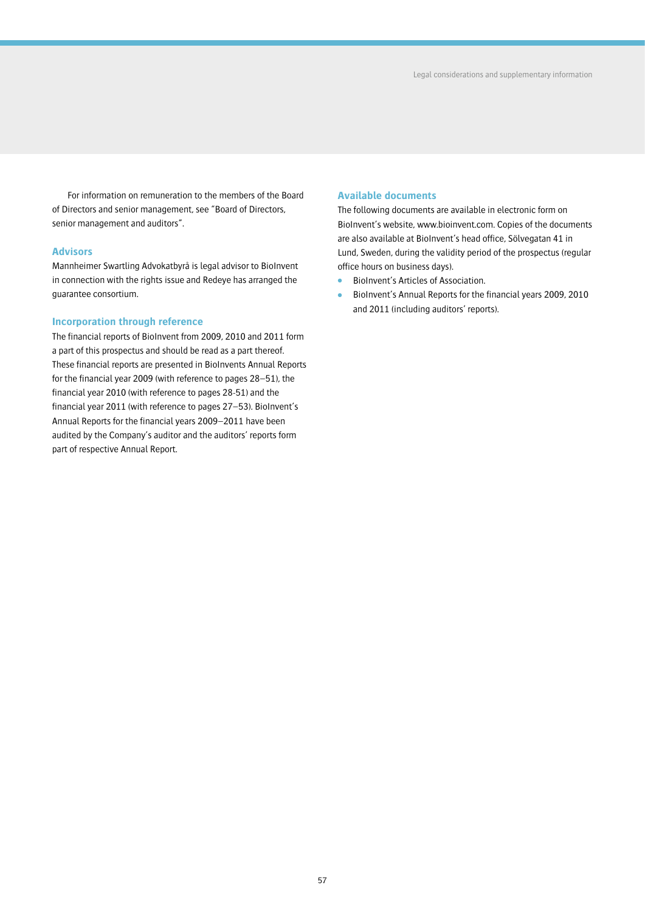For information on remuneration to the members of the Board of Directors and senior management, see "Board of Directors, senior management and auditors".

### **Advisors**

Mannheimer Swartling Advokatbyrå is legal advisor to BioInvent in connection with the rights issue and Redeye has arranged the guarantee consortium.

### **Incorporation through reference**

The financial reports of BioInvent from 2009, 2010 and 2011 form a part of this prospectus and should be read as a part thereof. These financial reports are presented in BioInvents Annual Reports for the financial year 2009 (with reference to pages 28–51), the financial year 2010 (with reference to pages 28-51) and the financial year 2011 (with reference to pages 27–53). BioInvent's Annual Reports for the financial years 2009–2011 have been audited by the Company's auditor and the auditors' reports form part of respective Annual Report.

## **Available documents**

The following documents are available in electronic form on BioInvent's website, www.bioinvent.com. Copies of the documents are also available at BioInvent's head office, Sölvegatan 41 in Lund, Sweden, during the validity period of the prospectus (regular office hours on business days).

- BioInvent's Articles of Association.
- BioInvent's Annual Reports for the financial years 2009, 2010 and 2011 (including auditors' reports).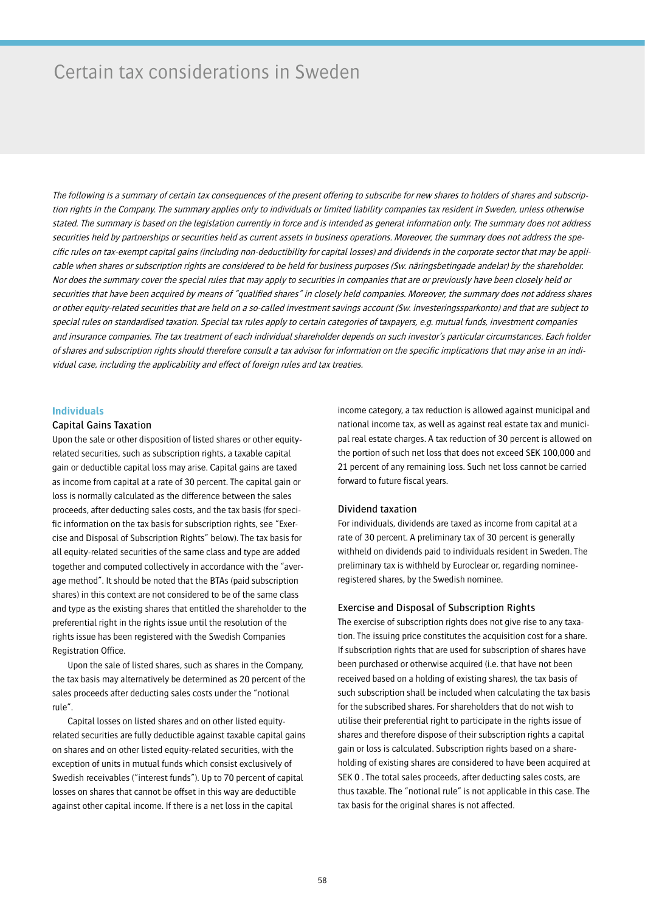## Certain tax considerations in Sweden

The following is a summary of certain tax consequences of the present offering to subscribe for new shares to holders of shares and subscription rights in the Company. The summary applies only to individuals or limited liability companies tax resident in Sweden, unless otherwise stated. The summary is based on the legislation currently in force and is intended as general information only. The summary does not address securities held by partnerships or securities held as current assets in business operations. Moreover, the summary does not address the specific rules on tax-exempt capital gains (including non-deductibility for capital losses) and dividends in the corporate sector that may be applicable when shares or subscription rights are considered to be held for business purposes (Sw. näringsbetingade andelar) by the shareholder. Nor does the summary cover the special rules that may apply to securities in companies that are or previously have been closely held or securities that have been acquired by means of "qualified shares" in closely held companies. Moreover, the summary does not address shares or other equity-related securities that are held on a so-called investment savings account (Sw. investeringssparkonto) and that are subject to special rules on standardised taxation. Special tax rules apply to certain categories of taxpayers, e.g. mutual funds, investment companies and insurance companies. The tax treatment of each individual shareholder depends on such investor's particular circumstances. Each holder of shares and subscription rights should therefore consult a tax advisor for information on the specific implications that may arise in an individual case, including the applicability and effect of foreign rules and tax treaties.

## **Individuals**

### Capital Gains Taxation

Upon the sale or other disposition of listed shares or other equityrelated securities, such as subscription rights, a taxable capital gain or deductible capital loss may arise. Capital gains are taxed as income from capital at a rate of 30 percent. The capital gain or loss is normally calculated as the difference between the sales proceeds, after deducting sales costs, and the tax basis (for specific information on the tax basis for subscription rights, see "Exercise and Disposal of Subscription Rights" below). The tax basis for all equity-related securities of the same class and type are added together and computed collectively in accordance with the "average method". It should be noted that the BTAs (paid subscription shares) in this context are not considered to be of the same class and type as the existing shares that entitled the shareholder to the preferential right in the rights issue until the resolution of the rights issue has been registered with the Swedish Companies Registration Office

Upon the sale of listed shares, such as shares in the Company, the tax basis may alternatively be determined as 20 percent of the sales proceeds after deducting sales costs under the "notional rule".

Capital losses on listed shares and on other listed equityrelated securities are fully deductible against taxable capital gains on shares and on other listed equity-related securities, with the exception of units in mutual funds which consist exclusively of Swedish receivables ("interest funds"). Up to 70 percent of capital losses on shares that cannot be offset in this way are deductible against other capital income. If there is a net loss in the capital

income category, a tax reduction is allowed against municipal and national income tax, as well as against real estate tax and municipal real estate charges. A tax reduction of 30 percent is allowed on the portion of such net loss that does not exceed SEK 100,000 and 21 percent of any remaining loss. Such net loss cannot be carried forward to future fiscal years.

### Dividend taxation

For individuals, dividends are taxed as income from capital at a rate of 30 percent. A preliminary tax of 30 percent is generally withheld on dividends paid to individuals resident in Sweden. The preliminary tax is withheld by Euroclear or, regarding nomineeregistered shares, by the Swedish nominee.

#### Exercise and Disposal of Subscription Rights

The exercise of subscription rights does not give rise to any taxation. The issuing price constitutes the acquisition cost for a share. If subscription rights that are used for subscription of shares have been purchased or otherwise acquired (i.e. that have not been received based on a holding of existing shares), the tax basis of such subscription shall be included when calculating the tax basis for the subscribed shares. For shareholders that do not wish to utilise their preferential right to participate in the rights issue of shares and therefore dispose of their subscription rights a capital gain or loss is calculated. Subscription rights based on a shareholding of existing shares are considered to have been acquired at SEK 0 . The total sales proceeds, after deducting sales costs, are thus taxable. The "notional rule" is not applicable in this case. The tax basis for the original shares is not affected.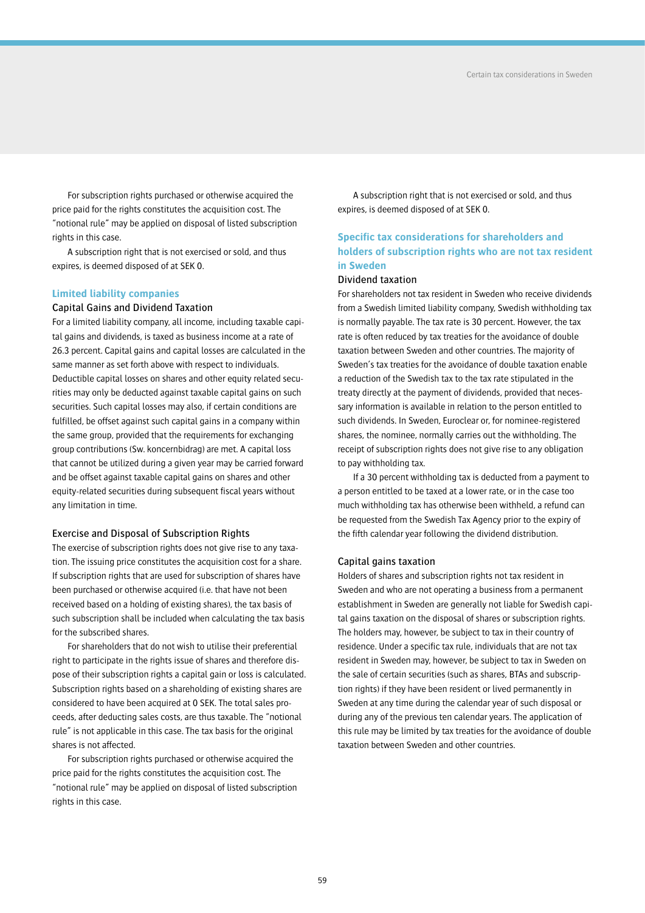For subscription rights purchased or otherwise acquired the price paid for the rights constitutes the acquisition cost. The "notional rule" may be applied on disposal of listed subscription rights in this case.

A subscription right that is not exercised or sold, and thus expires, is deemed disposed of at SEK 0.

### **Limited liability companies**

## Capital Gains and Dividend Taxation

For a limited liability company, all income, including taxable capital gains and dividends, is taxed as business income at a rate of 26.3 percent. Capital gains and capital losses are calculated in the same manner as set forth above with respect to individuals. Deductible capital losses on shares and other equity related securities may only be deducted against taxable capital gains on such securities. Such capital losses may also, if certain conditions are fulfilled, be offset against such capital gains in a company within the same group, provided that the requirements for exchanging group contributions (Sw. koncernbidrag) are met. A capital loss that cannot be utilized during a given year may be carried forward and be offset against taxable capital gains on shares and other equity-related securities during subsequent fiscal years without any limitation in time.

### Exercise and Disposal of Subscription Rights

The exercise of subscription rights does not give rise to any taxation. The issuing price constitutes the acquisition cost for a share. If subscription rights that are used for subscription of shares have been purchased or otherwise acquired (i.e. that have not been received based on a holding of existing shares), the tax basis of such subscription shall be included when calculating the tax basis for the subscribed shares.

For shareholders that do not wish to utilise their preferential right to participate in the rights issue of shares and therefore dispose of their subscription rights a capital gain or loss is calculated. Subscription rights based on a shareholding of existing shares are considered to have been acquired at 0 SEK. The total sales proceeds, after deducting sales costs, are thus taxable. The "notional rule" is not applicable in this case. The tax basis for the original shares is not affected.

For subscription rights purchased or otherwise acquired the price paid for the rights constitutes the acquisition cost. The "notional rule" may be applied on disposal of listed subscription rights in this case.

A subscription right that is not exercised or sold, and thus expires, is deemed disposed of at SEK 0.

## **Specific tax considerations for shareholders and holders of subscription rights who are not tax resident in Sweden**

## Dividend taxation

For shareholders not tax resident in Sweden who receive dividends from a Swedish limited liability company, Swedish withholding tax is normally payable. The tax rate is 30 percent. However, the tax rate is often reduced by tax treaties for the avoidance of double taxation between Sweden and other countries. The majority of Sweden's tax treaties for the avoidance of double taxation enable a reduction of the Swedish tax to the tax rate stipulated in the treaty directly at the payment of dividends, provided that necessary information is available in relation to the person entitled to such dividends. In Sweden, Euroclear or, for nominee-registered shares, the nominee, normally carries out the withholding. The receipt of subscription rights does not give rise to any obligation to pay withholding tax.

If a 30 percent withholding tax is deducted from a payment to a person entitled to be taxed at a lower rate, or in the case too much withholding tax has otherwise been withheld, a refund can be requested from the Swedish Tax Agency prior to the expiry of the fifth calendar year following the dividend distribution.

### Capital gains taxation

Holders of shares and subscription rights not tax resident in Sweden and who are not operating a business from a permanent establishment in Sweden are generally not liable for Swedish capital gains taxation on the disposal of shares or subscription rights. The holders may, however, be subject to tax in their country of residence. Under a specific tax rule, individuals that are not tax resident in Sweden may, however, be subject to tax in Sweden on the sale of certain securities (such as shares, BTAs and subscription rights) if they have been resident or lived permanently in Sweden at any time during the calendar year of such disposal or during any of the previous ten calendar years. The application of this rule may be limited by tax treaties for the avoidance of double taxation between Sweden and other countries.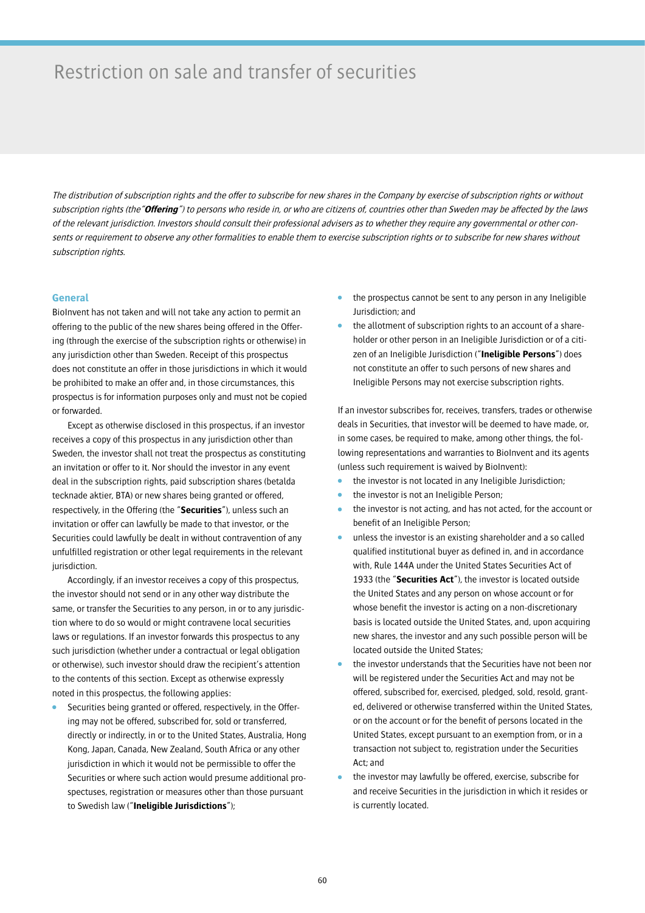# Restriction on sale and transfer of securities

The distribution of subscription rights and the offer to subscribe for new shares in the Company by exercise of subscription rights or without subscription rights (the"**Offering**") to persons who reside in, or who are citizens of, countries other than Sweden may be affected by the laws of the relevant jurisdiction. Investors should consult their professional advisers as to whether they require any governmental or other consents or requirement to observe any other formalities to enable them to exercise subscription rights or to subscribe for new shares without subscription rights.

### **General**

BioInvent has not taken and will not take any action to permit an offering to the public of the new shares being offered in the Offering (through the exercise of the subscription rights or otherwise) in any jurisdiction other than Sweden. Receipt of this prospectus does not constitute an offer in those jurisdictions in which it would be prohibited to make an offer and, in those circumstances, this prospectus is for information purposes only and must not be copied or forwarded.

Except as otherwise disclosed in this prospectus, if an investor receives a copy of this prospectus in any jurisdiction other than Sweden, the investor shall not treat the prospectus as constituting an invitation or offer to it. Nor should the investor in any event deal in the subscription rights, paid subscription shares (betalda tecknade aktier, BTA) or new shares being granted or offered, respectively, in the Offering (the "**Securities**"), unless such an invitation or offer can lawfully be made to that investor, or the Securities could lawfully be dealt in without contravention of any unfulfilled registration or other legal requirements in the relevant jurisdiction.

Accordingly, if an investor receives a copy of this prospectus, the investor should not send or in any other way distribute the same, or transfer the Securities to any person, in or to any jurisdiction where to do so would or might contravene local securities laws or regulations. If an investor forwards this prospectus to any such jurisdiction (whether under a contractual or legal obligation or otherwise), such investor should draw the recipient's attention to the contents of this section. Except as otherwise expressly noted in this prospectus, the following applies:

Securities being granted or offered, respectively, in the Offering may not be offered, subscribed for, sold or transferred, directly or indirectly, in or to the United States, Australia, Hong Kong, Japan, Canada, New Zealand, South Africa or any other jurisdiction in which it would not be permissible to offer the Securities or where such action would presume additional prospectuses, registration or measures other than those pursuant to Swedish law ("**Ineligible Jurisdictions**");

- the prospectus cannot be sent to any person in any Ineligible Jurisdiction; and
- the allotment of subscription rights to an account of a shareholder or other person in an Ineligible Jurisdiction or of a citizen of an Ineligible Jurisdiction ("**Ineligible Persons**") does not constitute an offer to such persons of new shares and Ineligible Persons may not exercise subscription rights.

If an investor subscribes for, receives, transfers, trades or otherwise deals in Securities, that investor will be deemed to have made, or, in some cases, be required to make, among other things, the following representations and warranties to BioInvent and its agents (unless such requirement is waived by BioInvent):

- the investor is not located in any Ineligible Jurisdiction;
- the investor is not an Ineligible Person;
- the investor is not acting, and has not acted, for the account or benefit of an Ineligible Person;
- unless the investor is an existing shareholder and a so called qualified institutional buyer as defined in, and in accordance with, Rule 144A under the United States Securities Act of 1933 (the "**Securities Act**"), the investor is located outside the United States and any person on whose account or for whose benefit the investor is acting on a non-discretionary basis is located outside the United States, and, upon acquiring new shares, the investor and any such possible person will be located outside the United States;
- the investor understands that the Securities have not been nor will be registered under the Securities Act and may not be offered, subscribed for, exercised, pledged, sold, resold, granted, delivered or otherwise transferred within the United States, or on the account or for the benefit of persons located in the United States, except pursuant to an exemption from, or in a transaction not subject to, registration under the Securities Act; and
- the investor may lawfully be offered, exercise, subscribe for and receive Securities in the jurisdiction in which it resides or is currently located.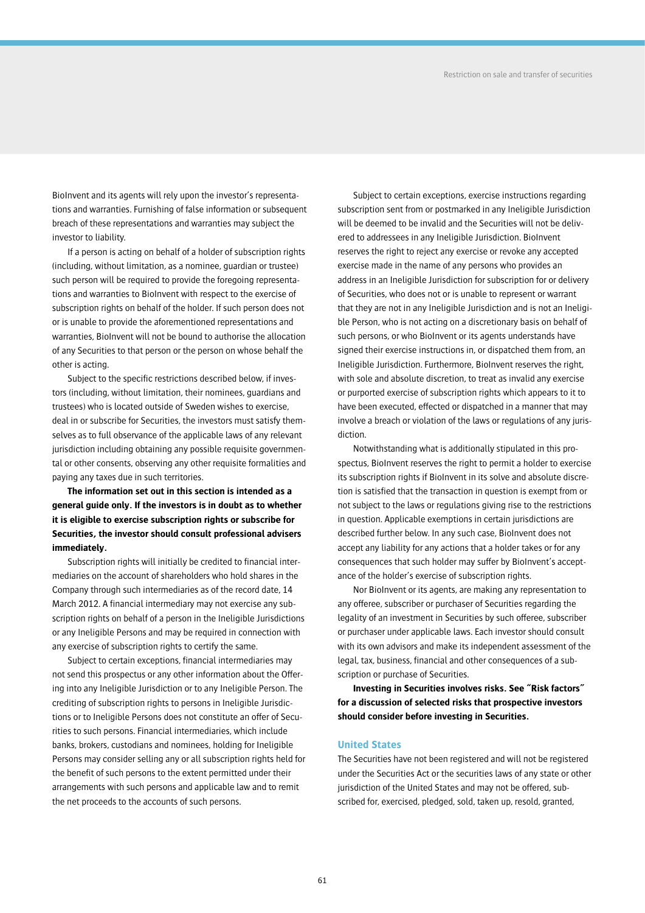BioInvent and its agents will rely upon the investor's representations and warranties. Furnishing of false information or subsequent breach of these representations and warranties may subject the investor to liability.

If a person is acting on behalf of a holder of subscription rights (including, without limitation, as a nominee, guardian or trustee) such person will be required to provide the foregoing representations and warranties to BioInvent with respect to the exercise of subscription rights on behalf of the holder. If such person does not or is unable to provide the aforementioned representations and warranties, BioInvent will not be bound to authorise the allocation of any Securities to that person or the person on whose behalf the other is acting.

Subject to the specific restrictions described below, if investors (including, without limitation, their nominees, guardians and trustees) who is located outside of Sweden wishes to exercise, deal in or subscribe for Securities, the investors must satisfy themselves as to full observance of the applicable laws of any relevant jurisdiction including obtaining any possible requisite governmental or other consents, observing any other requisite formalities and paying any taxes due in such territories.

## **The information set out in this section is intended as a general guide only. If the investors is in doubt as to whether it is eligible to exercise subscription rights or subscribe for Securities, the investor should consult professional advisers immediately.**

Subscription rights will initially be credited to financial intermediaries on the account of shareholders who hold shares in the Company through such intermediaries as of the record date, 14 March 2012. A financial intermediary may not exercise any subscription rights on behalf of a person in the Ineligible Jurisdictions or any Ineligible Persons and may be required in connection with any exercise of subscription rights to certify the same.

Subject to certain exceptions, financial intermediaries may not send this prospectus or any other information about the Offering into any Ineligible Jurisdiction or to any Ineligible Person. The crediting of subscription rights to persons in Ineligible Jurisdictions or to Ineligible Persons does not constitute an offer of Securities to such persons. Financial intermediaries, which include banks, brokers, custodians and nominees, holding for Ineligible Persons may consider selling any or all subscription rights held for the benefit of such persons to the extent permitted under their arrangements with such persons and applicable law and to remit the net proceeds to the accounts of such persons.

Subject to certain exceptions, exercise instructions regarding subscription sent from or postmarked in any Ineligible Jurisdiction will be deemed to be invalid and the Securities will not be delivered to addressees in any Ineligible Jurisdiction. BioInvent reserves the right to reject any exercise or revoke any accepted exercise made in the name of any persons who provides an address in an Ineligible Jurisdiction for subscription for or delivery of Securities, who does not or is unable to represent or warrant that they are not in any Ineligible Jurisdiction and is not an Ineligible Person, who is not acting on a discretionary basis on behalf of such persons, or who BioInvent or its agents understands have signed their exercise instructions in, or dispatched them from, an Ineligible Jurisdiction. Furthermore, BioInvent reserves the right, with sole and absolute discretion, to treat as invalid any exercise or purported exercise of subscription rights which appears to it to have been executed, effected or dispatched in a manner that may involve a breach or violation of the laws or regulations of any jurisdiction.

Notwithstanding what is additionally stipulated in this prospectus, BioInvent reserves the right to permit a holder to exercise its subscription rights if BioInvent in its solve and absolute discretion is satisfied that the transaction in question is exempt from or not subject to the laws or regulations giving rise to the restrictions in question. Applicable exemptions in certain jurisdictions are described further below. In any such case, BioInvent does not accept any liability for any actions that a holder takes or for any consequences that such holder may suffer by BioInvent's acceptance of the holder's exercise of subscription rights.

Nor BioInvent or its agents, are making any representation to any offeree, subscriber or purchaser of Securities regarding the legality of an investment in Securities by such offeree, subscriber or purchaser under applicable laws. Each investor should consult with its own advisors and make its independent assessment of the legal, tax, business, financial and other consequences of a subscription or purchase of Securities.

**Investing in Securities involves risks. See "Risk factors" for a discussion of selected risks that prospective investors should consider before investing in Securities.**

### **United States**

The Securities have not been registered and will not be registered under the Securities Act or the securities laws of any state or other jurisdiction of the United States and may not be offered, subscribed for, exercised, pledged, sold, taken up, resold, granted,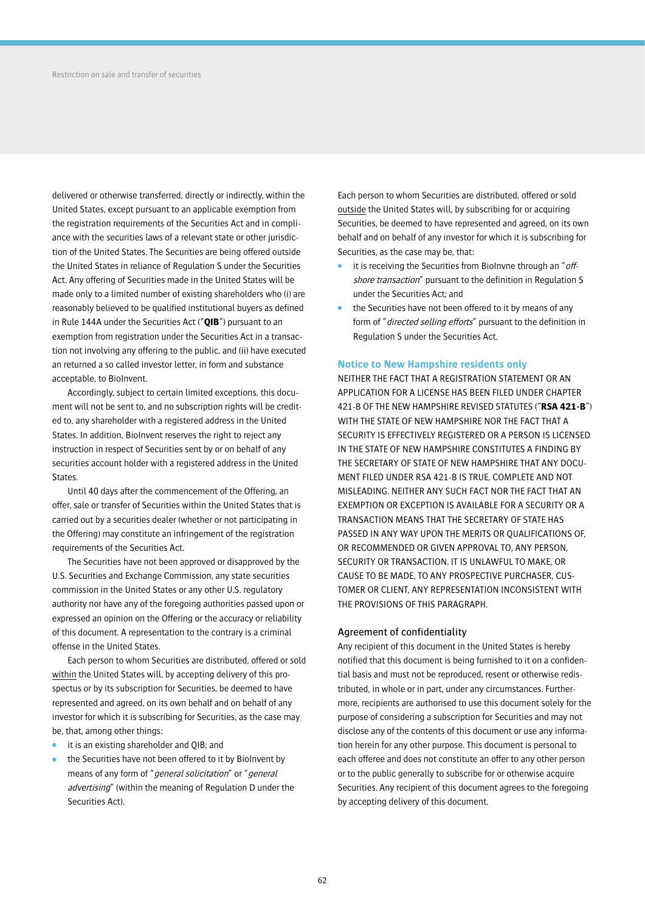delivered or otherwise transferred, directly or indirectly, within the United States, except pursuant to an applicable exemption from the registration requirements of the Securities Act and in compliance with the securities laws of a relevant state or other jurisdiction of the United States. The Securities are being offered outside the United States in reliance of Regulation S under the Securities Act. Any offering of Securities made in the United States will be made only to a limited number of existing shareholders who (i) are reasonably believed to be qualified institutional buyers as defined in Rule 144A under the Securities Act ("**QIB**") pursuant to an exemption from registration under the Securities Act in a transaction not involving any offering to the public, and (ii) have executed an returned a so called investor letter, in form and substance acceptable, to BioInvent.

Accordingly, subject to certain limited exceptions, this document will not be sent to, and no subscription rights will be credited to, any shareholder with a registered address in the United States. In addition, BioInvent reserves the right to reject any instruction in respect of Securities sent by or on behalf of any securities account holder with a registered address in the United States.

Until 40 days after the commencement of the Offering, an offer, sale or transfer of Securities within the United States that is carried out by a securities dealer (whether or not participating in the Offering) may constitute an infringement of the registration requirements of the Securities Act.

The Securities have not been approved or disapproved by the U.S. Securities and Exchange Commission, any state securities commission in the United States or any other U.S. regulatory authority nor have any of the foregoing authorities passed upon or expressed an opinion on the Offering or the accuracy or reliability of this document. A representation to the contrary is a criminal offense in the United States.

Each person to whom Securities are distributed, offered or sold within the United States will, by accepting delivery of this prospectus or by its subscription for Securities, be deemed to have represented and agreed, on its own behalf and on behalf of any investor for which it is subscribing for Securities, as the case may be, that, among other things:

- it is an existing shareholder and QIB; and
- the Securities have not been offered to it by BioInvent by means of any form of "general solicitation" or "general advertising" (within the meaning of Regulation D under the Securities Act).

Each person to whom Securities are distributed, offered or sold outside the United States will, by subscribing for or acquiring Securities, be deemed to have represented and agreed, on its own behalf and on behalf of any investor for which it is subscribing for Securities, as the case may be, that:

- it is receiving the Securities from BioInvne through an "offshore transaction" pursuant to the definition in Regulation S under the Securities Act; and
- the Securities have not been offered to it by means of any form of "directed selling efforts" pursuant to the definition in Regulation S under the Securities Act.

## **Notice to New Hampshire residents only**

NEITHER THE FACT THAT A REGISTRATION STATEMENT OR AN APPLICATION FOR A LICENSE HAS BEEN FILED UNDER CHAPTER 421-B OF THE NEW HAMPSHIRE REVISED STATUTES ("**RSA 421-B**") WITH THE STATE OF NEW HAMPSHIRE NOR THE FACT THAT A SECURITY IS EFFECTIVELY REGISTERED OR A PERSON IS LICENSED IN THE STATE OF NEW HAMPSHIRE CONSTITUTES A FINDING BY THE SECRETARY OF STATE OF NEW HAMPSHIRE THAT ANY DOCU-MENT FILED UNDER RSA 421-B IS TRUE, COMPLETE AND NOT MISLEADING. NEITHER ANY SUCH FACT NOR THE FACT THAT AN EXEMPTION OR EXCEPTION IS AVAILABLE FOR A SECURITY OR A TRANSACTION MEANS THAT THE SECRETARY OF STATE HAS PASSED IN ANY WAY UPON THE MERITS OR QUALIFICATIONS OF, OR RECOMMENDED OR GIVEN APPROVAL TO, ANY PERSON, SECURITY OR TRANSACTION. IT IS UNLAWFUL TO MAKE, OR CAUSE TO BE MADE, TO ANY PROSPECTIVE PURCHASER, CUS-TOMER OR CLIENT, ANY REPRESENTATION INCONSISTENT WITH THE PROVISIONS OF THIS PARAGRAPH.

### Agreement of confidentiality

Any recipient of this document in the United States is hereby notified that this document is being furnished to it on a confidential basis and must not be reproduced, resent or otherwise redistributed, in whole or in part, under any circumstances. Furthermore, recipients are authorised to use this document solely for the purpose of considering a subscription for Securities and may not disclose any of the contents of this document or use any information herein for any other purpose. This document is personal to each offeree and does not constitute an offer to any other person or to the public generally to subscribe for or otherwise acquire Securities. Any recipient of this document agrees to the foregoing by accepting delivery of this document.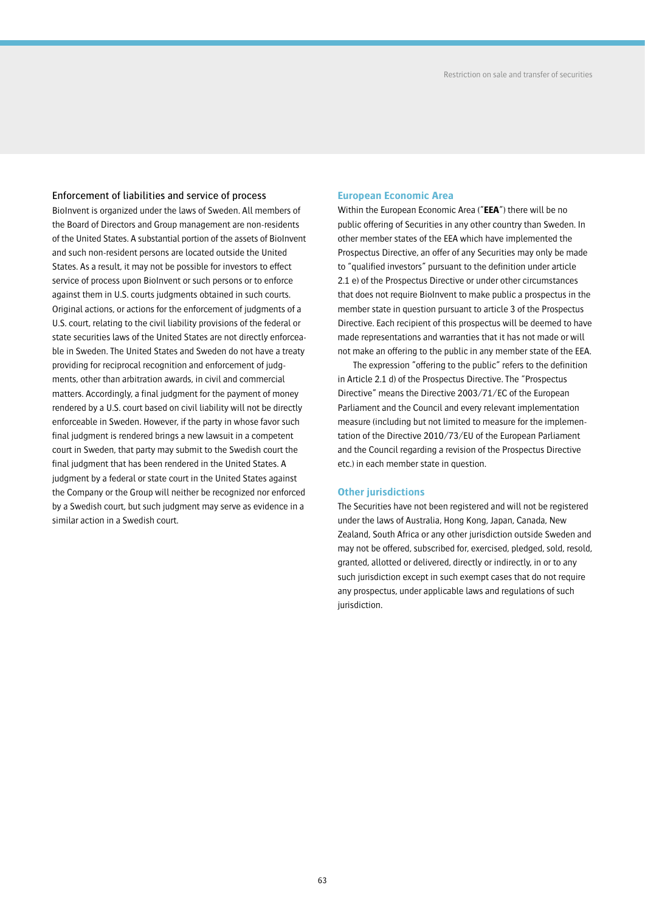## Enforcement of liabilities and service of process

BioInvent is organized under the laws of Sweden. All members of the Board of Directors and Group management are non-residents of the United States. A substantial portion of the assets of BioInvent and such non-resident persons are located outside the United States. As a result, it may not be possible for investors to effect service of process upon BioInvent or such persons or to enforce against them in U.S. courts judgments obtained in such courts. Original actions, or actions for the enforcement of judgments of a U.S. court, relating to the civil liability provisions of the federal or state securities laws of the United States are not directly enforceable in Sweden. The United States and Sweden do not have a treaty providing for reciprocal recognition and enforcement of judgments, other than arbitration awards, in civil and commercial matters. Accordingly, a final judgment for the payment of money rendered by a U.S. court based on civil liability will not be directly enforceable in Sweden. However, if the party in whose favor such final judgment is rendered brings a new lawsuit in a competent court in Sweden, that party may submit to the Swedish court the final judgment that has been rendered in the United States. A judgment by a federal or state court in the United States against the Company or the Group will neither be recognized nor enforced by a Swedish court, but such judgment may serve as evidence in a similar action in a Swedish court.

## **European Economic Area**

Within the European Economic Area ("**EEA**") there will be no public offering of Securities in any other country than Sweden. In other member states of the EEA which have implemented the Prospectus Directive, an offer of any Securities may only be made to "qualified investors" pursuant to the definition under article 2.1 e) of the Prospectus Directive or under other circumstances that does not require BioInvent to make public a prospectus in the member state in question pursuant to article 3 of the Prospectus Directive. Each recipient of this prospectus will be deemed to have made representations and warranties that it has not made or will not make an offering to the public in any member state of the EEA.

The expression "offering to the public" refers to the definition in Article 2.1 d) of the Prospectus Directive. The "Prospectus Directive" means the Directive 2003/71/EC of the European Parliament and the Council and every relevant implementation measure (including but not limited to measure for the implementation of the Directive 2010/73/EU of the European Parliament and the Council regarding a revision of the Prospectus Directive etc.) in each member state in question.

### **Other jurisdictions**

The Securities have not been registered and will not be registered under the laws of Australia, Hong Kong, Japan, Canada, New Zealand, South Africa or any other jurisdiction outside Sweden and may not be offered, subscribed for, exercised, pledged, sold, resold, granted, allotted or delivered, directly or indirectly, in or to any such jurisdiction except in such exempt cases that do not require any prospectus, under applicable laws and regulations of such jurisdiction.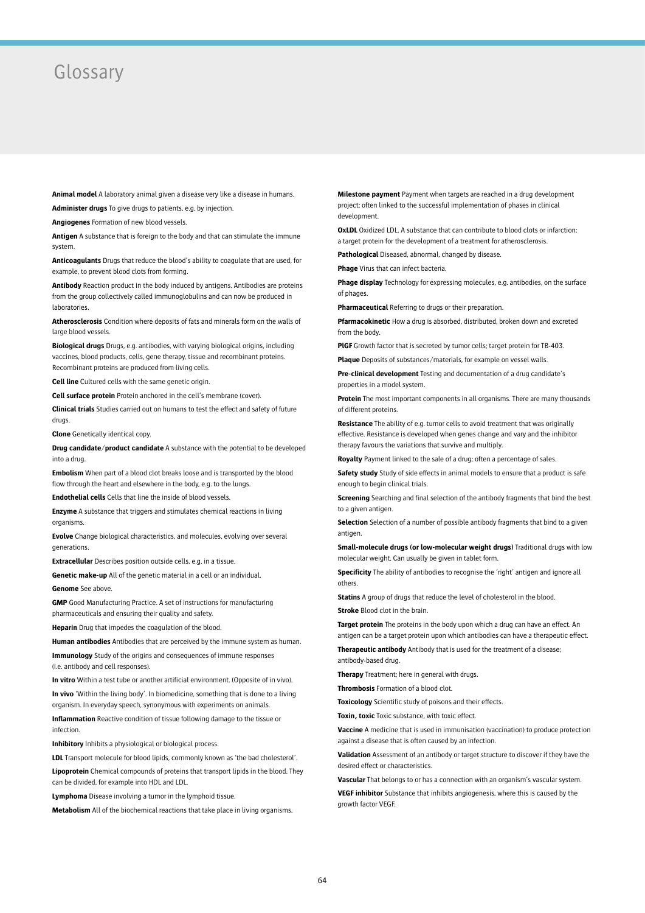## Glossary

**Animal model** A laboratory animal given a disease very like a disease in humans.

**Administer drugs** To give drugs to patients, e.g. by injection.

**Angiogenes** Formation of new blood vessels.

**Antigen** A substance that is foreign to the body and that can stimulate the immune system.

**Anticoagulants** Drugs that reduce the blood's ability to coagulate that are used, for example, to prevent blood clots from forming.

**Antibody** Reaction product in the body induced by antigens. Antibodies are proteins from the group collectively called immunoglobulins and can now be produced in laboratories.

**Atherosclerosis** Condition where deposits of fats and minerals form on the walls of large blood vessels

**Biological drugs** Drugs, e.g. antibodies, with varying biological origins, including vaccines, blood products, cells, gene therapy, tissue and recombinant proteins. Recombinant proteins are produced from living cells.

**Cell line** Cultured cells with the same genetic origin.

**Cell surface protein** Protein anchored in the cell's membrane (cover).

**Clinical trials** Studies carried out on humans to test the effect and safety of future drugs.

**Clone** Genetically identical copy.

**Drug candidate/product candidate** A substance with the potential to be developed into a drug.

**Embolism** When part of a blood clot breaks loose and is transported by the blood flow through the heart and elsewhere in the body, e.g. to the lungs.

**Endothelial cells** Cells that line the inside of blood vessels.

**Enzyme** A substance that triggers and stimulates chemical reactions in living organisms.

**Evolve** Change biological characteristics, and molecules, evolving over several generations.

**Extracellular** Describes position outside cells, e.g. in a tissue.

**Genetic make-up** All of the genetic material in a cell or an individual.

**Genome** See above.

**GMP** Good Manufacturing Practice. A set of instructions for manufacturing pharmaceuticals and ensuring their quality and safety.

**Heparin** Drug that impedes the coagulation of the blood.

**Human antibodies** Antibodies that are perceived by the immune system as human.

**Immunology** Study of the origins and consequences of immune responses (i.e. antibody and cell responses).

**In vitro** Within a test tube or another artificial environment. (Opposite of in vivo).

**In vivo** 'Within the living body'. In biomedicine, something that is done to a living organism. In everyday speech, synonymous with experiments on animals.

**Inflammation** Reactive condition of tissue following damage to the tissue or infection.

**Inhibitory** Inhibits a physiological or biological process.

**LDL** Transport molecule for blood lipids, commonly known as 'the bad cholesterol'. **Lipoprotein** Chemical compounds of proteins that transport lipids in the blood. They can be divided, for example into HDL and LDL.

**Lymphoma** Disease involving a tumor in the lymphoid tissue.

**Metabolism** All of the biochemical reactions that take place in living organisms.

**Milestone payment** Payment when targets are reached in a drug development project; often linked to the successful implementation of phases in clinical development.

**OxLDL** Oxidized LDL. A substance that can contribute to blood clots or infarction: a target protein for the development of a treatment for atherosclerosis.

**Pathological** Diseased, abnormal, changed by disease.

**Phage** Virus that can infect bacteria.

**Phage display** Technology for expressing molecules, e.g. antibodies, on the surface of phages.

**Pharmaceutical** Referring to drugs or their preparation.

**Pfarmacokinetic** How a drug is absorbed, distributed, broken down and excreted from the body

**PlGF** Growth factor that is secreted by tumor cells; target protein for TB-403.

**Plaque** Deposits of substances/materials, for example on vessel walls.

**Pre-clinical development** Testing and documentation of a drug candidate's properties in a model system.

**Protein** The most important components in all organisms. There are many thousands of different proteins.

**Resistance** The ability of e.g. tumor cells to avoid treatment that was originally effective. Resistance is developed when genes change and vary and the inhibitor therapy favours the variations that survive and multiply.

**Royalty** Payment linked to the sale of a drug; often a percentage of sales.

**Safety study** Study of side effects in animal models to ensure that a product is safe enough to begin clinical trials.

**Screening** Searching and final selection of the antibody fragments that bind the best to a given antigen.

**Selection** Selection of a number of possible antibody fragments that bind to a given antigen

**Small-molecule drugs (or low-molecular weight drugs)** Traditional drugs with low molecular weight. Can usually be given in tablet form.

**Specificity** The ability of antibodies to recognise the 'right' antigen and ignore all others.

**Statins** A group of drugs that reduce the level of cholesterol in the blood.

**Stroke** Blood clot in the brain.

**Target protein** The proteins in the body upon which a drug can have an effect. An antigen can be a target protein upon which antibodies can have a therapeutic effect.

**Therapeutic antibody** Antibody that is used for the treatment of a disease; antibody-based drug.

**Therapy** Treatment; here in general with drugs.

**Thrombosis** Formation of a blood clot.

**Toxicology** Scientific study of poisons and their effects.

**Toxin, toxic** Toxic substance, with toxic effect.

**Vaccine** A medicine that is used in immunisation (vaccination) to produce protection against a disease that is often caused by an infection.

**Validation** Assessment of an antibody or target structure to discover if they have the desired effect or characteristics.

**Vascular** That belongs to or has a connection with an organism's vascular system.

**VEGF inhibitor** Substance that inhibits angiogenesis, where this is caused by the growth factor VEGF.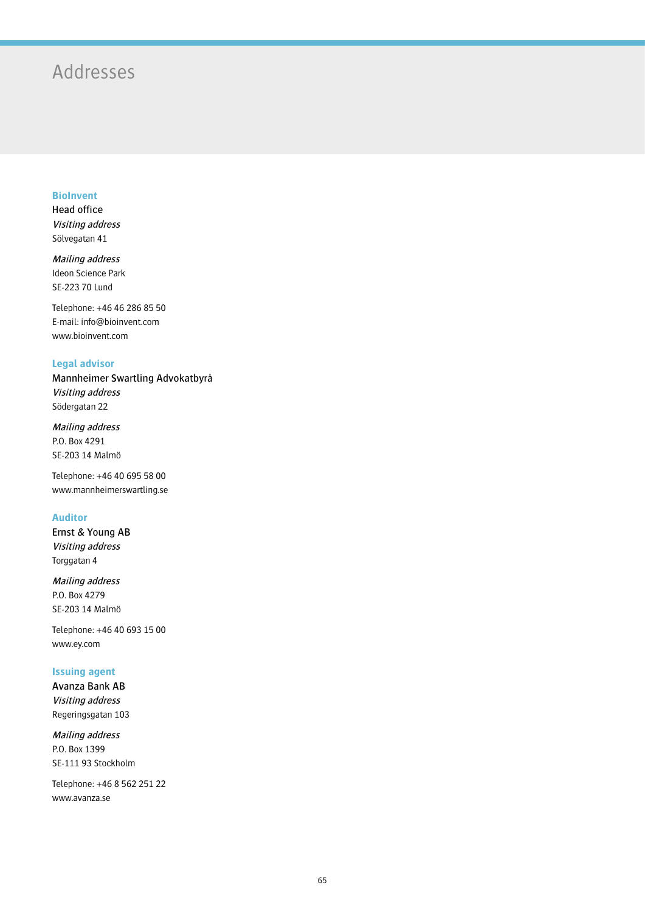# Addresses

## **BioInvent**

Head office Visiting address Sölvegatan 41

Mailing address Ideon Science Park SE-223 70 Lund

Telephone: +46 46 286 85 50 E-mail: info@bioinvent.com www.bioinvent.com

## **Legal advisor**

Mannheimer Swartling Advokatbyrå Visiting address Södergatan 22

Mailing address P.O. Box 4291 SE-203 14 Malmö

Telephone: +46 40 695 58 00 www.mannheimerswartling.se

## **Auditor**

Ernst & Young AB Visiting address Torggatan 4

Mailing address P.O. Box 4279 SE-203 14 Malmö

Telephone: +46 40 693 15 00 www.ey.com

## **Issuing agent**

Avanza Bank AB Visiting address Regeringsgatan 103

Mailing address P.O. Box 1399 SE-111 93 Stockholm

Telephone: +46 8 562 251 22 www.avanza.se